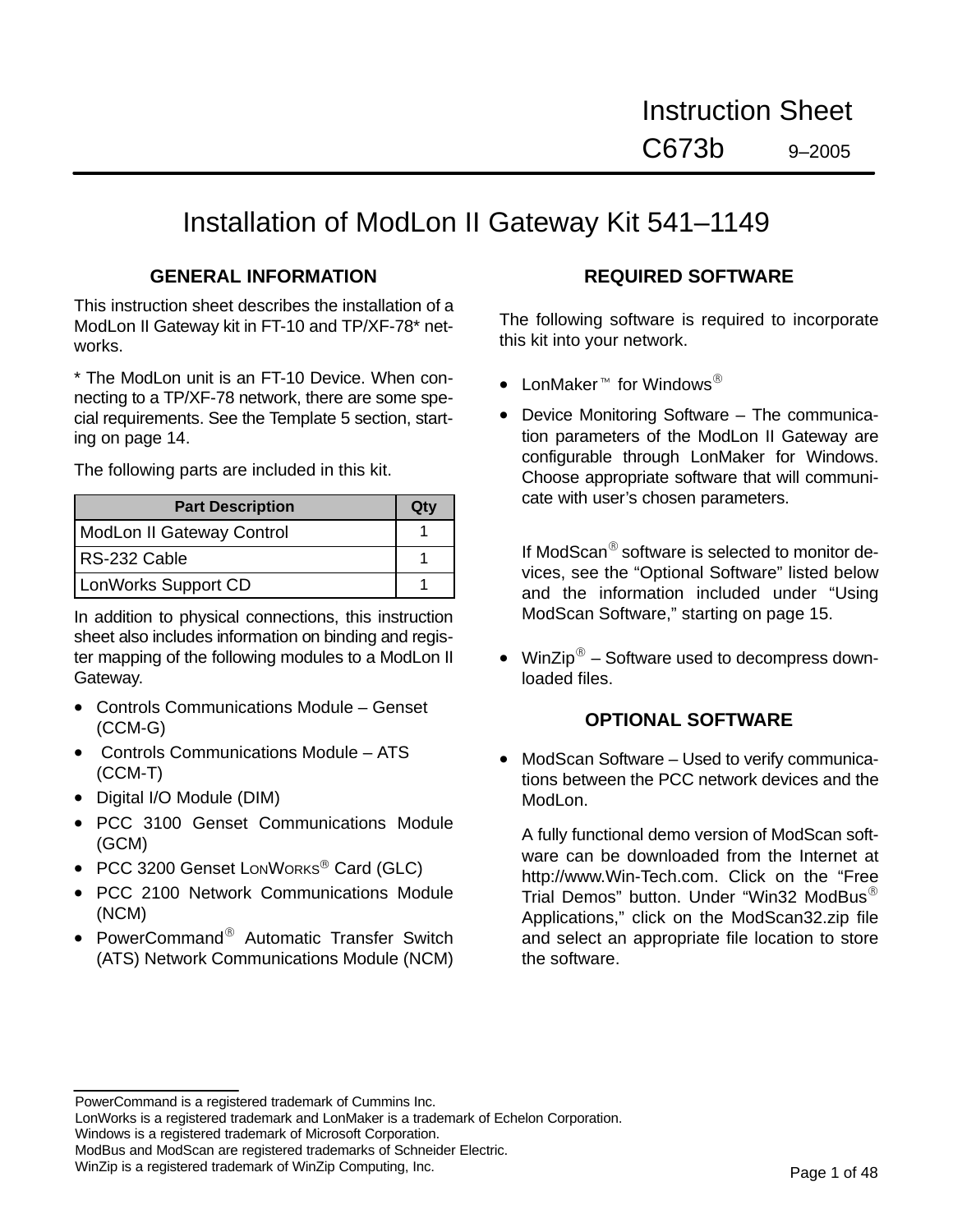# Installation of ModLon II Gateway Kit 541–1149

## **GENERAL INFORMATION**

This instruction sheet describes the installation of a ModLon II Gateway kit in FT-10 and TP/XF-78\* networks.

\* The ModLon unit is an FT-10 Device. When connecting to a TP/XF-78 network, there are some special requirements. See the Template 5 section, starting on page 14.

The following parts are included in this kit.

| <b>Part Description</b>   | Otv |
|---------------------------|-----|
| ModLon II Gateway Control |     |
| RS-232 Cable              |     |
| LonWorks Support CD       |     |

In addition to physical connections, this instruction sheet also includes information on binding and register mapping of the following modules to a ModLon II Gateway.

- Controls Communications Module Genset (CCM-G)
- Controls Communications Module ATS (CCM-T)
- Digital I/O Module (DIM)
- PCC 3100 Genset Communications Module (GCM)
- PCC 3200 Genset LonWorks<sup>®</sup> Card (GLC)
- PCC 2100 Network Communications Module (NCM)
- PowerCommand® Automatic Transfer Switch (ATS) Network Communications Module (NCM)

## **REQUIRED SOFTWARE**

The following software is required to incorporate this kit into your network.

- LonMaker<sup>M</sup> for Windows<sup>®</sup>
- Device Monitoring Software The communication parameters of the ModLon II Gateway are configurable through LonMaker for Windows. Choose appropriate software that will communicate with user's chosen parameters.

If ModScan $^{\circledR}$  software is selected to monitor devices, see the "Optional Software" listed below and the information included under "Using ModScan Software," starting on page 15.

• WinZip<sup> $\circledast$ </sup> – Software used to decompress downloaded files.

## **OPTIONAL SOFTWARE**

• ModScan Software – Used to verify communications between the PCC network devices and the ModLon.

A fully functional demo version of ModScan software can be downloaded from the Internet at http://www.Win-Tech.com. Click on the "Free Trial Demos" button. Under "Win32 ModBus Applications," click on the ModScan32.zip file and select an appropriate file location to store the software.

Windows is a registered trademark of Microsoft Corporation.

PowerCommand is a registered trademark of Cummins Inc.

LonWorks is a registered trademark and LonMaker is a trademark of Echelon Corporation.

ModBus and ModScan are registered trademarks of Schneider Electric.

WinZip is a registered trademark of WinZip Computing, Inc.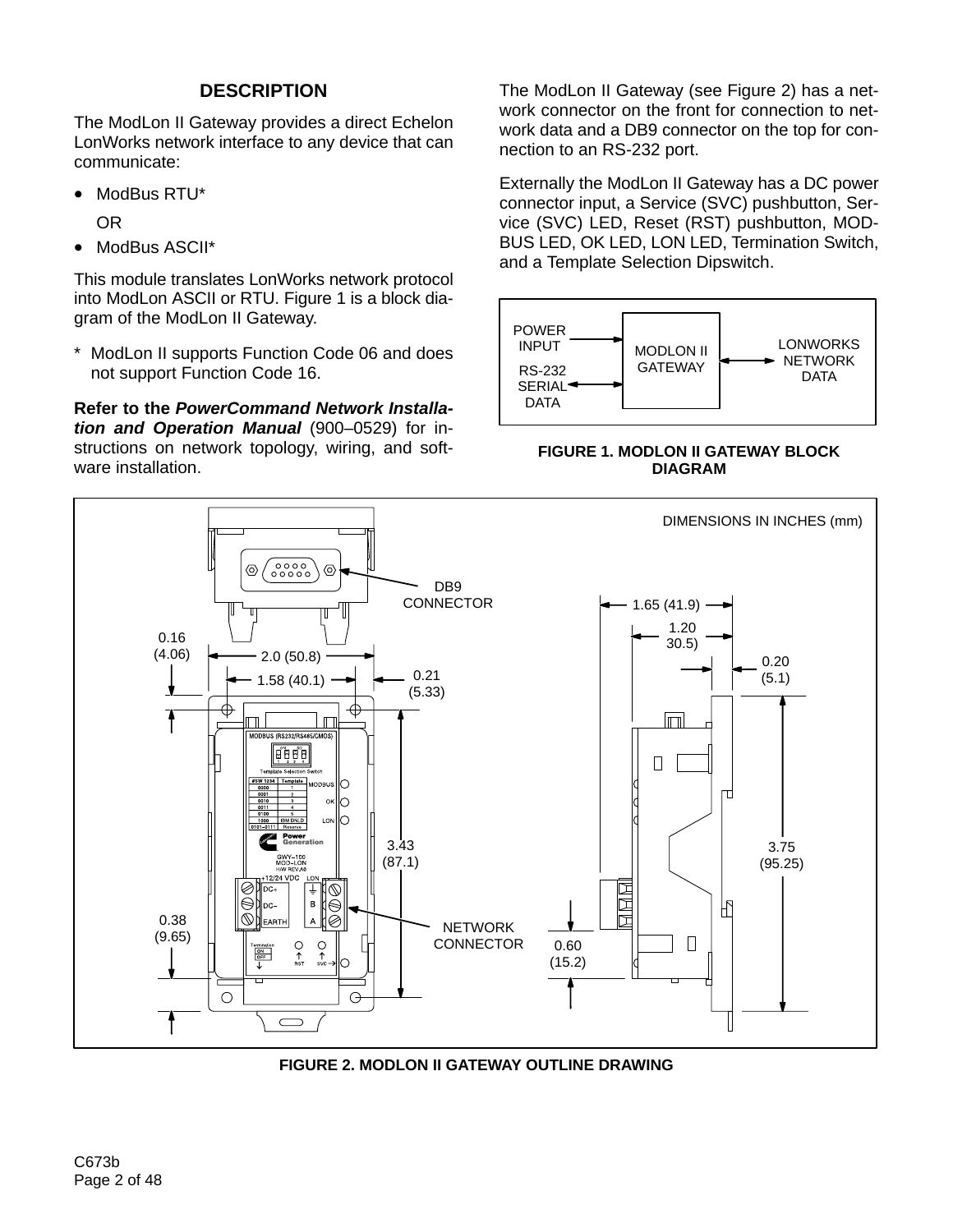# **DESCRIPTION**

The ModLon II Gateway provides a direct Echelon LonWorks network interface to any device that can communicate:

• ModBus RTU\*

OR

• ModBus ASCII\*

This module translates LonWorks network protocol into ModLon ASCII or RTU. Figure 1 is a block diagram of the ModLon II Gateway.

\* ModLon II supports Function Code 06 and does not support Function Code 16.

**Refer to the** *PowerCommand Network Installation and Operation Manual* (900–0529) for instructions on network topology, wiring, and software installation.

The ModLon II Gateway (see Figure 2) has a network connector on the front for connection to network data and a DB9 connector on the top for connection to an RS-232 port.

Externally the ModLon II Gateway has a DC power connector input, a Service (SVC) pushbutton, Service (SVC) LED, Reset (RST) pushbutton, MOD-BUS LED, OK LED, LON LED, Termination Switch, and a Template Selection Dipswitch.



**FIGURE 1. MODLON II GATEWAY BLOCK DIAGRAM**



**FIGURE 2. MODLON II GATEWAY OUTLINE DRAWING**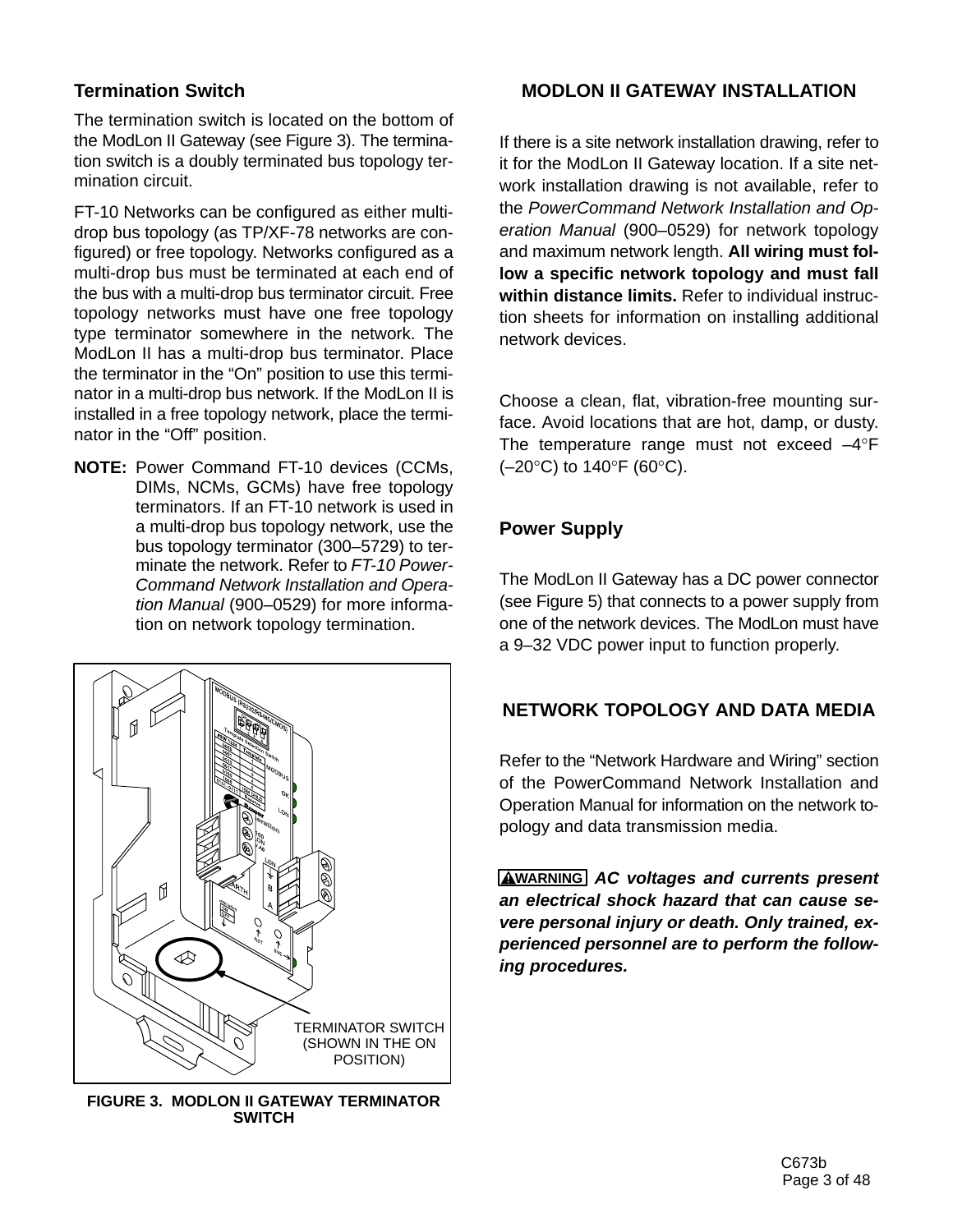# **Termination Switch**

The termination switch is located on the bottom of the ModLon II Gateway (see Figure 3). The termination switch is a doubly terminated bus topology termination circuit.

FT-10 Networks can be configured as either multidrop bus topology (as TP/XF-78 networks are configured) or free topology. Networks configured as a multi-drop bus must be terminated at each end of the bus with a multi-drop bus terminator circuit. Free topology networks must have one free topology type terminator somewhere in the network. The ModLon II has a multi-drop bus terminator. Place the terminator in the "On" position to use this terminator in a multi-drop bus network. If the ModLon II is installed in a free topology network, place the terminator in the "Off" position.

**NOTE:** Power Command FT-10 devices (CCMs, DIMs, NCMs, GCMs) have free topology terminators. If an FT-10 network is used in a multi-drop bus topology network, use the bus topology terminator (300–5729) to terminate the network. Refer to *FT-10 Power-Command Network Installation and Operation Manual* (900–0529) for more information on network topology termination.



**FIGURE 3. MODLON II GATEWAY TERMINATOR SWITCH**

## **MODLON II GATEWAY INSTALLATION**

If there is a site network installation drawing, refer to it for the ModLon II Gateway location. If a site network installation drawing is not available, refer to the *PowerCommand Network Installation and Operation Manual* (900–0529) for network topology and maximum network length. **All wiring must follow a specific network topology and must fall within distance limits.** Refer to individual instruction sheets for information on installing additional network devices.

Choose a clean, flat, vibration-free mounting surface. Avoid locations that are hot, damp, or dusty. The temperature range must not exceed –4°F ( $-20$ °C) to 140°F (60°C).

## **Power Supply**

The ModLon II Gateway has a DC power connector (see Figure 5) that connects to a power supply from one of the network devices. The ModLon must have a 9–32 VDC power input to function properly.

## **NETWORK TOPOLOGY AND DATA MEDIA**

Refer to the "Network Hardware and Wiring" section of the PowerCommand Network Installation and Operation Manual for information on the network topology and data transmission media.

**WARNING** *AC voltages and currents present an electrical shock hazard that can cause severe personal injury or death. Only trained, experienced personnel are to perform the following procedures.*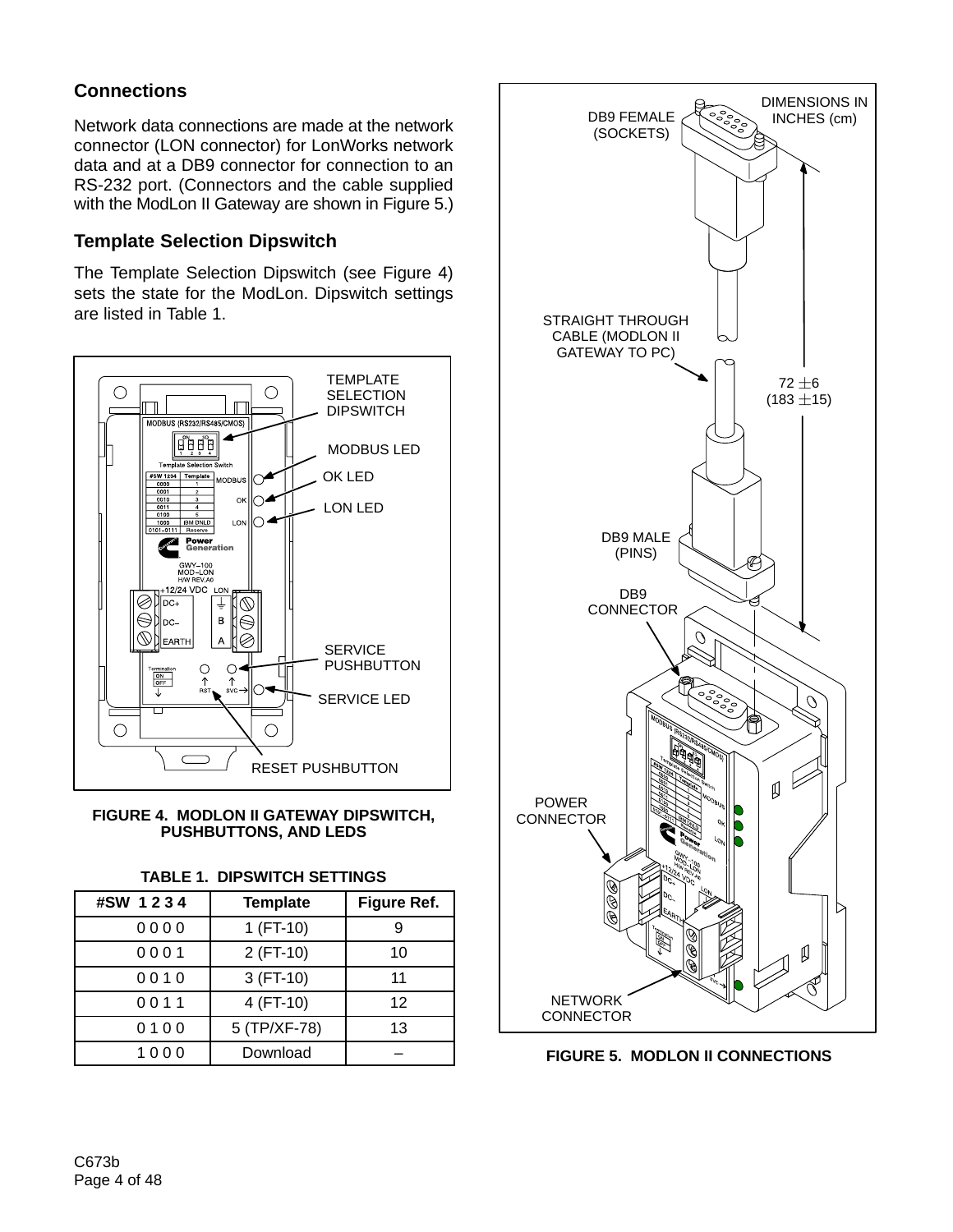# **Connections**

Network data connections are made at the network connector (LON connector) for LonWorks network data and at a DB9 connector for connection to an RS-232 port. (Connectors and the cable supplied with the ModLon II Gateway are shown in Figure 5.)

## **Template Selection Dipswitch**

The Template Selection Dipswitch (see Figure 4) sets the state for the ModLon. Dipswitch settings are listed in Table 1.



#### **FIGURE 4. MODLON II GATEWAY DIPSWITCH, PUSHBUTTONS, AND LEDS**

|  | TABLE 1.  DIPSWITCH SETTINGS |  |
|--|------------------------------|--|
|--|------------------------------|--|

| #SW 1234 | <b>Template</b> | Figure Ref. |
|----------|-----------------|-------------|
| 0000     | $1(FT-10)$      | 9           |
| 0001     | 2 (FT-10)       | 10          |
| 0010     | $3(FT-10)$      | 11          |
| 0011     | 4 (FT-10)       | 12          |
| 0100     | 5 (TP/XF-78)    | 13          |
| 1000     | Download        |             |



**FIGURE 5. MODLON II CONNECTIONS**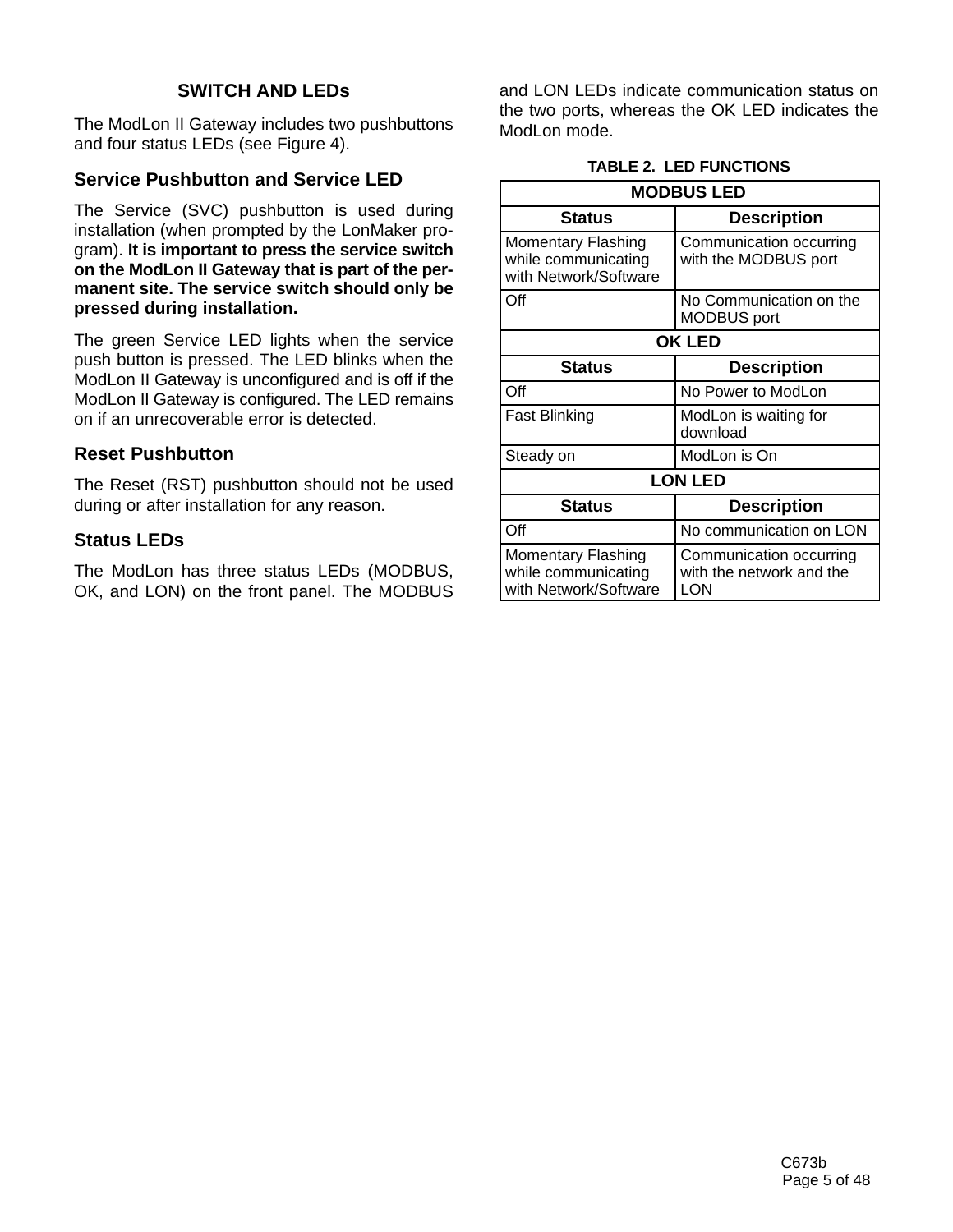## **SWITCH AND LEDs**

The ModLon II Gateway includes two pushbuttons and four status LEDs (see Figure 4).

## **Service Pushbutton and Service LED**

The Service (SVC) pushbutton is used during installation (when prompted by the LonMaker program). **It is important to press the service switch on the ModLon II Gateway that is part of the permanent site. The service switch should only be pressed during installation.**

The green Service LED lights when the service push button is pressed. The LED blinks when the ModLon II Gateway is unconfigured and is off if the ModLon II Gateway is configured. The LED remains on if an unrecoverable error is detected.

## **Reset Pushbutton**

The Reset (RST) pushbutton should not be used during or after installation for any reason.

## **Status LEDs**

The ModLon has three status LEDs (MODBUS, OK, and LON) on the front panel. The MODBUS and LON LEDs indicate communication status on the two ports, whereas the OK LED indicates the ModLon mode.

#### **TABLE 2. LED FUNCTIONS**

| <b>MODBUS LED</b>                                                         |                                                            |  |  |  |
|---------------------------------------------------------------------------|------------------------------------------------------------|--|--|--|
| Status                                                                    | <b>Description</b>                                         |  |  |  |
| <b>Momentary Flashing</b><br>while communicating<br>with Network/Software | Communication occurring<br>with the MODBUS port            |  |  |  |
| Off                                                                       | No Communication on the<br><b>MODBUS</b> port              |  |  |  |
|                                                                           | <b>OK LED</b>                                              |  |  |  |
| Status                                                                    | <b>Description</b>                                         |  |  |  |
| $\Omega$ ff                                                               | No Power to ModLon                                         |  |  |  |
| Fast Blinking                                                             | ModLon is waiting for<br>download                          |  |  |  |
| Steady on                                                                 | ModLon is On                                               |  |  |  |
|                                                                           | <b>LON LED</b>                                             |  |  |  |
| <b>Status</b>                                                             | <b>Description</b>                                         |  |  |  |
| Off                                                                       | No communication on LON                                    |  |  |  |
| <b>Momentary Flashing</b><br>while communicating<br>with Network/Software | Communication occurring<br>with the network and the<br>LON |  |  |  |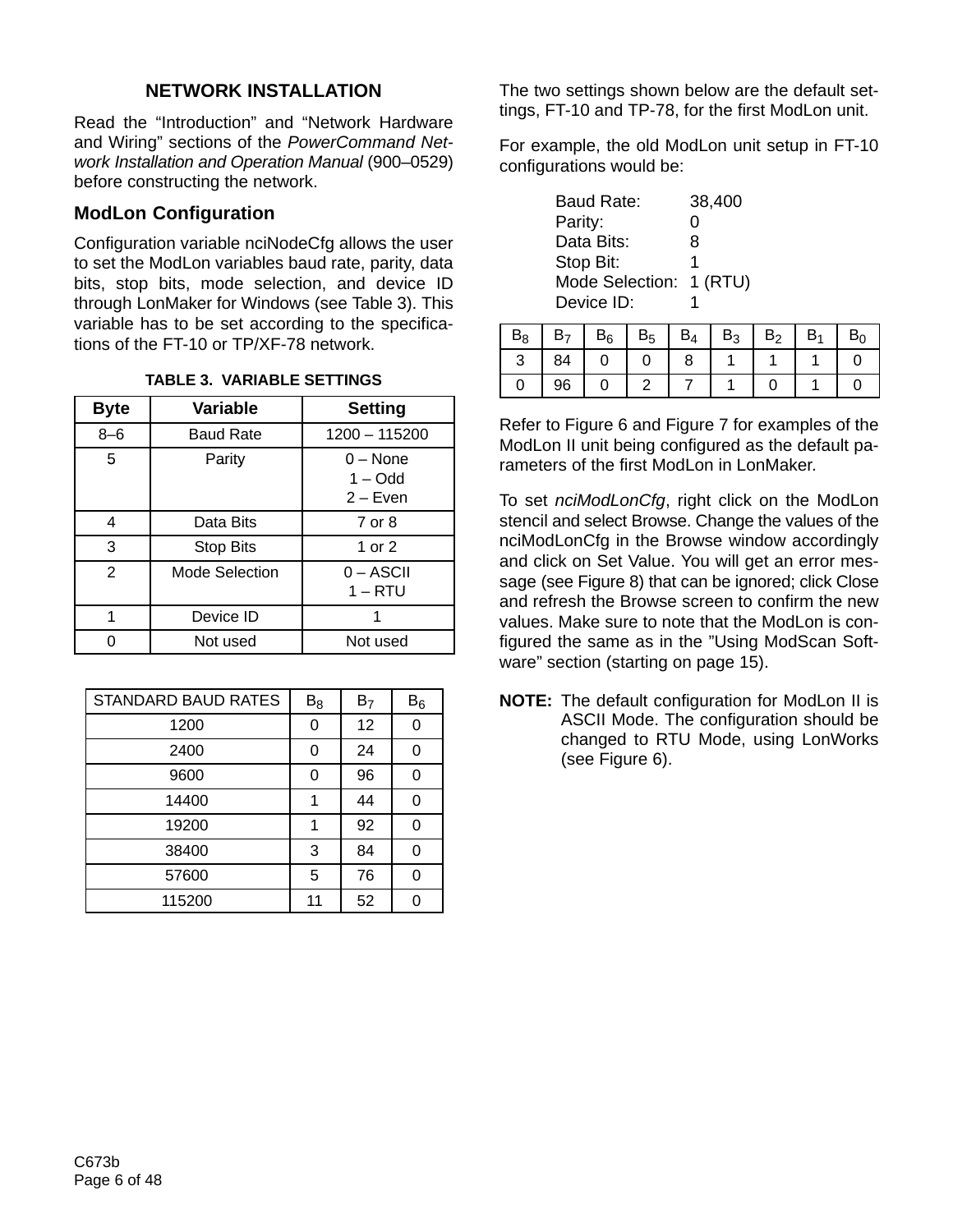# **NETWORK INSTALLATION**

Read the "Introduction" and "Network Hardware and Wiring" sections of the *PowerCommand Network Installation and Operation Manual* (900–0529) before constructing the network.

## **ModLon Configuration**

Configuration variable nciNodeCfg allows the user to set the ModLon variables baud rate, parity, data bits, stop bits, mode selection, and device ID through LonMaker for Windows (see Table 3). This variable has to be set according to the specifications of the FT-10 or TP/XF-78 network.

| <b>Byte</b> | <b>Variable</b>       | <b>Setting</b>                        |
|-------------|-----------------------|---------------------------------------|
| $8 - 6$     | <b>Baud Rate</b>      | 1200 - 115200                         |
| 5           | Parity                | $0 - None$<br>$1 - Odd$<br>$2 - Even$ |
| 4           | Data Bits             | 7 or 8                                |
| 3           | <b>Stop Bits</b>      | 1 or 2                                |
| 2           | <b>Mode Selection</b> | $0 - ASCII$<br>$1 - RTU$              |
| 1           | Device ID             |                                       |
|             | Not used              | Not used                              |

#### **TABLE 3. VARIABLE SETTINGS**

| <b>STANDARD BAUD RATES</b> | $B_8$ | B <sub>7</sub> | $\mathsf{B}_6$ |
|----------------------------|-------|----------------|----------------|
| 1200                       | 0     | 12             | ∩              |
| 2400                       | 0     | 24             |                |
| 9600                       | 0     | 96             |                |
| 14400                      |       | 44             |                |
| 19200                      |       | 92             |                |
| 38400                      | 3     | 84             |                |
| 57600                      | 5     | 76             |                |
| 115200                     |       | 52             |                |

The two settings shown below are the default settings, FT-10 and TP-78, for the first ModLon unit.

For example, the old ModLon unit setup in FT-10 configurations would be:

| <b>Baud Rate:</b> | 38,400    |
|-------------------|-----------|
| Parity:           | O         |
| Data Bits:        | 8         |
| Stop Bit:         | 1         |
| Mode Selection:   | $1$ (RTU) |
| Device ID:        |           |

| $\mathbf{I}$ |    | $B_6$ | $B_4$ | B٩ | B <sub>2</sub> | B۱ |  |
|--------------|----|-------|-------|----|----------------|----|--|
| ◡            | 84 |       |       |    |                |    |  |
|              |    |       |       |    |                |    |  |

Refer to Figure 6 and Figure 7 for examples of the ModLon II unit being configured as the default parameters of the first ModLon in LonMaker.

To set *nciModLonCfg*, right click on the ModLon stencil and select Browse. Change the values of the nciModLonCfg in the Browse window accordingly and click on Set Value. You will get an error message (see Figure 8) that can be ignored; click Close and refresh the Browse screen to confirm the new values. Make sure to note that the ModLon is configured the same as in the "Using ModScan Software" section (starting on page 15).

**NOTE:** The default configuration for ModLon II is ASCII Mode. The configuration should be changed to RTU Mode, using LonWorks (see Figure 6).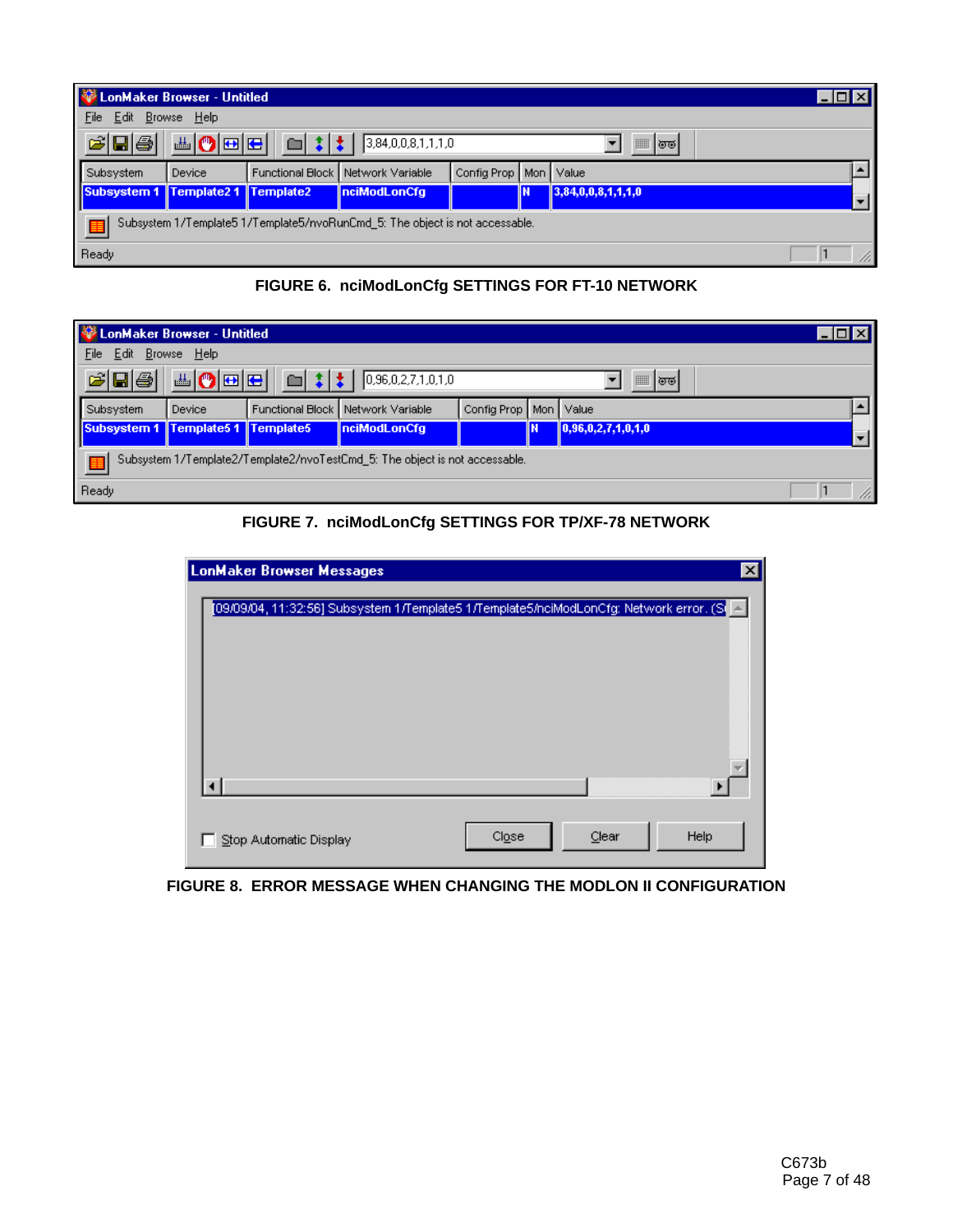| LonMaker Browser - Untitled                                                                              |             |  |                                     |                           |   |                    |  |
|----------------------------------------------------------------------------------------------------------|-------------|--|-------------------------------------|---------------------------|---|--------------------|--|
| Edit<br>File                                                                                             | Browse Help |  |                                     |                           |   |                    |  |
| 西の回日<br>$\mathcal{C}[\mathbf{E} \mathbf{\Theta}]$<br>$\Box$ : : $\pm$   3,84,0,0,8,1,1,1,0<br>  <br>। তত |             |  |                                     |                           |   |                    |  |
| Subsystem                                                                                                | Device      |  | Functional Block   Network Variable | Config Prop   Mon   Value |   |                    |  |
| Subsystem 1 Template2 1 Template2                                                                        |             |  | nciModLonCfg                        |                           | π | 3,84,0,0,8,1,1,1,0 |  |
| Subsystem 1/Template5 1/Template5/nvoRunCmd_5: The object is not accessable.<br>围                        |             |  |                                     |                           |   |                    |  |
| Ready                                                                                                    |             |  |                                     |                           |   |                    |  |

**FIGURE 6. nciModLonCfg SETTINGS FOR FT-10 NETWORK**

|                                                                                                                       | LonMaker Browser - Untitled                                                      |        |                         |                  |                   |  |                                |  |  |
|-----------------------------------------------------------------------------------------------------------------------|----------------------------------------------------------------------------------|--------|-------------------------|------------------|-------------------|--|--------------------------------|--|--|
| Browse Help<br>File<br>Edit                                                                                           |                                                                                  |        |                         |                  |                   |  |                                |  |  |
| ▲ ◎ ⊞ ⊞ │<br>$\mathcal{C}[\mathbf{E} \mathbf{\Theta}]$<br>$\Box$ $\sharp$ $\sharp$ $\Box$ 0.96,0,2,7,1,0,1,0<br>'জন্ত |                                                                                  |        |                         |                  |                   |  |                                |  |  |
|                                                                                                                       | Subsystem                                                                        | Device | <b>Functional Block</b> | Network Variable | Config Prop   Mon |  | Value                          |  |  |
|                                                                                                                       | Subsystem 1 Template5 1 Template5                                                |        |                         | nciModLonCfg     |                   |  | $\parallel$ 0,96,0,2,7,1,0,1,0 |  |  |
|                                                                                                                       | Subsystem 1/Template2/Template2/nvoTestCmd 5: The object is not accessable.<br>厓 |        |                         |                  |                   |  |                                |  |  |
|                                                                                                                       | Ready                                                                            |        |                         |                  |                   |  |                                |  |  |

**FIGURE 7. nciModLonCfg SETTINGS FOR TP/XF-78 NETWORK**

| <b>LonMaker Browser Messages</b>                                                            |       |       | $\boldsymbol{\mathsf{x}}$ |
|---------------------------------------------------------------------------------------------|-------|-------|---------------------------|
| [09/09/04, 11:32:56] Subsystem 1/Template5 1/Template5/holModLonCfg: Network error. (Si   A |       |       |                           |
|                                                                                             |       |       |                           |
| Stop Automatic Display                                                                      | Close | Clear | Help                      |

**FIGURE 8. ERROR MESSAGE WHEN CHANGING THE MODLON II CONFIGURATION**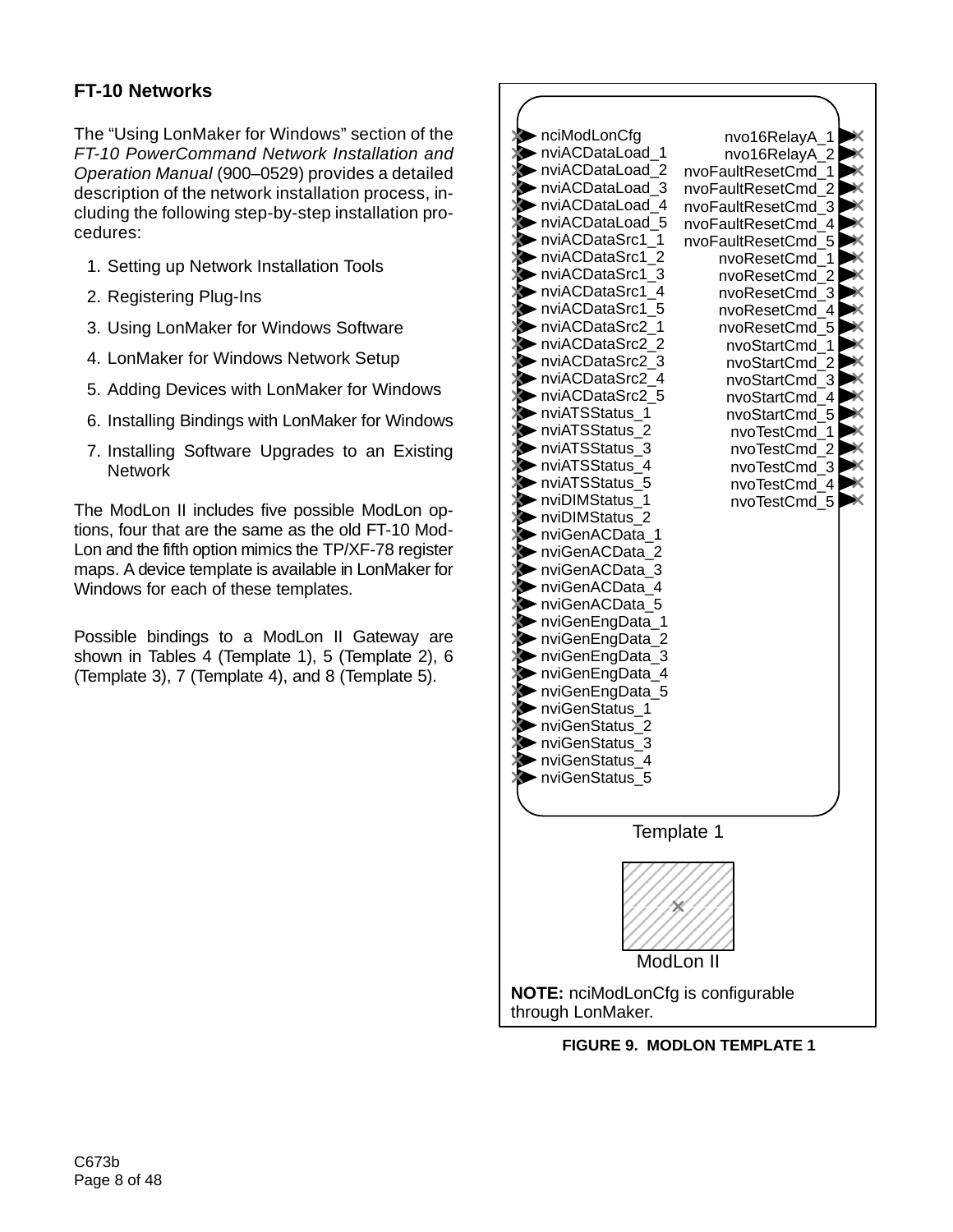# **FT-10 Networks**

The "Using LonMaker for Windows" section of the *FT-10 PowerCommand Network Installation and Operation Manual* (900–0529) provides a detailed description of the network installation process, including the following step-by-step installation procedures:

- 1. Setting up Network Installation Tools
- 2. Registering Plug-Ins
- 3. Using LonMaker for Windows Software
- 4. LonMaker for Windows Network Setup
- 5. Adding Devices with LonMaker for Windows
- 6. Installing Bindings with LonMaker for Windows
- 7. Installing Software Upgrades to an Existing Network

The ModLon II includes five possible ModLon options, four that are the same as the old FT-10 Mod-Lon and the fifth option mimics the TP/XF-78 register maps. A device template is available in LonMaker for Windows for each of these templates.

Possible bindings to a ModLon II Gateway are shown in Tables 4 (Template 1), 5 (Template 2), 6 (Template 3), 7 (Template 4), and 8 (Template 5).



**FIGURE 9. MODLON TEMPLATE 1**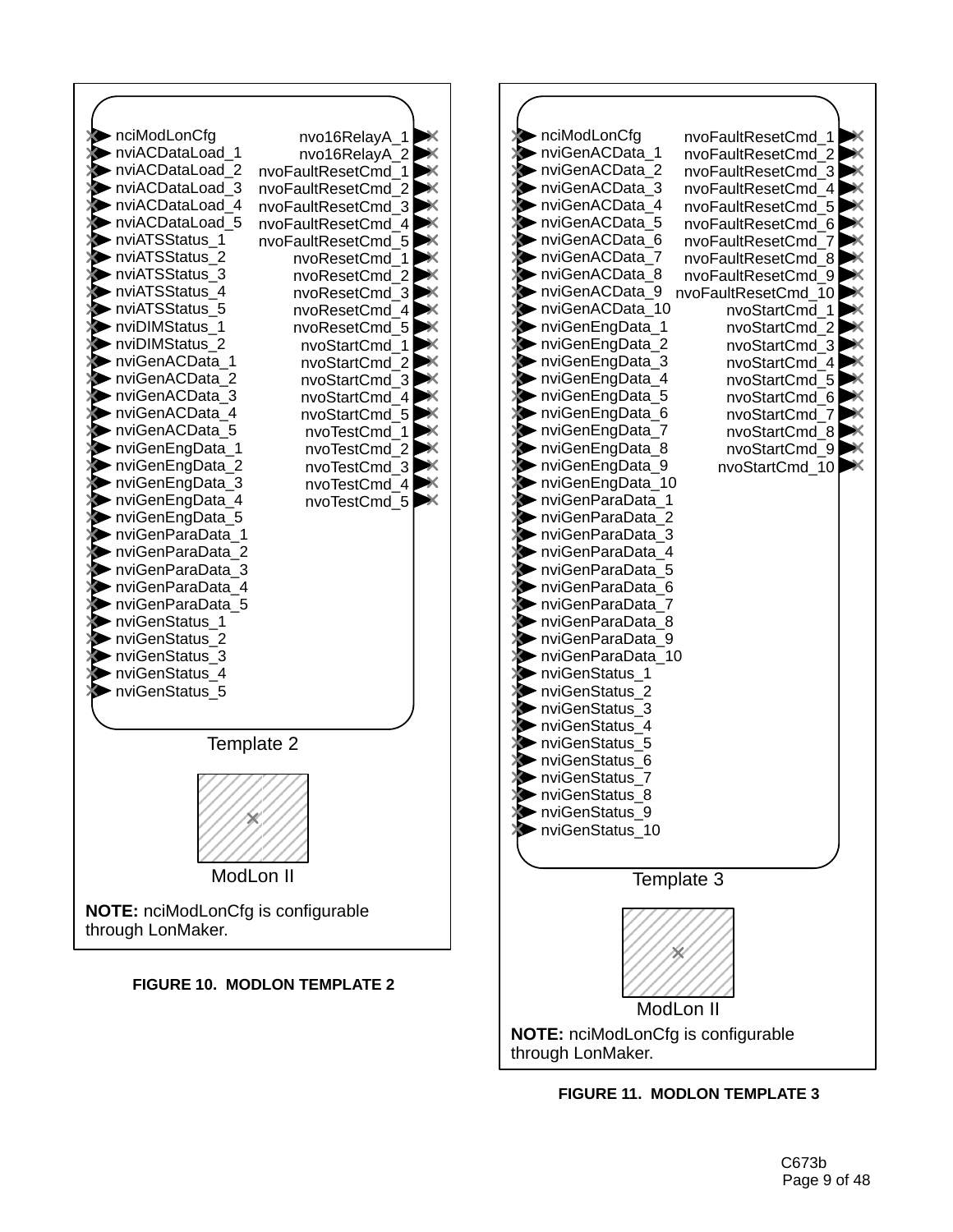

**FIGURE 11. MODLON TEMPLATE 3**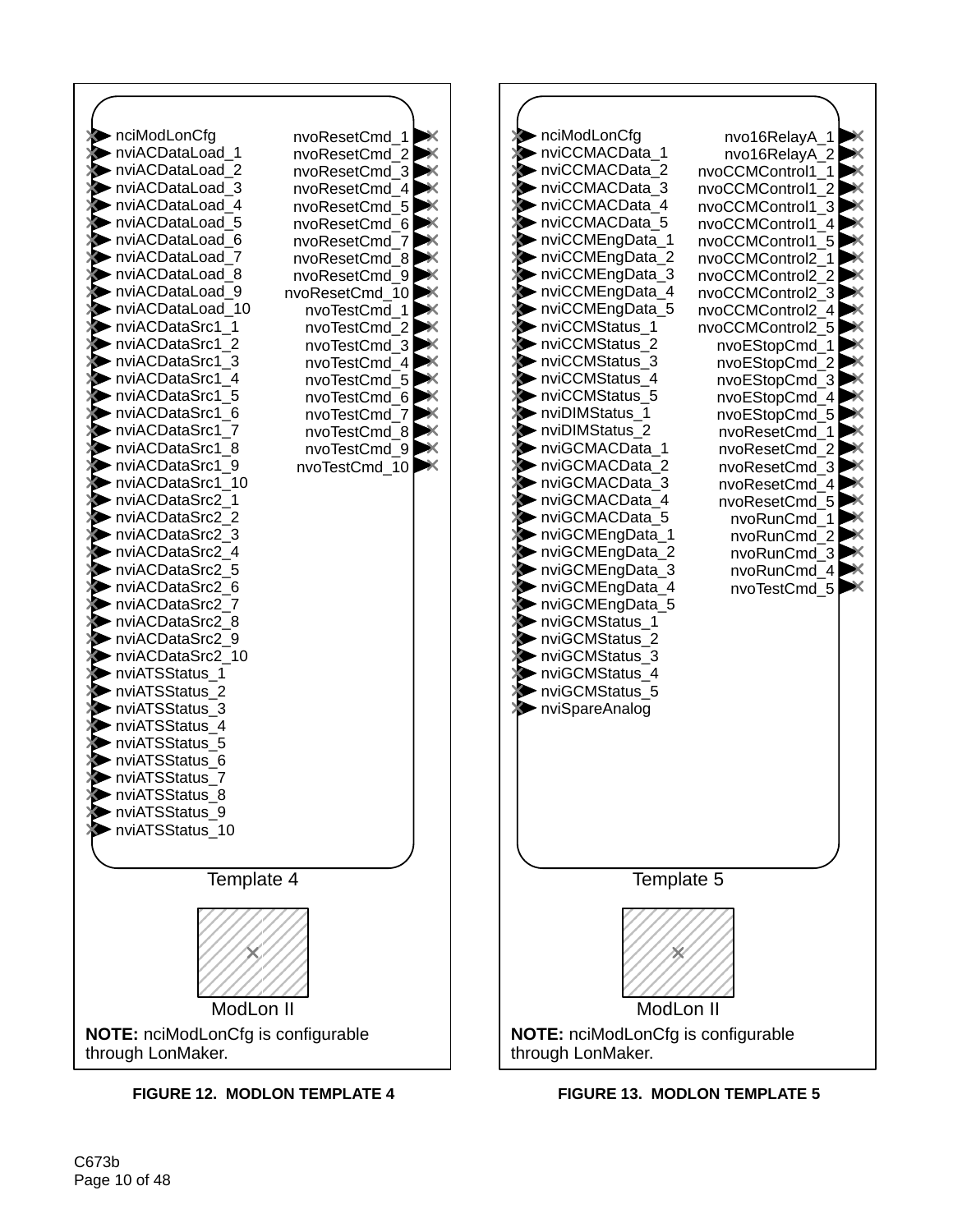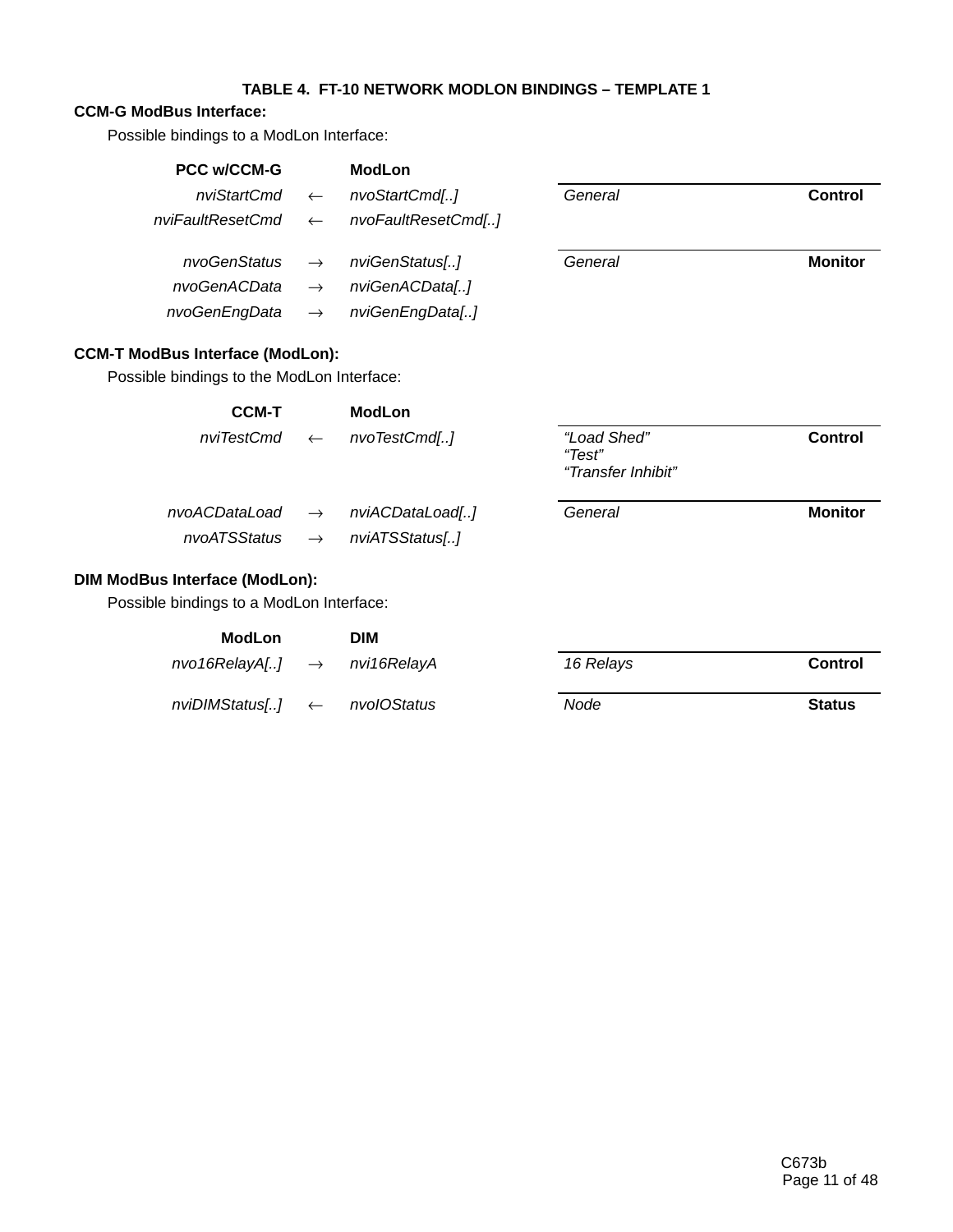## **TABLE 4. FT-10 NETWORK MODLON BINDINGS – TEMPLATE 1**

## **CCM-G ModBus Interface:**

Possible bindings to a ModLon Interface:

| <b>PCC w/CCM-G</b>                         |               | <b>ModLon</b>      |                                             |                |
|--------------------------------------------|---------------|--------------------|---------------------------------------------|----------------|
| nviStartCmd                                | $\leftarrow$  | nvoStartCmd[]      | General                                     | <b>Control</b> |
| nviFaultResetCmd                           | $\leftarrow$  | nvoFaultResetCmd[] |                                             |                |
| nvoGenStatus                               | $\rightarrow$ | nviGenStatus[]     | General                                     | <b>Monitor</b> |
| nvoGenACData                               | $\rightarrow$ | nviGenACData[]     |                                             |                |
| nvoGenEngData                              | $\rightarrow$ | nviGenEngData[]    |                                             |                |
| <b>CCM-T ModBus Interface (ModLon):</b>    |               |                    |                                             |                |
| Possible bindings to the ModLon Interface: |               |                    |                                             |                |
| <b>CCM-T</b>                               |               | <b>ModLon</b>      |                                             |                |
| nviTestCmd                                 | $\leftarrow$  | nvoTestCmd[]       | "Load Shed"<br>"Test"<br>"Transfer Inhibit" | <b>Control</b> |
| nvoACDataLoad                              | $\rightarrow$ | nviACDataLoad[]    | General                                     | <b>Monitor</b> |
| nvoATSStatus                               | $\rightarrow$ | nviATSStatus[]     |                                             |                |
| <b>DIM ModBus Interface (ModLon):</b>      |               |                    |                                             |                |
| Possible bindings to a ModLon Interface:   |               |                    |                                             |                |
| <b>ModLon</b>                              |               | <b>DIM</b>         |                                             |                |
| nvo16RelayA[]                              | $\rightarrow$ | nvi16RelayA        | 16 Relays                                   | <b>Control</b> |
| nviDIMStatus[]                             | $\leftarrow$  | nvolOStatus        | Node                                        | <b>Status</b>  |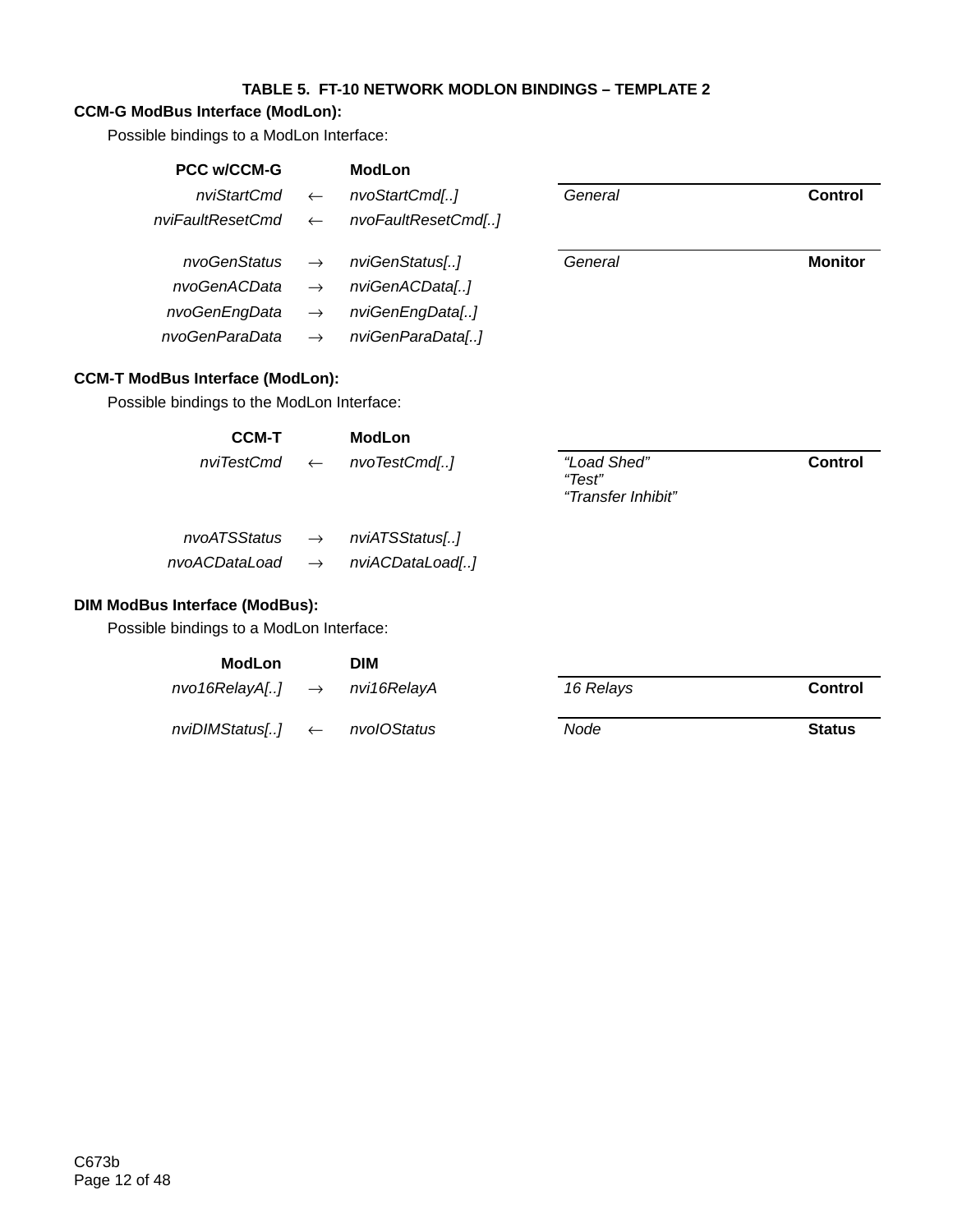## **TABLE 5. FT-10 NETWORK MODLON BINDINGS – TEMPLATE 2**

## **CCM-G ModBus Interface (ModLon):**

Possible bindings to a ModLon Interface:

| <b>PCC w/CCM-G</b>                         |               | <b>ModLon</b>      |                       |                |
|--------------------------------------------|---------------|--------------------|-----------------------|----------------|
| nviStartCmd                                | $\leftarrow$  | nvoStartCmd[]      | General               | <b>Control</b> |
| nviFaultResetCmd                           | $\leftarrow$  | nvoFaultResetCmd[] |                       |                |
| nvoGenStatus                               | $\rightarrow$ | nviGenStatus[]     | General               | <b>Monitor</b> |
| nvoGenACData                               | $\rightarrow$ | nviGenACData[]     |                       |                |
| nvoGenEngData                              | $\rightarrow$ | nviGenEngData[]    |                       |                |
| nvoGenParaData                             | $\rightarrow$ | nviGenParaData[]   |                       |                |
| <b>CCM-T ModBus Interface (ModLon):</b>    |               |                    |                       |                |
| Possible bindings to the ModLon Interface: |               |                    |                       |                |
| <b>CCM-T</b>                               |               | <b>ModLon</b>      |                       |                |
| nviTestCmd                                 | $\leftarrow$  | nvoTestCmd[]       | "Load Shed"<br>"Test" | <b>Control</b> |

| nvoATSStatus  | $\rightarrow$ | nviATSStatus[]  |
|---------------|---------------|-----------------|
| nvoACDataLoad | $\rightarrow$ | nviACDataLoad[] |

#### **DIM ModBus Interface (ModBus):**

Possible bindings to a ModLon Interface:

| ModLon                                 | <b>DIM</b>  |           |                |
|----------------------------------------|-------------|-----------|----------------|
| $n$ vo16 $R$ elay $A$ [] $\rightarrow$ | nvi16RelavA | 16 Relays | <b>Control</b> |
| $n$ viDIMStatus[] $\leftarrow$         | nvolOStatus | Node      | <b>Status</b>  |

*"Transfer Inhibit"*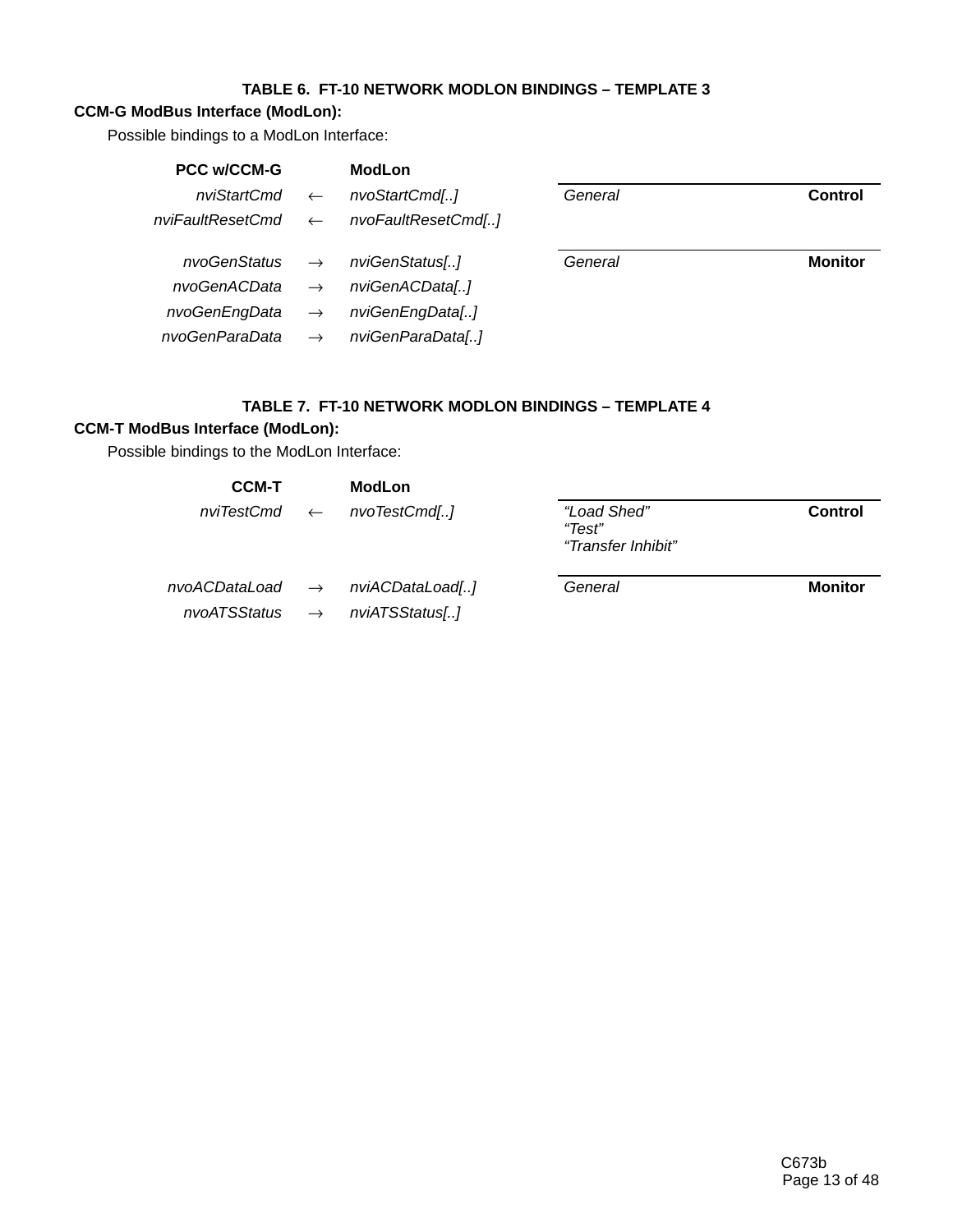## **TABLE 6. FT-10 NETWORK MODLON BINDINGS – TEMPLATE 3**

## **CCM-G ModBus Interface (ModLon):**

Possible bindings to a ModLon Interface:

| <b>PCC w/CCM-G</b>            |               | <b>ModLon</b>      |         |                |
|-------------------------------|---------------|--------------------|---------|----------------|
| nviStartCmd                   | $\leftarrow$  | nvoStartCmd[]      | General | <b>Control</b> |
| nviFaultResetCmd $\leftarrow$ |               | nvoFaultResetCmd[] |         |                |
| nvoGenStatus $\rightarrow$    |               | nviGenStatus[]     | General | <b>Monitor</b> |
| nvoGenACData                  | $\rightarrow$ | nviGenACData[]     |         |                |
| nvoGenEngData                 | $\rightarrow$ | nviGenEngData[]    |         |                |
| nvoGenParaData                | $\rightarrow$ | nviGenParaData[]   |         |                |

### **TABLE 7. FT-10 NETWORK MODLON BINDINGS – TEMPLATE 4**

### **CCM-T ModBus Interface (ModLon):**

Possible bindings to the ModLon Interface:

| <b>CCM-T</b> | <b>ModLon</b>                               |                                             |                |
|--------------|---------------------------------------------|---------------------------------------------|----------------|
|              | $nvTestCmd \leftarrow nvoTestCmd[]$         | "Load Shed"<br>"Test"<br>"Transfer Inhibit" | Control        |
|              | $nvoACDataLoad \rightarrow nviACDataLoad[]$ | General                                     | <b>Monitor</b> |
|              | $nvoATSStatus \rightarrow nviATSStatus[]$   |                                             |                |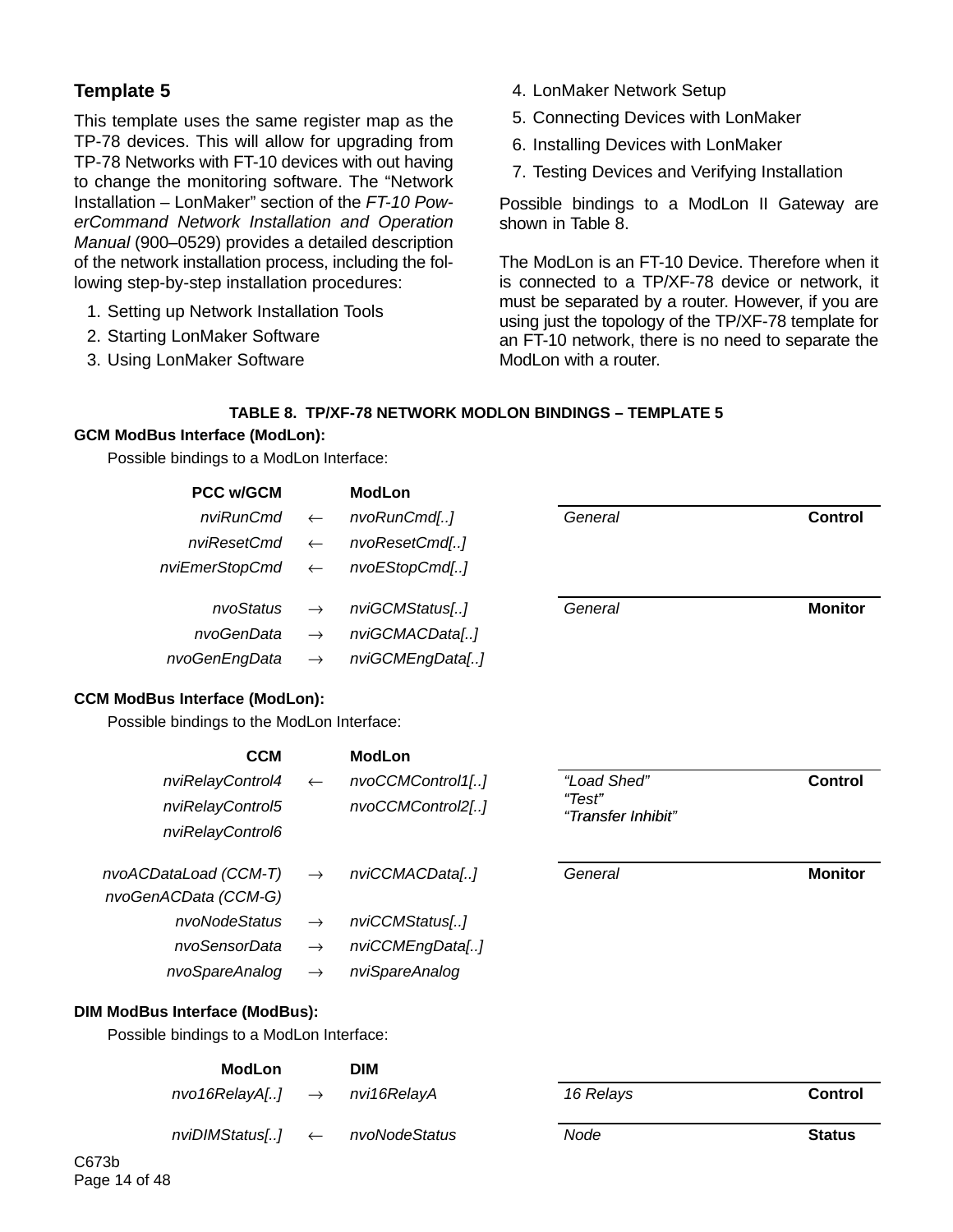# **Template 5**

This template uses the same register map as the TP-78 devices. This will allow for upgrading from TP-78 Networks with FT-10 devices with out having to change the monitoring software. The "Network Installation – LonMaker" section of the *FT-10 PowerCommand Network Installation and Operation Manual* (900–0529) provides a detailed description of the network installation process, including the following step-by-step installation procedures:

- 1. Setting up Network Installation Tools
- 2. Starting LonMaker Software
- 3. Using LonMaker Software
- 4. LonMaker Network Setup
- 5. Connecting Devices with LonMaker
- 6. Installing Devices with LonMaker
- 7. Testing Devices and Verifying Installation

Possible bindings to a ModLon II Gateway are shown in Table 8.

The ModLon is an FT-10 Device. Therefore when it is connected to a TP/XF-78 device or network, it must be separated by a router. However, if you are using just the topology of the TP/XF-78 template for an FT-10 network, there is no need to separate the ModLon with a router.

#### **TABLE 8. TP/XF-78 NETWORK MODLON BINDINGS – TEMPLATE 5**

#### **GCM ModBus Interface (ModLon):**

Possible bindings to a ModLon Interface:

| <b>PCC w/GCM</b>            |               | <b>ModLon</b>   |         |                |
|-----------------------------|---------------|-----------------|---------|----------------|
| $n$ viRunCmd $\leftarrow$   |               | nvoRunCmd[]     | General | Control        |
| $nviResetCmd \leftarrow$    |               | nvoResetCmd[]   |         |                |
| $nviEmerStopCmd \leftarrow$ |               | nvoEStopCmd[]   |         |                |
| nvoStatus $\rightarrow$     |               | nviGCMStatus[]  | General | <b>Monitor</b> |
| nvoGenData                  | $\rightarrow$ | nviGCMACData[]  |         |                |
| nvoGenEngData               | $\rightarrow$ | nviGCMEngData[] |         |                |

#### **CCM ModBus Interface (ModLon):**

Possible bindings to the ModLon Interface:

| <b>CCM</b>                               |               | <b>ModLon</b>    |                              |                |
|------------------------------------------|---------------|------------------|------------------------------|----------------|
| nviRelayControl4                         | $\leftarrow$  | nvoCCMControl1[] | "Load Shed"                  | Control        |
| nviRelayControl5                         |               | nvoCCMControl2[] | "Test"<br>"Transfer Inhibit" |                |
| nviRelayControl6                         |               |                  |                              |                |
| nvoACDataLoad (CCM-T)                    | $\rightarrow$ | nviCCMACData[]   | General                      | <b>Monitor</b> |
| nvoGenACData (CCM-G)                     |               |                  |                              |                |
| nvoNodeStatus                            | $\rightarrow$ | nviCCMStatus[]   |                              |                |
| nvoSensorData                            | $\rightarrow$ | nviCCMEngData[]  |                              |                |
| nvoSpareAnalog                           | $\rightarrow$ | nviSpareAnalog   |                              |                |
| DIM ModBus Interface (ModBus):           |               |                  |                              |                |
| Possible bindings to a ModLon Interface: |               |                  |                              |                |

# **ModLon DIM** *nvo16RelayA[..]* → *nvi16RelayA 16 Relays* **Control** *nviDIMStatus[..]* ← *nvoNodeStatus Node* **Status**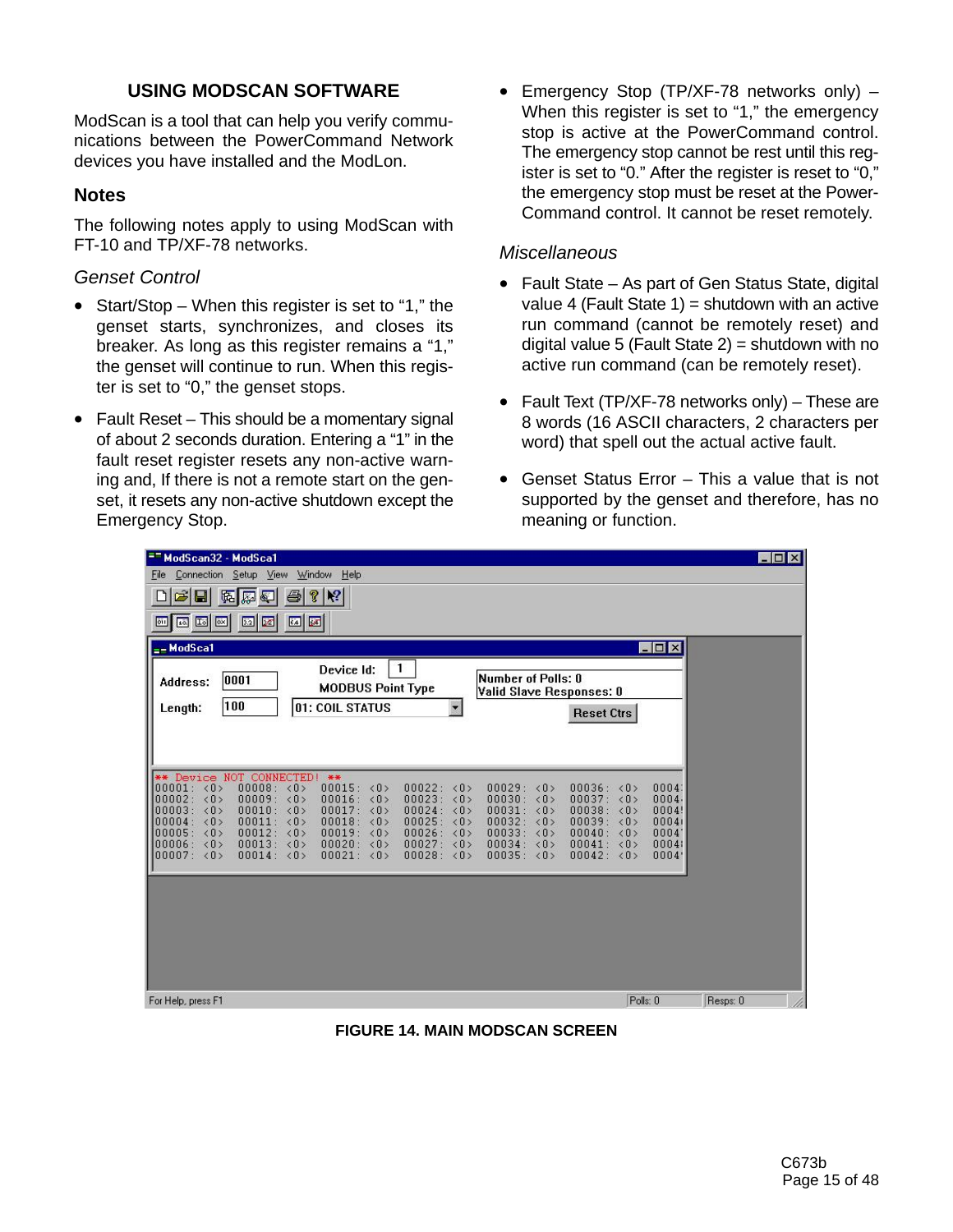# **USING MODSCAN SOFTWARE**

ModScan is a tool that can help you verify communications between the PowerCommand Network devices you have installed and the ModLon.

## **Notes**

The following notes apply to using ModScan with FT-10 and TP/XF-78 networks.

## *Genset Control*

- Start/Stop When this register is set to "1," the genset starts, synchronizes, and closes its breaker. As long as this register remains a "1," the genset will continue to run. When this register is set to "0," the genset stops.
- Fault Reset This should be a momentary signal of about 2 seconds duration. Entering a "1" in the fault reset register resets any non-active warning and, If there is not a remote start on the genset, it resets any non-active shutdown except the Emergency Stop.

• Emergency Stop (TP/XF-78 networks only) – When this register is set to "1," the emergency stop is active at the PowerCommand control. The emergency stop cannot be rest until this register is set to "0." After the register is reset to "0," the emergency stop must be reset at the Power-Command control. It cannot be reset remotely.

## *Miscellaneous*

- Fault State As part of Gen Status State, digital value 4 (Fault State 1) = shutdown with an active run command (cannot be remotely reset) and digital value 5 (Fault State  $2$ ) = shutdown with no active run command (can be remotely reset).
- Fault Text (TP/XF-78 networks only) These are 8 words (16 ASCII characters, 2 characters per word) that spell out the actual active fault.
- Genset Status Error This a value that is not supported by the genset and therefore, has no meaning or function.

| <sup>==</sup> ModScan32 - ModSca1                                                                                                                                                                                                                                                                                                                                                                                                                                                                                                                                                                                                                                                                                                                                                                                            | $ \Box$ $\times$                                                                                        |
|------------------------------------------------------------------------------------------------------------------------------------------------------------------------------------------------------------------------------------------------------------------------------------------------------------------------------------------------------------------------------------------------------------------------------------------------------------------------------------------------------------------------------------------------------------------------------------------------------------------------------------------------------------------------------------------------------------------------------------------------------------------------------------------------------------------------------|---------------------------------------------------------------------------------------------------------|
| Connection Setup View Window Help<br>File                                                                                                                                                                                                                                                                                                                                                                                                                                                                                                                                                                                                                                                                                                                                                                                    |                                                                                                         |
| 8 2<br>马<br>П<br>區<br>ଢା<br>≅                                                                                                                                                                                                                                                                                                                                                                                                                                                                                                                                                                                                                                                                                                                                                                                                |                                                                                                         |
| $\boxed{64}$ $\boxed{64}$<br>同国<br><b>32 &amp;</b><br><b>Div</b><br><b>OII</b>                                                                                                                                                                                                                                                                                                                                                                                                                                                                                                                                                                                                                                                                                                                                               |                                                                                                         |
| $=-$ ModSca1                                                                                                                                                                                                                                                                                                                                                                                                                                                                                                                                                                                                                                                                                                                                                                                                                 | FOX                                                                                                     |
| 1<br>Device Id:<br>Number of Polls: 0<br>0001<br>Address:<br><b>MODBUS Point Type</b><br>Valid Slave Responses: 0<br>100<br>01: COIL STATUS<br>Length:<br><b>Reset Ctrs</b>                                                                                                                                                                                                                                                                                                                                                                                                                                                                                                                                                                                                                                                  |                                                                                                         |
| ** Device NOT CONNECTED! **<br>00008: <0><br>00015: <0><br>00001: <0><br>00022: <0><br>00029: <0><br>00036: <0><br>00023: <0><br>00030:<br>00002: <0><br>00009: <0><br>00016: <0><br>00037: <sub>0</sub><br>$\langle 0 \rangle$<br>00003: <0><br>00010: <0><br>00017: <0><br>00024:<br>00031: <0><br>00038: <0><br>$\langle 0 \rangle$<br>00032:<br>00004:<br>$\langle 0 \rangle$<br>00011: <0><br>00018: <0><br>00025:<br>00039:<br>$\langle 0 \rangle$<br>$\langle 0 \rangle$<br>00005: <0><br>00012: <0><br>00019: <0><br>00026:<br>00033:<br>00040:<br>$\langle 0 \rangle$<br>$\langle 0 \rangle$<br>00013: <0><br>00020: <0><br>00027:<br>00034:<br>00006: <0><br>00041: <0><br>$\langle 0 \rangle$<br>$\langle 0 \rangle$<br>00014: <0><br>00021: <0><br>00028: <0><br>00035: <0><br>00042: <0><br>00007: <sub>0</sub> | 0004<br>0004.<br>0004!<br>$\langle 0 \rangle$<br>00041<br>$\langle 0 \rangle$<br>0004<br>00041<br>0004' |
|                                                                                                                                                                                                                                                                                                                                                                                                                                                                                                                                                                                                                                                                                                                                                                                                                              |                                                                                                         |
| For Help, press F1                                                                                                                                                                                                                                                                                                                                                                                                                                                                                                                                                                                                                                                                                                                                                                                                           | Polls: 0<br>Resps: 0<br>h                                                                               |

**FIGURE 14. MAIN MODSCAN SCREEN**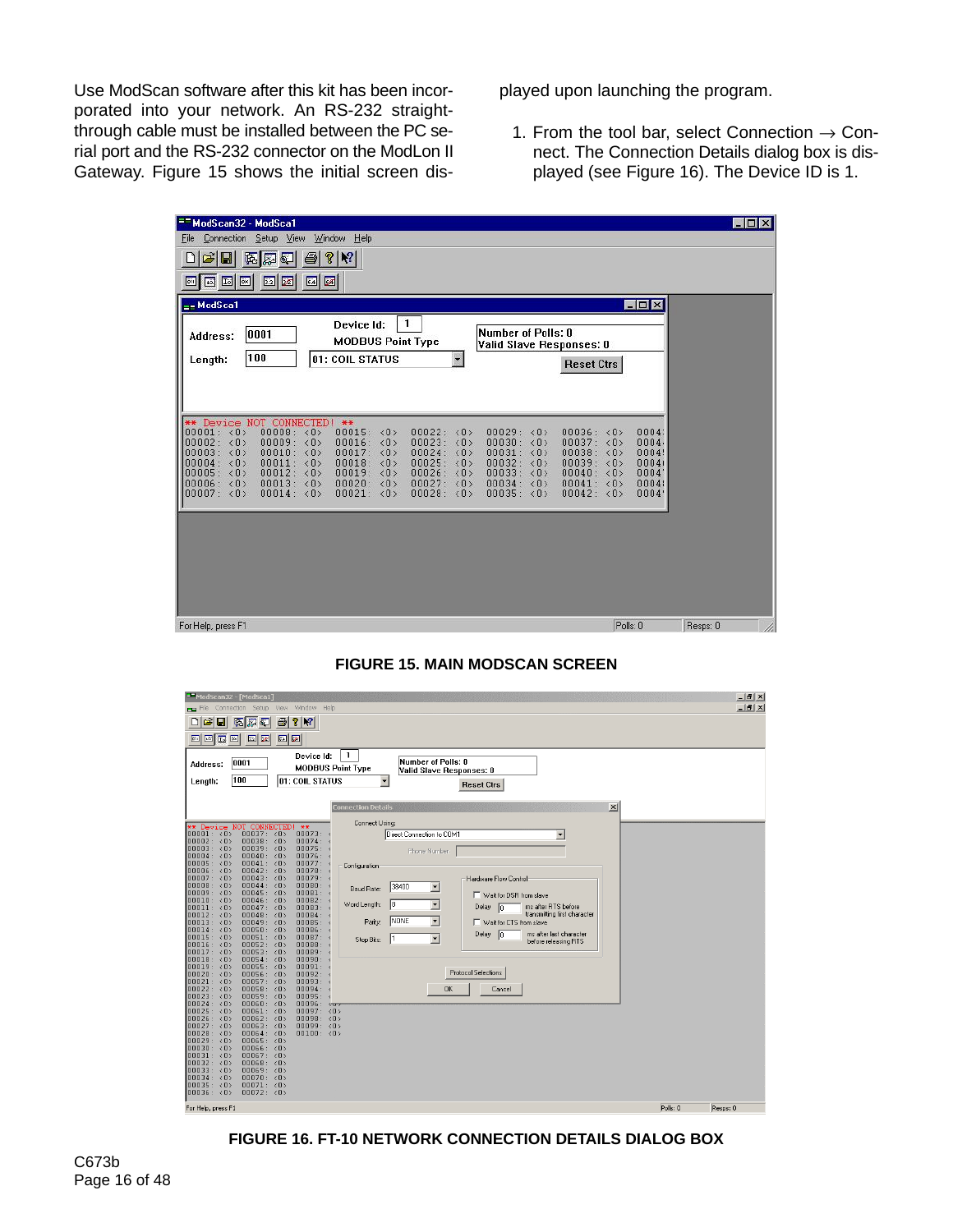Use ModScan software after this kit has been incorporated into your network. An RS-232 straightthrough cable must be installed between the PC serial port and the RS-232 connector on the ModLon II Gateway. Figure 15 shows the initial screen displayed upon launching the program.

1. From the tool bar, select Connection  $\rightarrow$  Connect. The Connection Details dialog box is displayed (see Figure 16). The Device ID is 1.

| == ModScan32 - ModSca1                                                                                                                                                                                                                                                                                                                                                                                                                                                                                                                                                                                                                                                                                                                                                                                                                                                                                                            | <b>NOX</b>                                               |
|-----------------------------------------------------------------------------------------------------------------------------------------------------------------------------------------------------------------------------------------------------------------------------------------------------------------------------------------------------------------------------------------------------------------------------------------------------------------------------------------------------------------------------------------------------------------------------------------------------------------------------------------------------------------------------------------------------------------------------------------------------------------------------------------------------------------------------------------------------------------------------------------------------------------------------------|----------------------------------------------------------|
| Connection Setup View Window Help<br>File                                                                                                                                                                                                                                                                                                                                                                                                                                                                                                                                                                                                                                                                                                                                                                                                                                                                                         |                                                          |
| c di<br>$\bigcirc$ ? $\mathbb{R}$<br>區<br>$\triangleq$<br>區                                                                                                                                                                                                                                                                                                                                                                                                                                                                                                                                                                                                                                                                                                                                                                                                                                                                       |                                                          |
| 64<br>画画图<br><b>E</b> E<br>ou                                                                                                                                                                                                                                                                                                                                                                                                                                                                                                                                                                                                                                                                                                                                                                                                                                                                                                     |                                                          |
| $=-$ ModSca1                                                                                                                                                                                                                                                                                                                                                                                                                                                                                                                                                                                                                                                                                                                                                                                                                                                                                                                      | <b>MOX</b>                                               |
| 1<br>Device Id:<br>Number of Polls: 0<br>0001<br>Address:<br><b>MODBUS Point Type</b><br>Valid Slave Responses: 0<br>100<br>01: COIL STATUS<br>Length:<br><b>Reset Ctrs</b>                                                                                                                                                                                                                                                                                                                                                                                                                                                                                                                                                                                                                                                                                                                                                       |                                                          |
| ** Device NOT CONNECTED! **<br>00008: <0><br>00001: <0><br>00015: <0><br>00022: <0><br>00029: <0><br>00036: <0><br>00009: <0><br>00023:<br>00002:<br>$\langle 0 \rangle$<br>00016: <0><br>$\langle 0 \rangle$<br>00030:<br>00037: <0><br>$\langle 0 \rangle$<br>$\langle 0 \rangle$<br>00010: <0><br>00017: <sub>0</sub><br>00024: <0><br>00031:<br>00038: <0><br>00003:<br>$\langle 0 \rangle$<br>00032:<br>00011:<br>00018: <0><br>00025:<br>00039: <0><br>$\langle 0 \rangle$<br>$\langle 0 \rangle$<br>$\langle 0 \rangle$<br>$\langle 0 \rangle$<br>00004:<br>00012: <0><br>00033:<br>00026: <0><br>00005:<br>$\langle 0 \rangle$<br>00019: <0><br>00040: <0><br>$\langle 0 \rangle$<br>00013: <sub>0</sub><br>00027: <sub>0</sub><br>00034: <0><br>00006:<br>$\langle 0 \rangle$<br>00020: <0><br>00041: <sub>0</sub><br>00014: <sub>0</sub><br>00028: <0><br>00007: <sub>0</sub><br>00021: <0><br>00035: <0><br>00042: <0> | 0004<br>0004.<br>0004!<br>00041<br>0004<br>0004<br>0004' |
| For Help, press F1                                                                                                                                                                                                                                                                                                                                                                                                                                                                                                                                                                                                                                                                                                                                                                                                                                                                                                                | Polls: 0<br>Resps: 0                                     |

**FIGURE 15. MAIN MODSCAN SCREEN**



**FIGURE 16. FT-10 NETWORK CONNECTION DETAILS DIALOG BOX**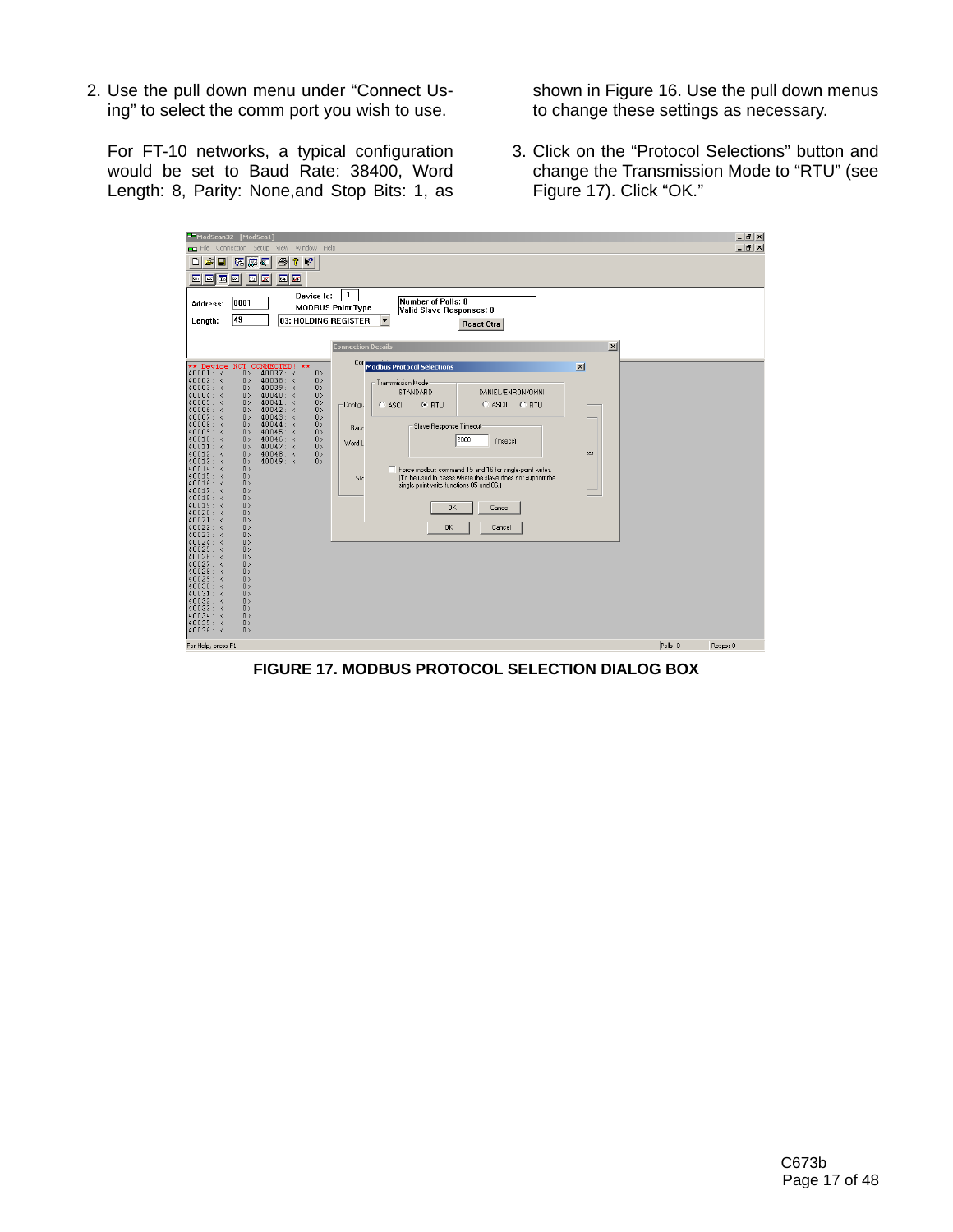2. Use the pull down menu under "Connect Using" to select the comm port you wish to use.

For FT-10 networks, a typical configuration would be set to Baud Rate: 38400, Word Length: 8, Parity: None,and Stop Bits: 1, as shown in Figure 16. Use the pull down menus to change these settings as necessary.

3. Click on the "Protocol Selections" button and change the Transmission Mode to "RTU" (see Figure 17). Click "OK."

| ModScan32 - [ModSca1]<br>File Connection Setup View Window Help                                                                          | $-12$ $\times$<br>$-1$ $-1$ $\times$ |
|------------------------------------------------------------------------------------------------------------------------------------------|--------------------------------------|
| DI BI<br> P <br>$ \mathbf{k}$<br>Ы<br>4<br>區<br><b>R</b><br>⊌                                                                            |                                      |
| □   □   □   □<br>國國<br>52 52                                                                                                             |                                      |
| $\mathbf{1}$                                                                                                                             |                                      |
| Device Id:<br>Number of Polls: 0<br>0001<br>Address:<br><b>MODBUS Point Type</b>                                                         |                                      |
| Valid Slave Responses: 0<br>49<br>03: HOLDING REGISTER<br>Length:                                                                        |                                      |
| <b>Reset Ctrs</b>                                                                                                                        |                                      |
| $\vert x \vert$<br><b>Connection Details</b>                                                                                             |                                      |
|                                                                                                                                          |                                      |
| Cori<br>** Device<br>NOT CONNECTED! **<br>$\vert x \vert$<br><b>Modbus Protocol Selections</b><br>$40001:$ <<br>40037: <<br>0><br>0>     |                                      |
| 40002: <<br>0><br>$40038: \times$<br>0><br><b>Transmission Mode</b>                                                                      |                                      |
| $40003:$ <<br>$40039:$ <<br>0><br>0><br>STANDARD<br>DANIEL/ENRON/OMNI<br>40004: <<br>0><br>$40040:$ <<br>0>                              |                                      |
| $40005: \leq$<br>$40041:$ <<br>0><br>0><br>$C$ RTU<br>$C$ ASCII<br>$C$ RTU<br>$C$ ASCII<br>Configu<br>$40006:$ <<br>40042: <<br>0><br>0> |                                      |
| 40007: <<br>0><br>0><br>$40043: \times$                                                                                                  |                                      |
| $40008:$ <<br>0><br>0><br>$40044:$ <<br>Slave Response Timeout<br>Bauc<br>$40009:$ <<br>$40045: \times$<br>0><br>0>                      |                                      |
| $40010:$ <<br>0><br>$40046: \leq$<br>0><br>2000<br>(msecs)<br>Word L<br>$40011:$ <<br>0><br>0>                                           |                                      |
| $40047: \leq$<br>40012: <<br>$40048: \times$<br>0><br>ter<br>0>                                                                          |                                      |
| $40013:$ <<br>$40049:$ <<br>0><br>0><br>40014: <<br>0><br>F Force modbus command 15 and 16 for single-point writes.                      |                                      |
| $40015: \leq$<br>0><br>(To be used in cases where the slave does not support the<br>Stc<br>$40016:$ <<br>0>                              |                                      |
| single-point write functions 05 and 06.)<br>$40017:$ <<br>0>                                                                             |                                      |
| $40018:$ <<br>0><br>$40019:$ <<br>0><br><b>OK</b><br>Cancel                                                                              |                                      |
| $40020:$ <<br>0><br>40021: <<br>0>                                                                                                       |                                      |
| 40022: <<br>0><br><b>OK</b><br>Cancel                                                                                                    |                                      |
| $40023:$ <<br>0><br>$40024: \leq$<br>0>                                                                                                  |                                      |
| 0><br>$40025: \leq$<br>$40026:$ <<br>0>                                                                                                  |                                      |
| $40027: \times$<br>0>                                                                                                                    |                                      |
| $40028:$ <<br>0><br>$40029: \; <$<br>0>                                                                                                  |                                      |
| $40030:$ <<br>0><br>40031: <<br>0>                                                                                                       |                                      |
| 40032: <<br>0>                                                                                                                           |                                      |
| $40033:$ <<br>0><br>$40034: \times$<br>0>                                                                                                |                                      |
| $40035: \leq$<br>0><br>$40036: \; <$<br>0>                                                                                               |                                      |
| For Help, press F1                                                                                                                       | Polls: 0<br>Resps: 0                 |
|                                                                                                                                          |                                      |

**FIGURE 17. MODBUS PROTOCOL SELECTION DIALOG BOX**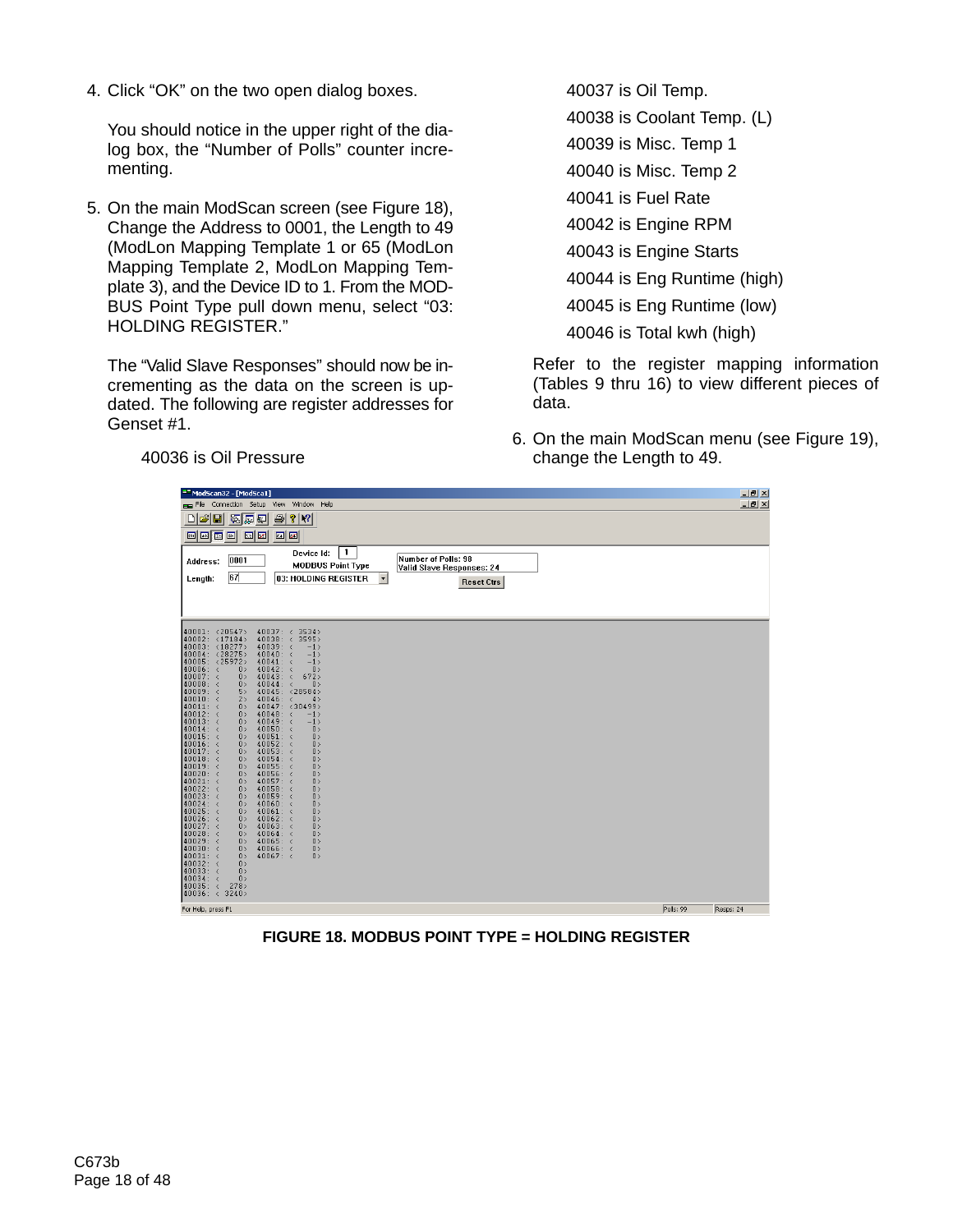4. Click "OK" on the two open dialog boxes.

You should notice in the upper right of the dialog box, the "Number of Polls" counter incrementing.

5. On the main ModScan screen (see Figure 18), Change the Address to 0001, the Length to 49 (ModLon Mapping Template 1 or 65 (ModLon Mapping Template 2, ModLon Mapping Template 3), and the Device ID to 1. From the MOD-BUS Point Type pull down menu, select "03: HOLDING REGISTER."

The "Valid Slave Responses" should now be incrementing as the data on the screen is updated. The following are register addresses for Genset #1.

40037 is Oil Temp. 40038 is Coolant Temp. (L) 40039 is Misc. Temp 1 40040 is Misc. Temp 2 40041 is Fuel Rate 40042 is Engine RPM 40043 is Engine Starts 40044 is Eng Runtime (high) 40045 is Eng Runtime (low) 40046 is Total kwh (high)

Refer to the register mapping information (Tables 9 thru 16) to view different pieces of data.

6. On the main ModScan menu (see Figure 19), change the Length to 49.

40036 is Oil Pressure

| ModScan32 - [ModSca1]                                                                                               |           | $-10$ $\times$ |
|---------------------------------------------------------------------------------------------------------------------|-----------|----------------|
| File Connection Setup View<br>Window Help                                                                           |           | $-10x$         |
| c di<br>$\frac{1}{2}$ $\frac{1}{2}$<br>医尿红<br>8<br>$\Box$                                                           |           |                |
| 画画画画<br>$\boxed{51}$<br><b>32 80</b>                                                                                |           |                |
| 1<br>Device Id:<br>Number of Polls: 98<br>0001<br>Address:<br><b>MODBUS Point Type</b><br>Valid Slave Responses: 24 |           |                |
| 67<br>03: HOLDING REGISTER<br>$\vert \mathbf{v} \vert$<br>Length:<br><b>Reset Ctrs</b>                              |           |                |
|                                                                                                                     |           |                |
|                                                                                                                     |           |                |
|                                                                                                                     |           |                |
| 40001: <20547><br>$40037: \leq$<br>3534<br>40002: <17184<br>$40038:$ <<br>3595                                      |           |                |
| 40003: <18277><br>$40039:$ <<br>$-1$<br>40004: <28275><br>$40040:$ <<br>$-1$                                        |           |                |
| 40005: <25972><br>$40041:$ <<br>$-1$                                                                                |           |                |
| $40006: \leq$<br>0><br>$40042: \times$<br>0><br>40007: <<br>0><br>$40043:$ <<br>672                                 |           |                |
| 0><br>$40008:$ <<br>40044: <<br>0><br>5><br>40045: <28584>                                                          |           |                |
| $40009:$ <<br>$40010:$ <<br>2><br>$40046: \leq$<br>4>                                                               |           |                |
| $40011:$ <<br>0><br>40047: <30499><br>40012: <<br>0><br>$40048: \leq$<br>$-1$                                       |           |                |
| $40013:$ <<br>$40049:$ <<br>0><br>$-1$                                                                              |           |                |
| $40014:$ <<br>0><br>$40050: \leq$<br>0><br>$40015:$ <<br>$40051:$ <<br>0><br>0>                                     |           |                |
| $40016:$ <<br>$40052: \leq$<br>0><br>0><br>$40017:$ <<br>$40053: \; <$<br>0><br>0>                                  |           |                |
| $40018:$ <<br>0><br>$40054: \leq$<br>0>                                                                             |           |                |
| $40019:$ <<br>0><br>$40055: \; <$<br>0><br>$40020:$ <<br>0><br>$40056: \; <$<br>0>                                  |           |                |
| 40021: <<br>0><br>$40057: \times$<br>0>                                                                             |           |                |
| 40022: <<br>0><br>$40058: \times$<br>0><br>$40023: \leq$<br>$40059:$ <<br>0><br>0>                                  |           |                |
| $40024: \leq$<br>0<br>$40060:$ <<br>0><br>$40025: \leq$<br>0><br>$40061:$ <<br>0>                                   |           |                |
| $40026: \leq$<br>0><br>$40062: \times$<br>0>                                                                        |           |                |
| 40027: <<br>$40063: \times$<br>0><br>0><br>$40028: \leq$<br>$40064:$ <<br>0><br>0>                                  |           |                |
| $40029: \leq$<br>0><br>$40065: \leq$<br>0>                                                                          |           |                |
| $40030:$ <<br>0><br>$40066:$ <<br>0><br>$40031:$ <<br>0<br>$40067: \leq$<br>0>                                      |           |                |
| $40032: \times$<br>0><br>$40033: \leq$<br>0>                                                                        |           |                |
| $40034: \leq$<br>0>                                                                                                 |           |                |
| $40035: \leq$<br>278<br>40036: < 3240                                                                               |           |                |
| For Help, press F1                                                                                                  | Polls: 99 | Resps: 24      |

**FIGURE 18. MODBUS POINT TYPE = HOLDING REGISTER**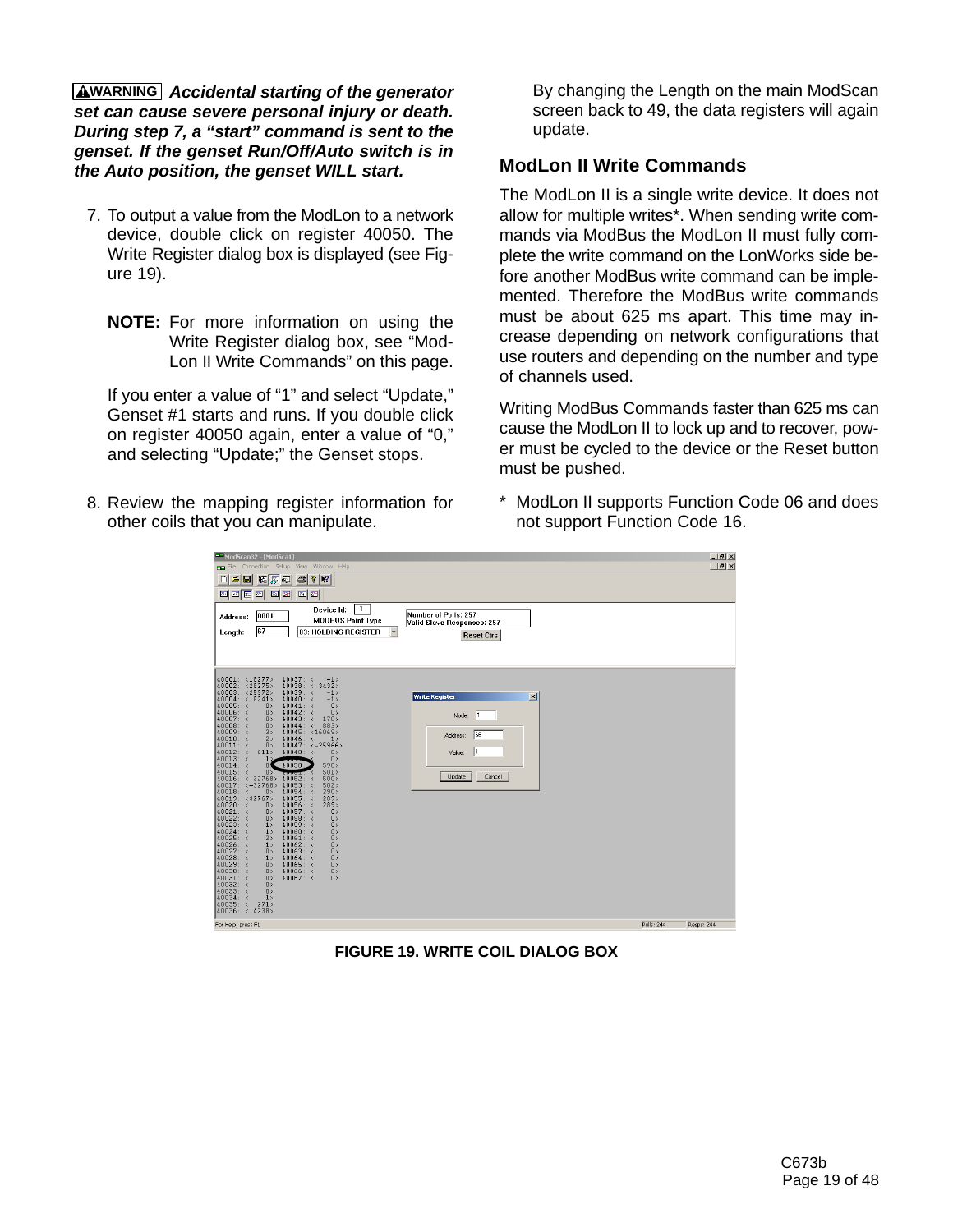**WARNING** *Accidental starting of the generator set can cause severe personal injury or death. During step 7, a "start" command is sent to the genset. If the genset Run/Off/Auto switch is in the Auto position, the genset WILL start.*

- 7. To output a value from the ModLon to a network device, double click on register 40050. The Write Register dialog box is displayed (see Figure 19).
	- **NOTE:** For more information on using the Write Register dialog box, see "Mod-Lon II Write Commands" on this page.

If you enter a value of "1" and select "Update," Genset #1 starts and runs. If you double click on register 40050 again, enter a value of "0," and selecting "Update;" the Genset stops.

8. Review the mapping register information for other coils that you can manipulate.

By changing the Length on the main ModScan screen back to 49, the data registers will again update.

## **ModLon II Write Commands**

The ModLon II is a single write device. It does not allow for multiple writes\*. When sending write commands via ModBus the ModLon II must fully complete the write command on the LonWorks side before another ModBus write command can be implemented. Therefore the ModBus write commands must be about 625 ms apart. This time may increase depending on network configurations that use routers and depending on the number and type of channels used.

Writing ModBus Commands faster than 625 ms can cause the ModLon II to lock up and to recover, power must be cycled to the device or the Reset button must be pushed.

\* ModLon II supports Function Code 06 and does not support Function Code 16.

| ModScan32 - [ModSca1]                                                                                                 |           | $-12$            |
|-----------------------------------------------------------------------------------------------------------------------|-----------|------------------|
| File Connection Setup View Window Help                                                                                |           | $-1$ $-1 \times$ |
| 미래미<br>$\bigoplus$ ? $\big $ ?<br>医险口                                                                                 |           |                  |
| 网圈商网<br>圆圆<br>圖圖                                                                                                      |           |                  |
|                                                                                                                       |           |                  |
| 1<br>Device Id:<br>Number of Polls: 257<br>0001<br>Address:                                                           |           |                  |
| <b>MODBUS Point Type</b><br>Valid Slave Responses: 257<br>67                                                          |           |                  |
| 03: HOLDING REGISTER<br>Length:<br><b>Reset Ctrs</b>                                                                  |           |                  |
|                                                                                                                       |           |                  |
|                                                                                                                       |           |                  |
|                                                                                                                       |           |                  |
| 40001: <18277><br>40037: <<br>$-1$<br>40002: <28275><br>40038: <<br>3432                                              |           |                  |
| 40003: <25972><br>40039: <<br>$-1$<br><b>Write Register</b><br>$\vert x \vert$<br>40004: < 8241<br>$40040:$ <<br>$-1$ |           |                  |
| 40005: <<br>0><br>$40041:$ <<br>0                                                                                     |           |                  |
| 40006: <<br>40042: <<br>0><br>0<br>$\vert$ 1<br>Node:<br>40007: <<br>0><br>$40043:$ <<br>178                          |           |                  |
| $40008:$ <<br>$40044:$ <<br>883><br>0><br>$40009:$ <<br>40045: <16069><br>$3\,$<br>66                                 |           |                  |
| Address:<br>$40010:$ <<br>$40046:$ <<br>2><br>1<br>$40011:$ <<br>0><br>40047: <- 25966>                               |           |                  |
| I٦<br>$40012: \leq$<br>611<br>$40048:$ <<br>0><br>Value:                                                              |           |                  |
| $40013:$ <<br>0><br>$1 \times$<br>$40014:$ <<br>40050:<br>598<br>$\mathbf{0}$                                         |           |                  |
| 40015: <<br>0 <sub>2</sub><br>501<br>Cancel<br>Update<br>40016: <- 32768> 40052:<br>500<br>×                          |           |                  |
| $40017: < -32768 > 40053$ :<br>502                                                                                    |           |                  |
| $40018:$ <<br>0<br>$40054:$ <<br>290<br>40019: <32767><br>40055 : <<br>289                                            |           |                  |
| $40020:$ <<br>0><br>$40056:$ <<br>289<br>$40021:$ <<br>40057: <<br>0><br>0>                                           |           |                  |
| 40022: <<br>$40058:$ <<br>0><br>0><br>40023: <<br>1<br>$40059:$ <<br>0                                                |           |                  |
| $40024: \leq$<br>$40060:$ <<br>1<br>0>                                                                                |           |                  |
| $40025: \leq$<br>2><br>$40061:$ <<br>0><br>$40026:$ <<br>40062: <<br>1<br>0                                           |           |                  |
| $40027: \leq$<br>0><br>$40063: \leq$<br>0<br>40028: <<br>$40064:$ <<br>1<br>0>                                        |           |                  |
| 40029: <<br>$40065:$ <<br>0><br>0                                                                                     |           |                  |
| 40030: <<br>$40066:$ <<br>0><br>0<br>$40031:$ <<br>0><br>$40067: \leq$<br>0>                                          |           |                  |
| 40032: <<br>0><br>40033: <<br>0>                                                                                      |           |                  |
| 40034: <<br>1                                                                                                         |           |                  |
| 40035: <<br>271<br>40036: < 4238>                                                                                     |           |                  |
| For Help, press F1                                                                                                    | Pols: 244 | Resps: 244       |
|                                                                                                                       |           |                  |

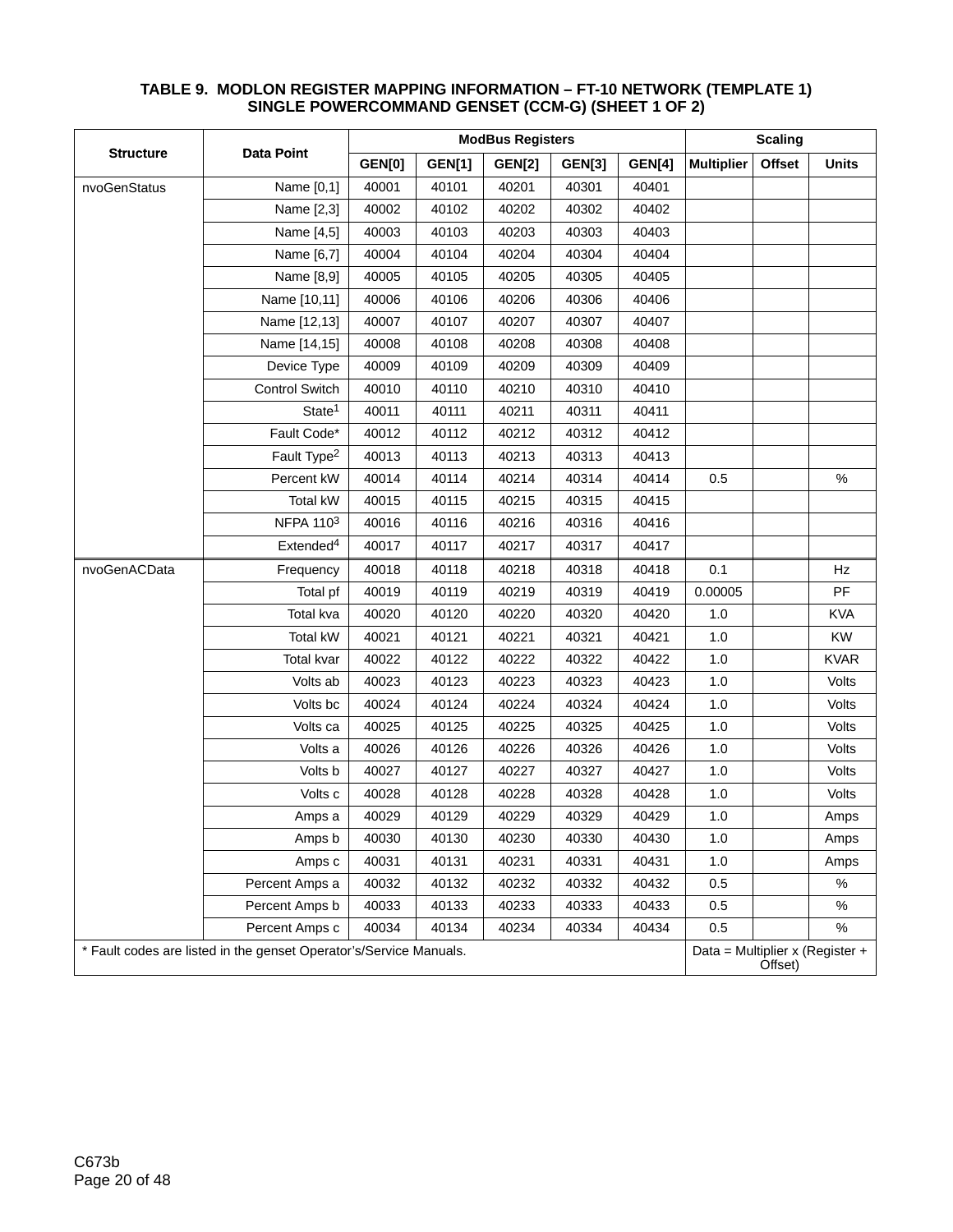|                                                                    | <b>Data Point</b>       |               | <b>Scaling</b> |               |               |               |                   |               |                                 |
|--------------------------------------------------------------------|-------------------------|---------------|----------------|---------------|---------------|---------------|-------------------|---------------|---------------------------------|
| <b>Structure</b>                                                   |                         | <b>GEN[0]</b> | <b>GEN[1]</b>  | <b>GEN[2]</b> | <b>GEN[3]</b> | <b>GEN[4]</b> | <b>Multiplier</b> | <b>Offset</b> | <b>Units</b>                    |
| nvoGenStatus                                                       | Name [0,1]              | 40001         | 40101          | 40201         | 40301         | 40401         |                   |               |                                 |
|                                                                    | Name [2,3]              | 40002         | 40102          | 40202         | 40302         | 40402         |                   |               |                                 |
|                                                                    | Name [4,5]              | 40003         | 40103          | 40203         | 40303         | 40403         |                   |               |                                 |
|                                                                    | Name [6,7]              | 40004         | 40104          | 40204         | 40304         | 40404         |                   |               |                                 |
|                                                                    | Name [8,9]              | 40005         | 40105          | 40205         | 40305         | 40405         |                   |               |                                 |
|                                                                    | Name [10,11]            | 40006         | 40106          | 40206         | 40306         | 40406         |                   |               |                                 |
|                                                                    | Name [12,13]            | 40007         | 40107          | 40207         | 40307         | 40407         |                   |               |                                 |
|                                                                    | Name [14,15]            | 40008         | 40108          | 40208         | 40308         | 40408         |                   |               |                                 |
|                                                                    | Device Type             | 40009         | 40109          | 40209         | 40309         | 40409         |                   |               |                                 |
|                                                                    | <b>Control Switch</b>   | 40010         | 40110          | 40210         | 40310         | 40410         |                   |               |                                 |
|                                                                    | State <sup>1</sup>      | 40011         | 40111          | 40211         | 40311         | 40411         |                   |               |                                 |
|                                                                    | Fault Code*             | 40012         | 40112          | 40212         | 40312         | 40412         |                   |               |                                 |
|                                                                    | Fault Type <sup>2</sup> | 40013         | 40113          | 40213         | 40313         | 40413         |                   |               |                                 |
|                                                                    | Percent kW              | 40014         | 40114          | 40214         | 40314         | 40414         | 0.5               |               | $\%$                            |
|                                                                    | <b>Total kW</b>         | 40015         | 40115          | 40215         | 40315         | 40415         |                   |               |                                 |
|                                                                    | NFPA 1103               | 40016         | 40116          | 40216         | 40316         | 40416         |                   |               |                                 |
|                                                                    | Extended <sup>4</sup>   | 40017         | 40117          | 40217         | 40317         | 40417         |                   |               |                                 |
| nvoGenACData                                                       | Frequency               | 40018         | 40118          | 40218         | 40318         | 40418         | 0.1               |               | Hz                              |
|                                                                    | Total pf                | 40019         | 40119          | 40219         | 40319         | 40419         | 0.00005           |               | PF                              |
|                                                                    | Total kva               | 40020         | 40120          | 40220         | 40320         | 40420         | 1.0               |               | <b>KVA</b>                      |
|                                                                    | <b>Total kW</b>         | 40021         | 40121          | 40221         | 40321         | 40421         | 1.0               |               | <b>KW</b>                       |
|                                                                    | <b>Total kvar</b>       | 40022         | 40122          | 40222         | 40322         | 40422         | 1.0               |               | <b>KVAR</b>                     |
|                                                                    | Volts ab                | 40023         | 40123          | 40223         | 40323         | 40423         | 1.0               |               | Volts                           |
|                                                                    | Volts bc                | 40024         | 40124          | 40224         | 40324         | 40424         | 1.0               |               | Volts                           |
|                                                                    | Volts ca                | 40025         | 40125          | 40225         | 40325         | 40425         | 1.0               |               | Volts                           |
|                                                                    | Volts a                 | 40026         | 40126          | 40226         | 40326         | 40426         | 1.0               |               | Volts                           |
|                                                                    | Volts b                 | 40027         | 40127          | 40227         | 40327         | 40427         | 1.0               |               | Volts                           |
|                                                                    | Volts c                 | 40028         | 40128          | 40228         | 40328         | 40428         | 1.0               |               | Volts                           |
|                                                                    | Amps a                  | 40029         | 40129          | 40229         | 40329         | 40429         | 1.0               |               | Amps                            |
|                                                                    | Amps b                  | 40030         | 40130          | 40230         | 40330         | 40430         | 1.0               |               | Amps                            |
|                                                                    | Amps c                  | 40031         | 40131          | 40231         | 40331         | 40431         | 1.0               |               | Amps                            |
|                                                                    | Percent Amps a          | 40032         | 40132          | 40232         | 40332         | 40432         | 0.5               |               | $\%$                            |
|                                                                    | Percent Amps b          | 40033         | 40133          | 40233         | 40333         | 40433         | 0.5               |               | $\%$                            |
|                                                                    | Percent Amps c          | 40034         | 40134          | 40234         | 40334         | 40434         | 0.5               |               | $\%$                            |
| * Fault codes are listed in the genset Operator's/Service Manuals. |                         |               |                |               |               |               |                   | Offset)       | Data = Multiplier x (Register + |

#### **TABLE 9. MODLON REGISTER MAPPING INFORMATION – FT-10 NETWORK (TEMPLATE 1) SINGLE POWERCOMMAND GENSET (CCM-G) (SHEET 1 OF 2)**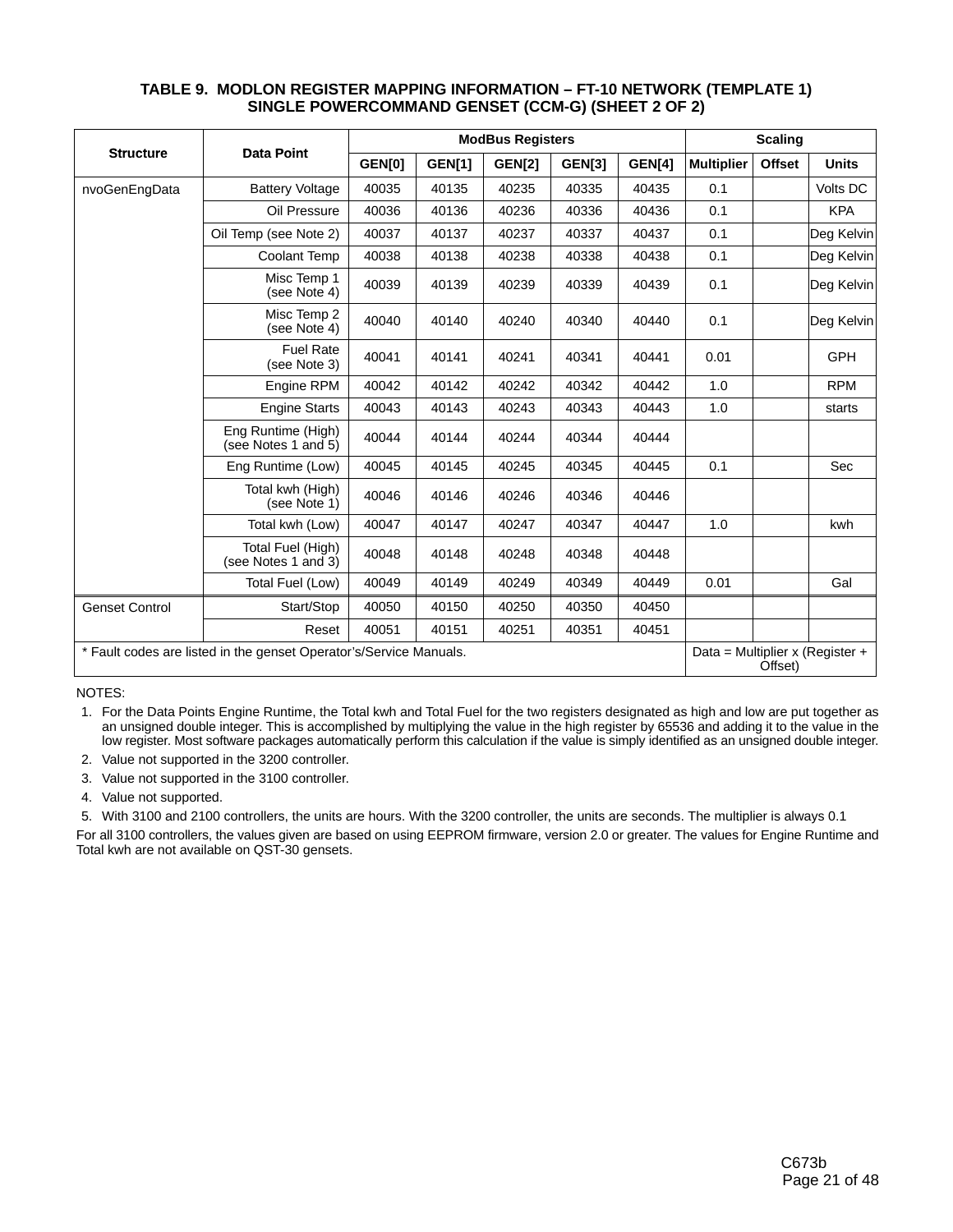|                                                                    |                                           |               | <b>ModBus Registers</b> | <b>Scaling</b> |               |               |                   |               |                                 |
|--------------------------------------------------------------------|-------------------------------------------|---------------|-------------------------|----------------|---------------|---------------|-------------------|---------------|---------------------------------|
| <b>Structure</b>                                                   | <b>Data Point</b>                         | <b>GEN[0]</b> | <b>GEN[1]</b>           | <b>GEN[2]</b>  | <b>GEN[3]</b> | <b>GEN[4]</b> | <b>Multiplier</b> | <b>Offset</b> | <b>Units</b>                    |
| nvoGenEngData                                                      | <b>Battery Voltage</b>                    | 40035         | 40135                   | 40235          | 40335         | 40435         | 0.1               |               | Volts DC                        |
|                                                                    | Oil Pressure                              | 40036         | 40136                   | 40236          | 40336         | 40436         | 0.1               |               | <b>KPA</b>                      |
|                                                                    | Oil Temp (see Note 2)                     | 40037         | 40137                   | 40237          | 40337         | 40437         | 0.1               |               | Deg Kelvin                      |
|                                                                    | Coolant Temp                              | 40038         | 40138                   | 40238          | 40338         | 40438         | 0.1               |               | Deg Kelvin                      |
|                                                                    | Misc Temp 1<br>(see Note 4)               | 40039         | 40139                   | 40239          | 40339         | 40439         | 0.1               |               | Deg Kelvin                      |
|                                                                    | Misc Temp 2<br>(see Note 4)               | 40040         | 40140                   | 40240          | 40340         | 40440         | 0.1               |               | Deg Kelvin                      |
|                                                                    | <b>Fuel Rate</b><br>(see Note 3)          | 40041         | 40141                   | 40241          | 40341         | 40441         | 0.01              |               | <b>GPH</b>                      |
|                                                                    | Engine RPM                                | 40042         | 40142                   | 40242          | 40342         | 40442         | 1.0               |               | <b>RPM</b>                      |
|                                                                    | <b>Engine Starts</b>                      | 40043         | 40143                   | 40243          | 40343         | 40443         | 1.0               |               | starts                          |
|                                                                    | Eng Runtime (High)<br>(see Notes 1 and 5) | 40044         | 40144                   | 40244          | 40344         | 40444         |                   |               |                                 |
|                                                                    | Eng Runtime (Low)                         | 40045         | 40145                   | 40245          | 40345         | 40445         | 0.1               |               | Sec                             |
|                                                                    | Total kwh (High)<br>(see Note 1)          | 40046         | 40146                   | 40246          | 40346         | 40446         |                   |               |                                 |
|                                                                    | Total kwh (Low)                           | 40047         | 40147                   | 40247          | 40347         | 40447         | 1.0               |               | kwh                             |
|                                                                    | Total Fuel (High)<br>(see Notes 1 and 3)  | 40048         | 40148                   | 40248          | 40348         | 40448         |                   |               |                                 |
|                                                                    | Total Fuel (Low)                          | 40049         | 40149                   | 40249          | 40349         | 40449         | 0.01              |               | Gal                             |
| <b>Genset Control</b>                                              | Start/Stop                                | 40050         | 40150                   | 40250          | 40350         | 40450         |                   |               |                                 |
|                                                                    | Reset                                     | 40051         | 40151                   | 40251          | 40351         | 40451         |                   |               |                                 |
| * Fault codes are listed in the genset Operator's/Service Manuals. |                                           |               |                         |                |               |               |                   | Offset)       | Data = Multiplier x (Register + |

#### **TABLE 9. MODLON REGISTER MAPPING INFORMATION – FT-10 NETWORK (TEMPLATE 1) SINGLE POWERCOMMAND GENSET (CCM-G) (SHEET 2 OF 2)**

NOTES:

 1. For the Data Points Engine Runtime, the Total kwh and Total Fuel for the two registers designated as high and low are put together as an unsigned double integer. This is accomplished by multiplying the value in the high register by 65536 and adding it to the value in the low register. Most software packages automatically perform this calculation if the value is simply identified as an unsigned double integer.

2. Value not supported in the 3200 controller.

3. Value not supported in the 3100 controller.

4. Value not supported.

5. With 3100 and 2100 controllers, the units are hours. With the 3200 controller, the units are seconds. The multiplier is always 0.1

For all 3100 controllers, the values given are based on using EEPROM firmware, version 2.0 or greater. The values for Engine Runtime and Total kwh are not available on QST-30 gensets.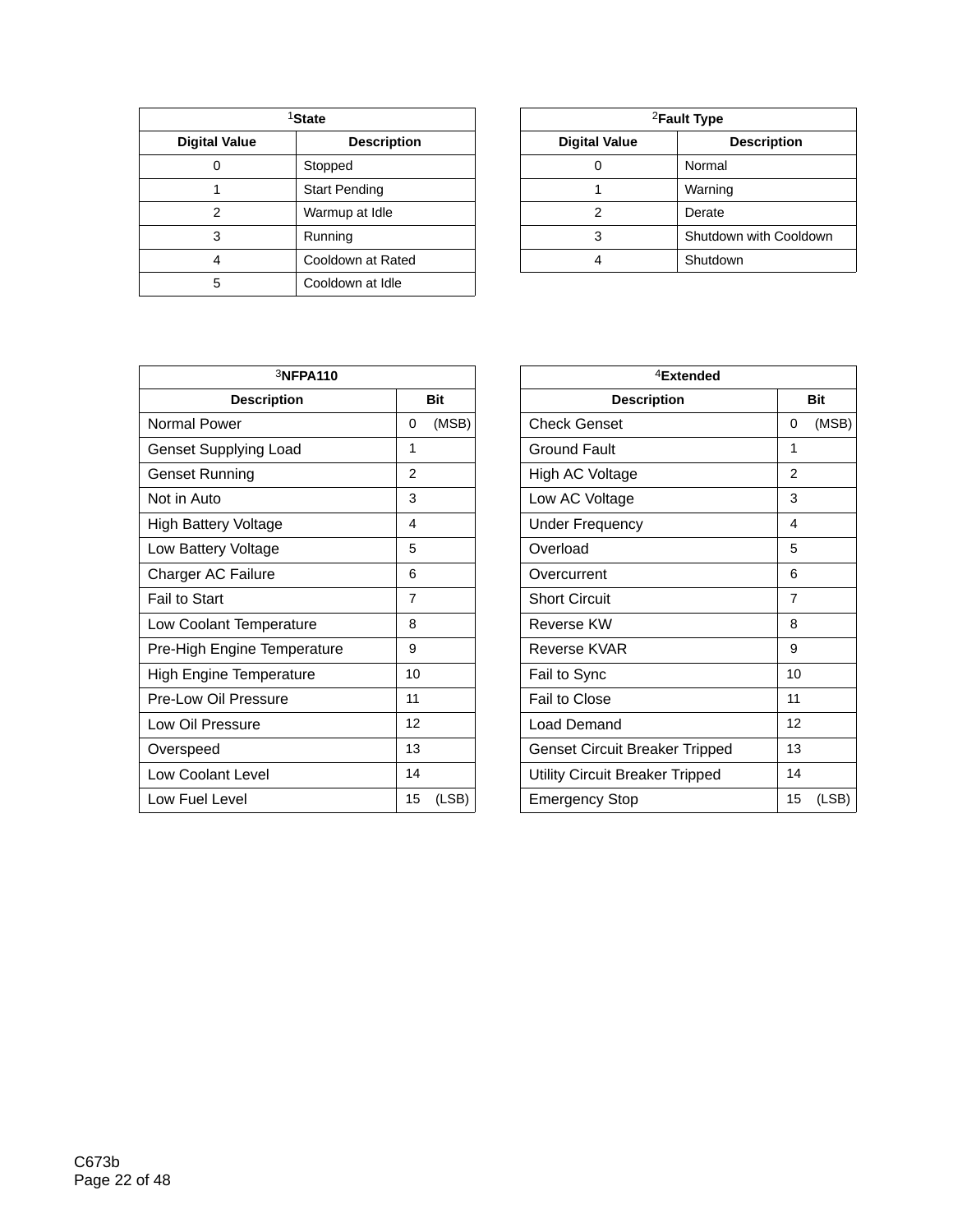| <sup>1</sup> State   |                      |  | <sup>2</sup> Fault Type |                    |  |
|----------------------|----------------------|--|-------------------------|--------------------|--|
| <b>Digital Value</b> | <b>Description</b>   |  | <b>Digital Value</b>    | <b>Description</b> |  |
| U                    | Stopped              |  |                         | Normal             |  |
|                      | <b>Start Pending</b> |  |                         | Warning            |  |
|                      | Warmup at Idle       |  |                         | Derate             |  |
| 3                    | Running              |  | 3                       | Shutdown with Cool |  |
| 4                    | Cooldown at Rated    |  | 4                       | Shutdown           |  |
| 5                    | Cooldown at Idle     |  |                         |                    |  |

| <sup>1</sup> State |                      |                                            | <sup>2</sup> Fault Type |  |  |
|--------------------|----------------------|--------------------------------------------|-------------------------|--|--|
| I Value            | <b>Description</b>   | <b>Digital Value</b><br><b>Description</b> |                         |  |  |
| 0                  | Stopped              |                                            | Normal                  |  |  |
|                    | <b>Start Pending</b> |                                            | Warning                 |  |  |
| 2                  | Warmup at Idle       | っ                                          | Derate                  |  |  |
| 3                  | Running              | 3                                          | Shutdown with Cooldown  |  |  |
| 4                  | Cooldown at Rated    |                                            | Shutdown                |  |  |
|                    |                      |                                            |                         |  |  |

| 3NFPA110                       |                | <sup>4</sup> Extended                  |                |
|--------------------------------|----------------|----------------------------------------|----------------|
| <b>Description</b>             | <b>Bit</b>     | <b>Description</b>                     |                |
| Normal Power                   | (MSB)<br>0     | <b>Check Genset</b>                    | $\Omega$       |
| <b>Genset Supplying Load</b>   | 1              | Ground Fault                           | 1              |
| Genset Running                 | $\overline{2}$ | High AC Voltage                        | $\overline{2}$ |
| Not in Auto                    | 3              | Low AC Voltage                         | 3              |
| <b>High Battery Voltage</b>    | 4              | <b>Under Frequency</b>                 | 4              |
| Low Battery Voltage            | 5              | Overload                               | 5              |
| Charger AC Failure             | 6              | Overcurrent                            | 6              |
| Fail to Start                  | $\overline{7}$ | <b>Short Circuit</b>                   | $\overline{7}$ |
| Low Coolant Temperature        | 8              | Reverse KW                             | 8              |
| Pre-High Engine Temperature    | 9              | Reverse KVAR                           | 9              |
| <b>High Engine Temperature</b> | 10             | Fail to Sync                           | 10             |
| Pre-Low Oil Pressure           | 11             | Fail to Close                          | 11             |
| Low Oil Pressure               | 12             | Load Demand                            | 12             |
| Overspeed                      | 13             | <b>Genset Circuit Breaker Tripped</b>  | 13             |
| Low Coolant Level              | 14             | <b>Utility Circuit Breaker Tripped</b> | 14             |
| Low Fuel Level                 | 15<br>(LSB)    | <b>Emergency Stop</b>                  | 15             |

| 3NFPA110                       |                |  | $4$ Extended                           |                |            |
|--------------------------------|----------------|--|----------------------------------------|----------------|------------|
| <b>Description</b>             | <b>Bit</b>     |  | <b>Description</b>                     |                | <b>Bit</b> |
| Normal Power                   | (MSB)<br>0     |  | <b>Check Genset</b>                    | 0              | (MSB)      |
| <b>Genset Supplying Load</b>   | 1              |  | <b>Ground Fault</b>                    | 1              |            |
| Genset Running                 | 2              |  | High AC Voltage                        | 2              |            |
| Not in Auto                    | 3              |  | Low AC Voltage                         | 3              |            |
| <b>High Battery Voltage</b>    | 4              |  | <b>Under Frequency</b>                 | 4              |            |
| Low Battery Voltage            | 5              |  | Overload                               | 5              |            |
| Charger AC Failure             | 6              |  | Overcurrent                            | 6              |            |
| Fail to Start                  | $\overline{7}$ |  | <b>Short Circuit</b>                   | $\overline{7}$ |            |
| Low Coolant Temperature        | 8              |  | <b>Reverse KW</b>                      | 8              |            |
| Pre-High Engine Temperature    | 9              |  | Reverse KVAR                           | 9              |            |
| <b>High Engine Temperature</b> | 10             |  | Fail to Sync                           | 10             |            |
| Pre-Low Oil Pressure           | 11             |  | Fail to Close                          | 11             |            |
| Low Oil Pressure               | 12             |  | Load Demand                            | 12             |            |
| Overspeed                      | 13             |  | Genset Circuit Breaker Tripped         | 13             |            |
| Low Coolant Level              | 14             |  | <b>Utility Circuit Breaker Tripped</b> | 14             |            |
| Low Fuel Level                 | 15<br>(LSB)    |  | <b>Emergency Stop</b>                  | 15             | (LSB)      |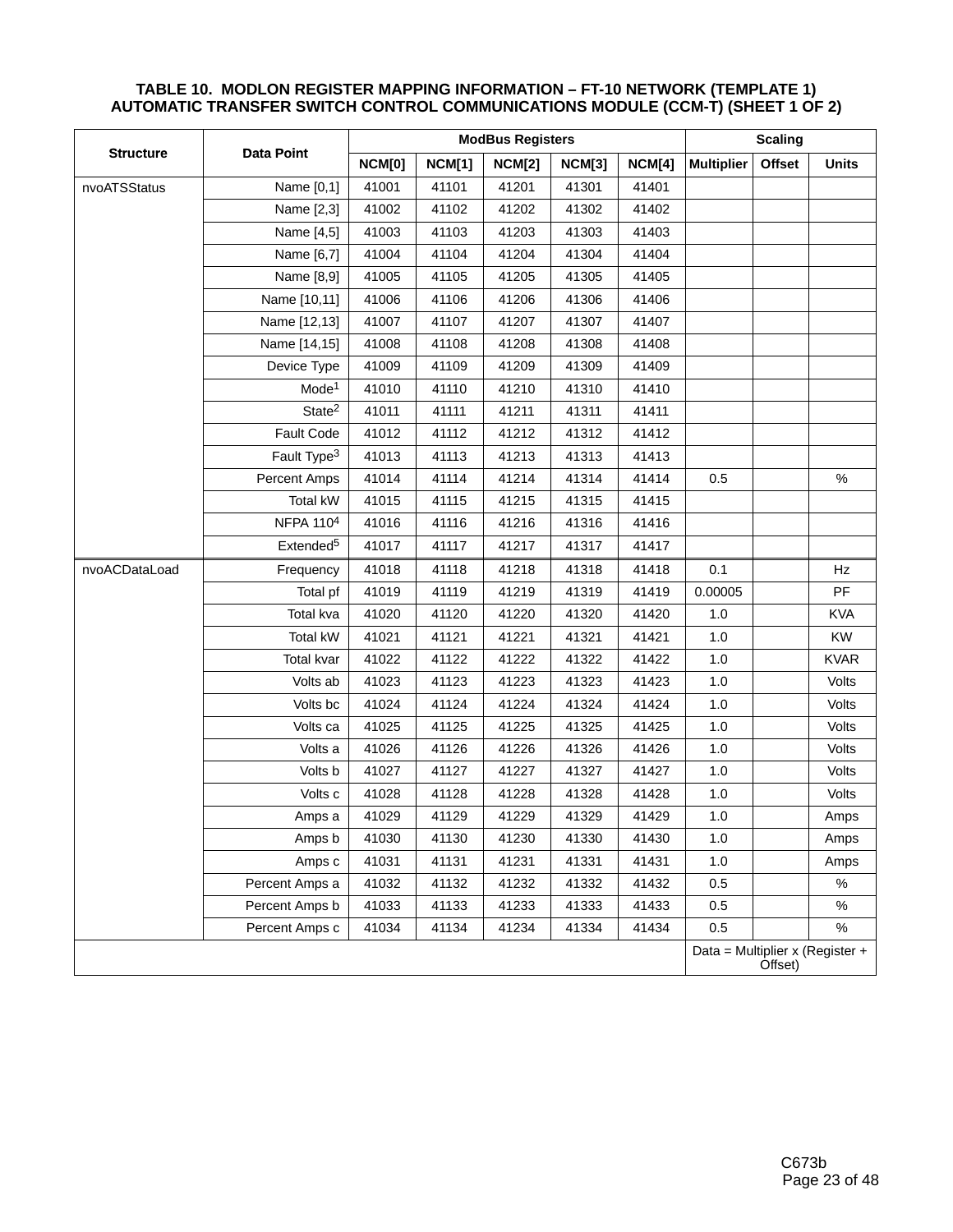|                  | <b>Data Point</b>       |               | <b>Scaling</b> |               |               |        |                                 |         |              |
|------------------|-------------------------|---------------|----------------|---------------|---------------|--------|---------------------------------|---------|--------------|
| <b>Structure</b> |                         | <b>NCM[0]</b> | <b>NCM[1]</b>  | <b>NCM[2]</b> | <b>NCM[3]</b> | NCM[4] | <b>Multiplier</b>               | Offset  | <b>Units</b> |
| nvoATSStatus     | Name [0,1]              | 41001         | 41101          | 41201         | 41301         | 41401  |                                 |         |              |
|                  | Name [2,3]              | 41002         | 41102          | 41202         | 41302         | 41402  |                                 |         |              |
|                  | Name [4,5]              | 41003         | 41103          | 41203         | 41303         | 41403  |                                 |         |              |
|                  | Name [6,7]              | 41004         | 41104          | 41204         | 41304         | 41404  |                                 |         |              |
|                  | Name [8,9]              | 41005         | 41105          | 41205         | 41305         | 41405  |                                 |         |              |
|                  | Name [10,11]            | 41006         | 41106          | 41206         | 41306         | 41406  |                                 |         |              |
|                  | Name [12,13]            | 41007         | 41107          | 41207         | 41307         | 41407  |                                 |         |              |
|                  | Name [14,15]            | 41008         | 41108          | 41208         | 41308         | 41408  |                                 |         |              |
|                  | Device Type             | 41009         | 41109          | 41209         | 41309         | 41409  |                                 |         |              |
|                  | Mode <sup>1</sup>       | 41010         | 41110          | 41210         | 41310         | 41410  |                                 |         |              |
|                  | State <sup>2</sup>      | 41011         | 41111          | 41211         | 41311         | 41411  |                                 |         |              |
|                  | Fault Code              | 41012         | 41112          | 41212         | 41312         | 41412  |                                 |         |              |
|                  | Fault Type <sup>3</sup> | 41013         | 41113          | 41213         | 41313         | 41413  |                                 |         |              |
|                  | Percent Amps            | 41014         | 41114          | 41214         | 41314         | 41414  | 0.5                             |         | $\%$         |
|                  | Total kW                | 41015         | 41115          | 41215         | 41315         | 41415  |                                 |         |              |
|                  | NFPA 1104               | 41016         | 41116          | 41216         | 41316         | 41416  |                                 |         |              |
|                  | Extended <sup>5</sup>   | 41017         | 41117          | 41217         | 41317         | 41417  |                                 |         |              |
| nvoACDataLoad    | Frequency               | 41018         | 41118          | 41218         | 41318         | 41418  | 0.1                             |         | Hz           |
|                  | Total pf                | 41019         | 41119          | 41219         | 41319         | 41419  | 0.00005                         |         | PF           |
|                  | Total kva               | 41020         | 41120          | 41220         | 41320         | 41420  | 1.0                             |         | <b>KVA</b>   |
|                  | <b>Total kW</b>         | 41021         | 41121          | 41221         | 41321         | 41421  | 1.0                             |         | <b>KW</b>    |
|                  | Total kvar              | 41022         | 41122          | 41222         | 41322         | 41422  | 1.0                             |         | <b>KVAR</b>  |
|                  | Volts ab                | 41023         | 41123          | 41223         | 41323         | 41423  | 1.0                             |         | Volts        |
|                  | Volts bc                | 41024         | 41124          | 41224         | 41324         | 41424  | 1.0                             |         | Volts        |
|                  | Volts ca                | 41025         | 41125          | 41225         | 41325         | 41425  | 1.0                             |         | Volts        |
|                  | Volts a                 | 41026         | 41126          | 41226         | 41326         | 41426  | 1.0                             |         | Volts        |
|                  | Volts b                 | 41027         | 41127          | 41227         | 41327         | 41427  | 1.0                             |         | Volts        |
|                  | Volts c                 | 41028         | 41128          | 41228         | 41328         | 41428  | $1.0$                           |         | Volts        |
|                  | Amps a                  | 41029         | 41129          | 41229         | 41329         | 41429  | 1.0                             |         | Amps         |
|                  | Amps b                  | 41030         | 41130          | 41230         | 41330         | 41430  | 1.0                             |         | Amps         |
|                  | Amps c                  | 41031         | 41131          | 41231         | 41331         | 41431  | 1.0                             |         | Amps         |
|                  | Percent Amps a          | 41032         | 41132          | 41232         | 41332         | 41432  | 0.5                             |         | $\%$         |
|                  | Percent Amps b          | 41033         | 41133          | 41233         | 41333         | 41433  | 0.5                             |         | $\%$         |
|                  | Percent Amps c          | 41034         | 41134          | 41234         | 41334         | 41434  | 0.5                             |         | %            |
|                  |                         |               |                |               |               |        | Data = Multiplier x (Register + | Offset) |              |

#### **TABLE 10. MODLON REGISTER MAPPING INFORMATION – FT-10 NETWORK (TEMPLATE 1) AUTOMATIC TRANSFER SWITCH CONTROL COMMUNICATIONS MODULE (CCM-T) (SHEET 1 OF 2)**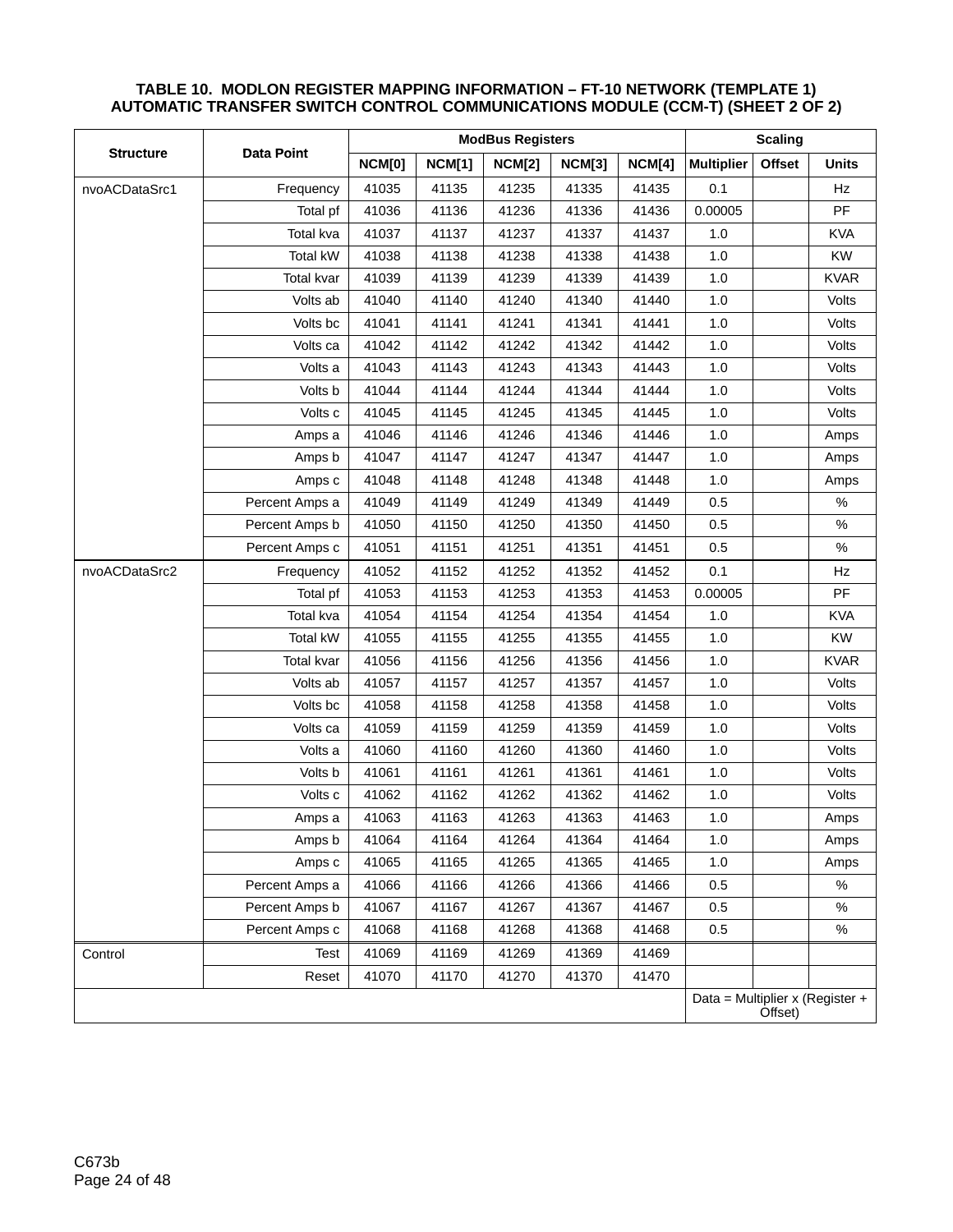|                  |                   |               | <b>Scaling</b> |               |               |               |                   |               |                                 |
|------------------|-------------------|---------------|----------------|---------------|---------------|---------------|-------------------|---------------|---------------------------------|
| <b>Structure</b> | <b>Data Point</b> | <b>NCM[0]</b> | <b>NCM[1]</b>  | <b>NCM[2]</b> | <b>NCM[3]</b> | <b>NCM[4]</b> | <b>Multiplier</b> | <b>Offset</b> | <b>Units</b>                    |
| nvoACDataSrc1    | Frequency         | 41035         | 41135          | 41235         | 41335         | 41435         | 0.1               |               | Hz                              |
|                  | Total pf          | 41036         | 41136          | 41236         | 41336         | 41436         | 0.00005           |               | PF                              |
|                  | Total kva         | 41037         | 41137          | 41237         | 41337         | 41437         | 1.0               |               | <b>KVA</b>                      |
|                  | <b>Total kW</b>   | 41038         | 41138          | 41238         | 41338         | 41438         | 1.0               |               | <b>KW</b>                       |
|                  | Total kvar        | 41039         | 41139          | 41239         | 41339         | 41439         | 1.0               |               | <b>KVAR</b>                     |
|                  | Volts ab          | 41040         | 41140          | 41240         | 41340         | 41440         | 1.0               |               | Volts                           |
|                  | Volts bc          | 41041         | 41141          | 41241         | 41341         | 41441         | 1.0               |               | Volts                           |
|                  | Volts ca          | 41042         | 41142          | 41242         | 41342         | 41442         | 1.0               |               | Volts                           |
|                  | Volts a           | 41043         | 41143          | 41243         | 41343         | 41443         | 1.0               |               | Volts                           |
|                  | Volts b           | 41044         | 41144          | 41244         | 41344         | 41444         | 1.0               |               | Volts                           |
|                  | Volts c           | 41045         | 41145          | 41245         | 41345         | 41445         | 1.0               |               | Volts                           |
|                  | Amps a            | 41046         | 41146          | 41246         | 41346         | 41446         | 1.0               |               | Amps                            |
|                  | Amps b            | 41047         | 41147          | 41247         | 41347         | 41447         | 1.0               |               | Amps                            |
|                  | Amps c            | 41048         | 41148          | 41248         | 41348         | 41448         | 1.0               |               | Amps                            |
|                  | Percent Amps a    | 41049         | 41149          | 41249         | 41349         | 41449         | 0.5               |               | $\%$                            |
|                  | Percent Amps b    | 41050         | 41150          | 41250         | 41350         | 41450         | 0.5               |               | $\%$                            |
|                  | Percent Amps c    | 41051         | 41151          | 41251         | 41351         | 41451         | 0.5               |               | $\%$                            |
| nvoACDataSrc2    | Frequency         | 41052         | 41152          | 41252         | 41352         | 41452         | 0.1               |               | Hz                              |
|                  | Total pf          | 41053         | 41153          | 41253         | 41353         | 41453         | 0.00005           |               | PF                              |
|                  | Total kva         | 41054         | 41154          | 41254         | 41354         | 41454         | 1.0               |               | <b>KVA</b>                      |
|                  | <b>Total kW</b>   | 41055         | 41155          | 41255         | 41355         | 41455         | 1.0               |               | <b>KW</b>                       |
|                  | Total kvar        | 41056         | 41156          | 41256         | 41356         | 41456         | 1.0               |               | <b>KVAR</b>                     |
|                  | Volts ab          | 41057         | 41157          | 41257         | 41357         | 41457         | 1.0               |               | Volts                           |
|                  | Volts bc          | 41058         | 41158          | 41258         | 41358         | 41458         | 1.0               |               | Volts                           |
|                  | Volts ca          | 41059         | 41159          | 41259         | 41359         | 41459         | 1.0               |               | Volts                           |
|                  | Volts a           | 41060         | 41160          | 41260         | 41360         | 41460         | 1.0               |               | Volts                           |
|                  | Volts b           | 41061         | 41161          | 41261         | 41361         | 41461         | 1.0               |               | Volts                           |
|                  | Volts c           | 41062         | 41162          | 41262         | 41362         | 41462         | 1.0               |               | Volts                           |
|                  | Amps a            | 41063         | 41163          | 41263         | 41363         | 41463         | $1.0$             |               | Amps                            |
|                  | Amps b            | 41064         | 41164          | 41264         | 41364         | 41464         | 1.0               |               | Amps                            |
|                  | Amps c            | 41065         | 41165          | 41265         | 41365         | 41465         | 1.0               |               | Amps                            |
|                  | Percent Amps a    | 41066         | 41166          | 41266         | 41366         | 41466         | 0.5               |               | $\%$                            |
|                  | Percent Amps b    | 41067         | 41167          | 41267         | 41367         | 41467         | 0.5               |               | $\%$                            |
|                  | Percent Amps c    | 41068         | 41168          | 41268         | 41368         | 41468         | 0.5               |               | $\%$                            |
| Control          | Test              | 41069         | 41169          | 41269         | 41369         | 41469         |                   |               |                                 |
|                  | Reset             | 41070         | 41170          | 41270         | 41370         | 41470         |                   |               |                                 |
|                  |                   |               |                |               |               |               |                   | Offset)       | Data = Multiplier x (Register + |

### **TABLE 10. MODLON REGISTER MAPPING INFORMATION – FT-10 NETWORK (TEMPLATE 1) AUTOMATIC TRANSFER SWITCH CONTROL COMMUNICATIONS MODULE (CCM-T) (SHEET 2 OF 2)**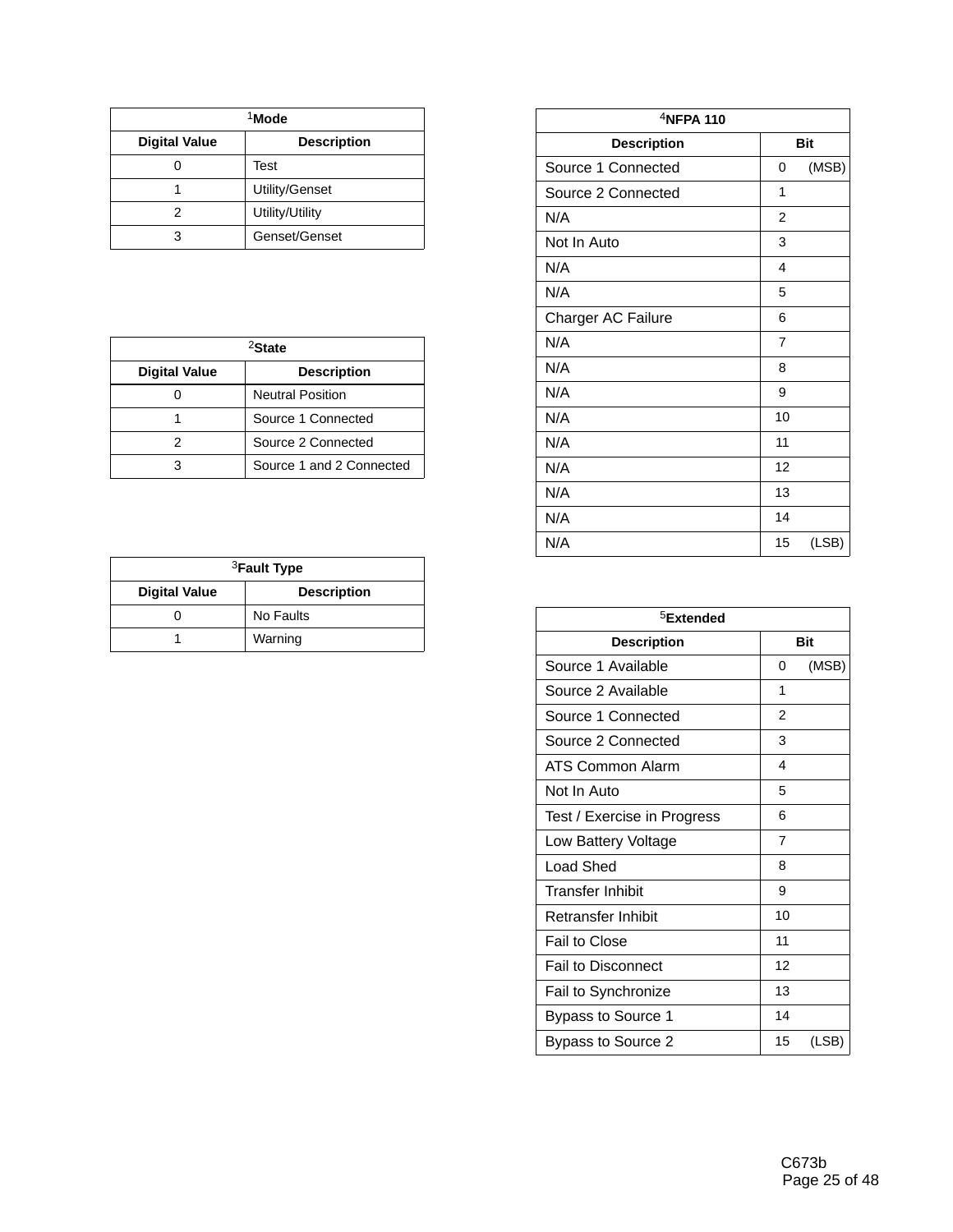| <sup>1</sup> Mode    |                    |  |  |  |
|----------------------|--------------------|--|--|--|
| <b>Digital Value</b> | <b>Description</b> |  |  |  |
|                      | Test               |  |  |  |
|                      | Utility/Genset     |  |  |  |
| 2                    | Utility/Utility    |  |  |  |
| 3                    | Genset/Genset      |  |  |  |

| <sup>2</sup> State   |                          |  |  |  |  |
|----------------------|--------------------------|--|--|--|--|
| <b>Digital Value</b> | <b>Description</b>       |  |  |  |  |
|                      | <b>Neutral Position</b>  |  |  |  |  |
|                      | Source 1 Connected       |  |  |  |  |
| 2                    | Source 2 Connected       |  |  |  |  |
|                      | Source 1 and 2 Connected |  |  |  |  |

| <sup>3</sup> Fault Type |                    |  |  |  |  |
|-------------------------|--------------------|--|--|--|--|
| <b>Digital Value</b>    | <b>Description</b> |  |  |  |  |
|                         | No Faults          |  |  |  |  |
|                         | Warning            |  |  |  |  |

| $4$ NFPA 110       |                |       |  |  |  |  |
|--------------------|----------------|-------|--|--|--|--|
| <b>Description</b> | <b>Bit</b>     |       |  |  |  |  |
| Source 1 Connected | 0              | (MSB) |  |  |  |  |
| Source 2 Connected | 1              |       |  |  |  |  |
| N/A                | $\overline{2}$ |       |  |  |  |  |
| Not In Auto        | 3              |       |  |  |  |  |
| N/A                | 4              |       |  |  |  |  |
| N/A                | 5              |       |  |  |  |  |
| Charger AC Failure | 6              |       |  |  |  |  |
| N/A                | $\overline{7}$ |       |  |  |  |  |
| N/A                | 8              |       |  |  |  |  |
| N/A                | 9              |       |  |  |  |  |
| N/A                | 10             |       |  |  |  |  |
| N/A                | 11             |       |  |  |  |  |
| N/A                | 12             |       |  |  |  |  |
| N/A                | 13             |       |  |  |  |  |
| N/A                | 14             |       |  |  |  |  |
| N/A                | 15             | (LSB) |  |  |  |  |

| <sup>5</sup> Extended       |                |            |  |
|-----------------------------|----------------|------------|--|
| <b>Description</b>          |                | <b>Bit</b> |  |
| Source 1 Available          | 0              | (MSB)      |  |
| Source 2 Available          | 1              |            |  |
| Source 1 Connected          | $\mathfrak{p}$ |            |  |
| Source 2 Connected          | 3              |            |  |
| ATS Common Alarm            | 4              |            |  |
| Not In Auto                 | 5              |            |  |
| Test / Exercise in Progress | 6              |            |  |
| Low Battery Voltage         | 7              |            |  |
| Load Shed                   | 8              |            |  |
| <b>Transfer Inhibit</b>     | 9              |            |  |
| Retransfer Inhibit          | 10             |            |  |
| Fail to Close               | 11             |            |  |
| <b>Fail to Disconnect</b>   | 12             |            |  |
| Fail to Synchronize         | 13             |            |  |
| Bypass to Source 1          | 14             |            |  |
| Bypass to Source 2          | 15             | (LSB)      |  |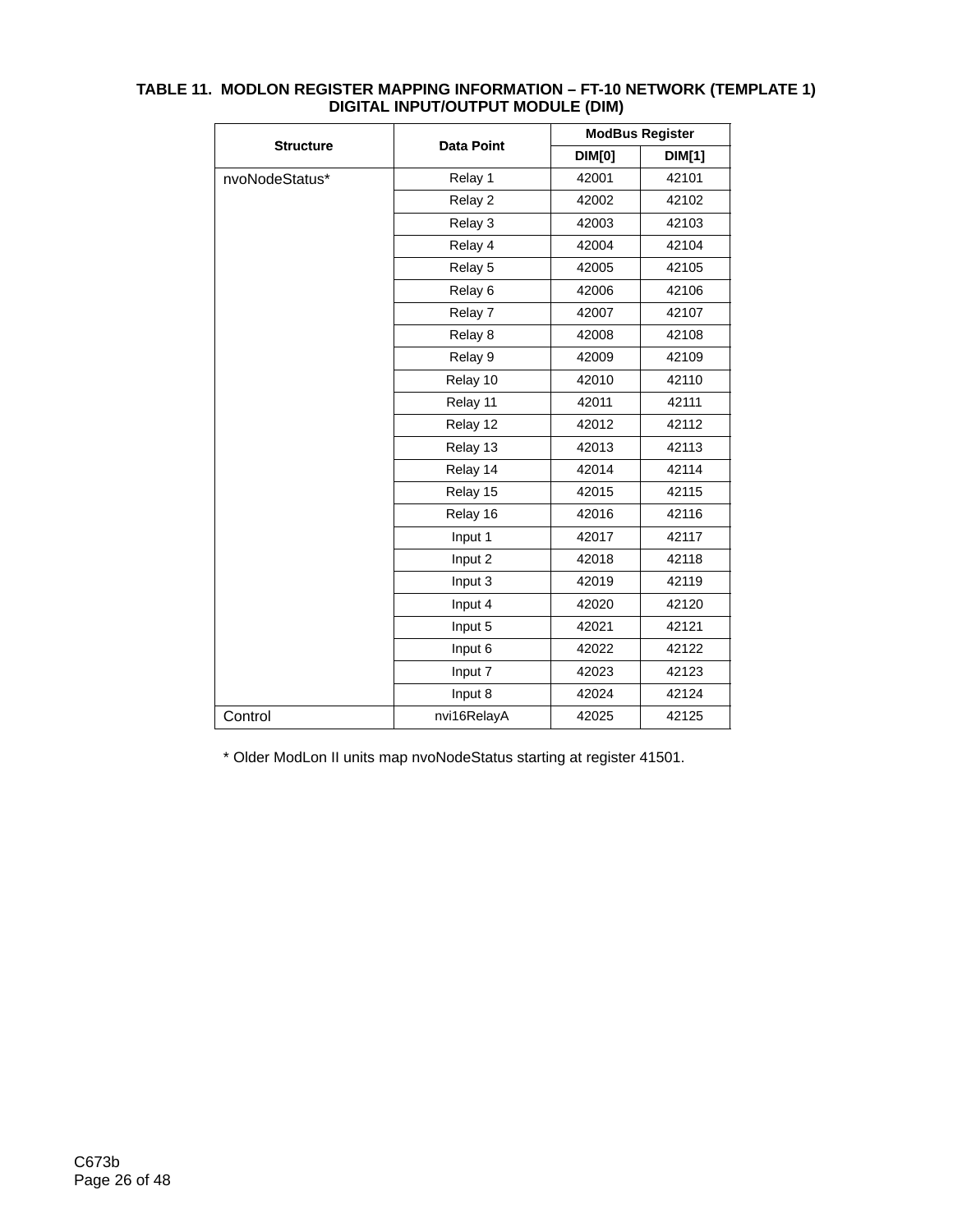|                  |                    |               | <b>ModBus Register</b> |  |  |
|------------------|--------------------|---------------|------------------------|--|--|
| <b>Structure</b> | <b>Data Point</b>  | <b>DIM[0]</b> | <b>DIM[1]</b>          |  |  |
| nvoNodeStatus*   | Relay 1            | 42001         | 42101                  |  |  |
|                  | Relay 2            | 42002         | 42102                  |  |  |
|                  | Relay 3            | 42003         | 42103                  |  |  |
|                  | Relay 4            | 42004         | 42104                  |  |  |
|                  | Relay 5            | 42005         | 42105                  |  |  |
|                  | Relay <sub>6</sub> | 42006         | 42106                  |  |  |
|                  | Relay 7            | 42007         | 42107                  |  |  |
|                  | Relay 8            | 42008         | 42108                  |  |  |
|                  | Relay 9            | 42009         | 42109                  |  |  |
|                  | Relay 10           | 42010         | 42110                  |  |  |
|                  | Relay 11           | 42011         | 42111                  |  |  |
|                  | Relay 12           | 42012         | 42112                  |  |  |
|                  | Relay 13           | 42013         | 42113                  |  |  |
|                  | Relay 14           | 42014         | 42114                  |  |  |
|                  | Relay 15           | 42015         | 42115                  |  |  |
|                  | Relay 16           | 42016         | 42116                  |  |  |
|                  | Input 1            | 42017         | 42117                  |  |  |
|                  | Input 2            | 42018         | 42118                  |  |  |
|                  | Input 3            | 42019         | 42119                  |  |  |
|                  | Input 4            | 42020         | 42120                  |  |  |
|                  | Input 5            | 42021         | 42121                  |  |  |
|                  | Input 6            | 42022         | 42122                  |  |  |
|                  | Input 7            | 42023         | 42123                  |  |  |
|                  | Input 8            | 42024         | 42124                  |  |  |
| Control          | nvi16RelayA        | 42025         | 42125                  |  |  |

#### **TABLE 11. MODLON REGISTER MAPPING INFORMATION – FT-10 NETWORK (TEMPLATE 1) DIGITAL INPUT/OUTPUT MODULE (DIM)**

\* Older ModLon II units map nvoNodeStatus starting at register 41501.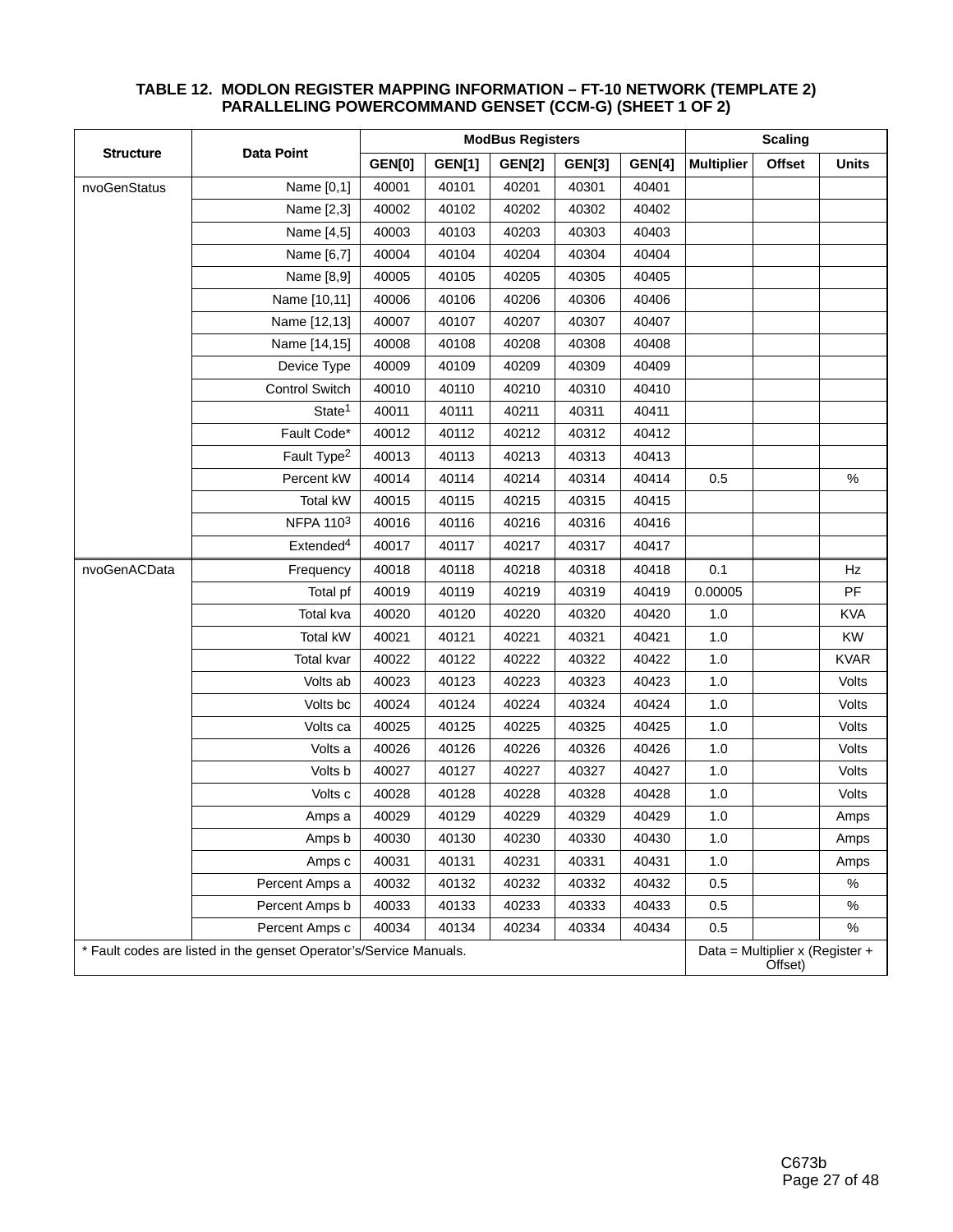|                                                                    |                         | <b>ModBus Registers</b> |               |               |               | <b>Scaling</b>                             |                   |        |              |
|--------------------------------------------------------------------|-------------------------|-------------------------|---------------|---------------|---------------|--------------------------------------------|-------------------|--------|--------------|
| <b>Structure</b>                                                   | <b>Data Point</b>       | <b>GEN[0]</b>           | <b>GEN[1]</b> | <b>GEN[2]</b> | <b>GEN[3]</b> | <b>GEN[4]</b>                              | <b>Multiplier</b> | Offset | <b>Units</b> |
| nvoGenStatus                                                       | Name [0,1]              | 40001                   | 40101         | 40201         | 40301         | 40401                                      |                   |        |              |
|                                                                    | Name [2,3]              | 40002                   | 40102         | 40202         | 40302         | 40402                                      |                   |        |              |
|                                                                    | Name [4,5]              | 40003                   | 40103         | 40203         | 40303         | 40403                                      |                   |        |              |
|                                                                    | Name [6,7]              | 40004                   | 40104         | 40204         | 40304         | 40404                                      |                   |        |              |
|                                                                    | Name [8,9]              | 40005                   | 40105         | 40205         | 40305         | 40405                                      |                   |        |              |
|                                                                    | Name [10,11]            | 40006                   | 40106         | 40206         | 40306         | 40406                                      |                   |        |              |
|                                                                    | Name [12,13]            | 40007                   | 40107         | 40207         | 40307         | 40407                                      |                   |        |              |
|                                                                    | Name [14,15]            | 40008                   | 40108         | 40208         | 40308         | 40408                                      |                   |        |              |
|                                                                    | Device Type             | 40009                   | 40109         | 40209         | 40309         | 40409                                      |                   |        |              |
|                                                                    | <b>Control Switch</b>   | 40010                   | 40110         | 40210         | 40310         | 40410                                      |                   |        |              |
|                                                                    | State <sup>1</sup>      | 40011                   | 40111         | 40211         | 40311         | 40411                                      |                   |        |              |
|                                                                    | Fault Code*             | 40012                   | 40112         | 40212         | 40312         | 40412                                      |                   |        |              |
|                                                                    | Fault Type <sup>2</sup> | 40013                   | 40113         | 40213         | 40313         | 40413                                      |                   |        |              |
|                                                                    | Percent kW              | 40014                   | 40114         | 40214         | 40314         | 40414                                      | 0.5               |        | $\%$         |
|                                                                    | Total kW                | 40015                   | 40115         | 40215         | 40315         | 40415                                      |                   |        |              |
|                                                                    | NFPA 1103               | 40016                   | 40116         | 40216         | 40316         | 40416                                      |                   |        |              |
|                                                                    | Extended <sup>4</sup>   | 40017                   | 40117         | 40217         | 40317         | 40417                                      |                   |        |              |
| nvoGenACData                                                       | Frequency               | 40018                   | 40118         | 40218         | 40318         | 40418                                      | 0.1               |        | Hz           |
|                                                                    | Total pf                | 40019                   | 40119         | 40219         | 40319         | 40419                                      | 0.00005           |        | PF           |
|                                                                    | Total kva               | 40020                   | 40120         | 40220         | 40320         | 40420                                      | 1.0               |        | <b>KVA</b>   |
|                                                                    | Total kW                | 40021                   | 40121         | 40221         | 40321         | 40421                                      | $1.0$             |        | <b>KW</b>    |
|                                                                    | Total kvar              | 40022                   | 40122         | 40222         | 40322         | 40422                                      | $1.0$             |        | <b>KVAR</b>  |
|                                                                    | Volts ab                | 40023                   | 40123         | 40223         | 40323         | 40423                                      | 1.0               |        | Volts        |
|                                                                    | Volts bc                | 40024                   | 40124         | 40224         | 40324         | 40424                                      | $1.0\,$           |        | Volts        |
|                                                                    | Volts ca                | 40025                   | 40125         | 40225         | 40325         | 40425                                      | $1.0$             |        | Volts        |
|                                                                    | Volts a                 | 40026                   | 40126         | 40226         | 40326         | 40426                                      | $1.0$             |        | Volts        |
|                                                                    | Volts b                 | 40027                   | 40127         | 40227         | 40327         | 40427                                      | $1.0\,$           |        | Volts        |
|                                                                    | Volts c                 | 40028                   | 40128         | 40228         | 40328         | 40428                                      | 1.0               |        | Volts        |
|                                                                    | Amps a                  | 40029                   | 40129         | 40229         | 40329         | 40429                                      | $1.0$             |        | Amps         |
|                                                                    | Amps b                  | 40030                   | 40130         | 40230         | 40330         | 40430                                      | $1.0$             |        | Amps         |
|                                                                    | Amps c                  | 40031                   | 40131         | 40231         | 40331         | 40431                                      | 1.0               |        | Amps         |
|                                                                    | Percent Amps a          | 40032                   | 40132         | 40232         | 40332         | 40432                                      | 0.5               |        | $\%$         |
|                                                                    | Percent Amps b          | 40033                   | 40133         | 40233         | 40333         | 40433                                      | 0.5               |        | $\%$         |
|                                                                    | Percent Amps c          | 40034                   | 40134         | 40234         | 40334         | 40434                                      | 0.5               |        | $\%$         |
| * Fault codes are listed in the genset Operator's/Service Manuals. |                         |                         |               |               |               | Data = Multiplier x (Register +<br>Offset) |                   |        |              |

#### **TABLE 12. MODLON REGISTER MAPPING INFORMATION – FT-10 NETWORK (TEMPLATE 2) PARALLELING POWERCOMMAND GENSET (CCM-G) (SHEET 1 OF 2)**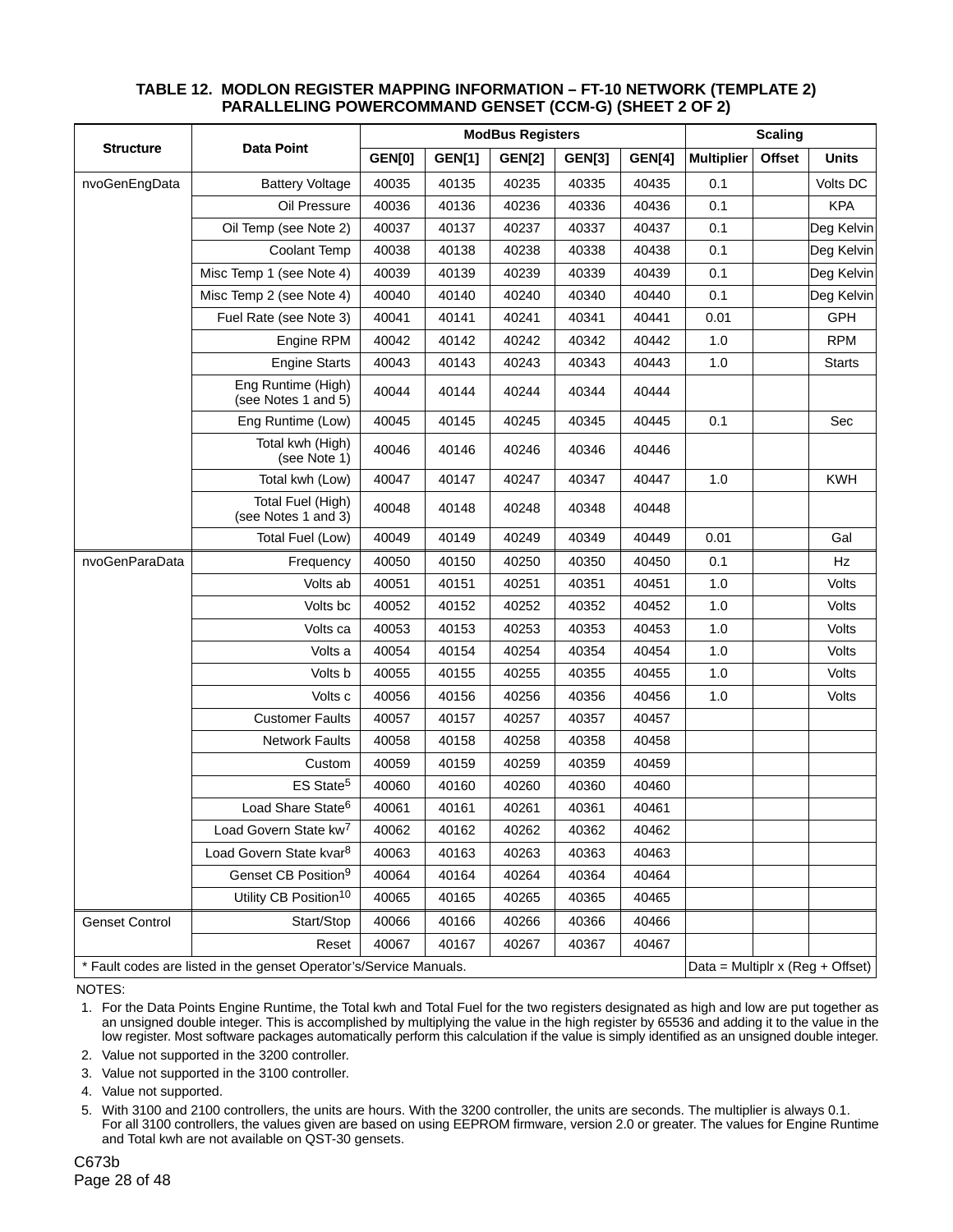| <b>Structure</b>      |                                                                                                            | <b>ModBus Registers</b> |               |               |               | <b>Scaling</b> |                   |               |               |
|-----------------------|------------------------------------------------------------------------------------------------------------|-------------------------|---------------|---------------|---------------|----------------|-------------------|---------------|---------------|
|                       | <b>Data Point</b>                                                                                          | <b>GEN[0]</b>           | <b>GEN[1]</b> | <b>GEN[2]</b> | <b>GEN[3]</b> | <b>GEN[4]</b>  | <b>Multiplier</b> | <b>Offset</b> | <b>Units</b>  |
| nvoGenEngData         | <b>Battery Voltage</b>                                                                                     | 40035                   | 40135         | 40235         | 40335         | 40435          | 0.1               |               | Volts DC      |
|                       | Oil Pressure                                                                                               | 40036                   | 40136         | 40236         | 40336         | 40436          | 0.1               |               | <b>KPA</b>    |
|                       | Oil Temp (see Note 2)                                                                                      | 40037                   | 40137         | 40237         | 40337         | 40437          | 0.1               |               | Deg Kelvin    |
|                       | <b>Coolant Temp</b>                                                                                        | 40038                   | 40138         | 40238         | 40338         | 40438          | 0.1               |               | Deg Kelvin    |
|                       | Misc Temp 1 (see Note 4)                                                                                   | 40039                   | 40139         | 40239         | 40339         | 40439          | 0.1               |               | Deg Kelvin    |
|                       | Misc Temp 2 (see Note 4)                                                                                   | 40040                   | 40140         | 40240         | 40340         | 40440          | 0.1               |               | Deg Kelvin    |
|                       | Fuel Rate (see Note 3)                                                                                     | 40041                   | 40141         | 40241         | 40341         | 40441          | 0.01              |               | GPH           |
|                       | Engine RPM                                                                                                 | 40042                   | 40142         | 40242         | 40342         | 40442          | 1.0               |               | <b>RPM</b>    |
|                       | <b>Engine Starts</b>                                                                                       | 40043                   | 40143         | 40243         | 40343         | 40443          | 1.0               |               | <b>Starts</b> |
|                       | Eng Runtime (High)<br>(see Notes 1 and 5)                                                                  | 40044                   | 40144         | 40244         | 40344         | 40444          |                   |               |               |
|                       | Eng Runtime (Low)                                                                                          | 40045                   | 40145         | 40245         | 40345         | 40445          | 0.1               |               | Sec           |
|                       | Total kwh (High)<br>(see Note 1)                                                                           | 40046                   | 40146         | 40246         | 40346         | 40446          |                   |               |               |
|                       | Total kwh (Low)                                                                                            | 40047                   | 40147         | 40247         | 40347         | 40447          | 1.0               |               | <b>KWH</b>    |
|                       | Total Fuel (High)<br>(see Notes 1 and 3)                                                                   | 40048                   | 40148         | 40248         | 40348         | 40448          |                   |               |               |
|                       | Total Fuel (Low)                                                                                           | 40049                   | 40149         | 40249         | 40349         | 40449          | 0.01              |               | Gal           |
| nvoGenParaData        | Frequency                                                                                                  | 40050                   | 40150         | 40250         | 40350         | 40450          | 0.1               |               | Hz            |
|                       | Volts ab                                                                                                   | 40051                   | 40151         | 40251         | 40351         | 40451          | 1.0               |               | Volts         |
|                       | Volts bc                                                                                                   | 40052                   | 40152         | 40252         | 40352         | 40452          | 1.0               |               | Volts         |
|                       | Volts ca                                                                                                   | 40053                   | 40153         | 40253         | 40353         | 40453          | 1.0               |               | Volts         |
|                       | Volts a                                                                                                    | 40054                   | 40154         | 40254         | 40354         | 40454          | 1.0               |               | Volts         |
|                       | Volts b                                                                                                    | 40055                   | 40155         | 40255         | 40355         | 40455          | 1.0               |               | Volts         |
|                       | Volts c                                                                                                    | 40056                   | 40156         | 40256         | 40356         | 40456          | 1.0               |               | Volts         |
|                       | <b>Customer Faults</b>                                                                                     | 40057                   | 40157         | 40257         | 40357         | 40457          |                   |               |               |
|                       | <b>Network Faults</b>                                                                                      | 40058                   | 40158         | 40258         | 40358         | 40458          |                   |               |               |
|                       | Custom                                                                                                     | 40059                   | 40159         | 40259         | 40359         | 40459          |                   |               |               |
|                       | ES State <sup>5</sup>                                                                                      | 40060                   | 40160         | 40260         | 40360         | 40460          |                   |               |               |
|                       | Load Share State <sup>6</sup>                                                                              | 40061                   | 40161         | 40261         | 40361         | 40461          |                   |               |               |
|                       | Load Govern State kw <sup>7</sup>                                                                          | 40062                   | 40162         | 40262         | 40362         | 40462          |                   |               |               |
|                       | Load Govern State kvar <sup>8</sup>                                                                        | 40063                   | 40163         | 40263         | 40363         | 40463          |                   |               |               |
|                       | Genset CB Position <sup>9</sup>                                                                            | 40064                   | 40164         | 40264         | 40364         | 40464          |                   |               |               |
|                       | Utility CB Position <sup>10</sup>                                                                          | 40065                   | 40165         | 40265         | 40365         | 40465          |                   |               |               |
| <b>Genset Control</b> | Start/Stop                                                                                                 | 40066                   | 40166         | 40266         | 40366         | 40466          |                   |               |               |
|                       | Reset                                                                                                      | 40067                   | 40167         | 40267         | 40367         | 40467          |                   |               |               |
|                       | * Fault codes are listed in the genset Operator's/Service Manuals.<br>Data = Multiplr x ( $Reg + Offset$ ) |                         |               |               |               |                |                   |               |               |

#### **TABLE 12. MODLON REGISTER MAPPING INFORMATION – FT-10 NETWORK (TEMPLATE 2) PARALLELING POWERCOMMAND GENSET (CCM-G) (SHEET 2 OF 2)**

NOTES:

 1. For the Data Points Engine Runtime, the Total kwh and Total Fuel for the two registers designated as high and low are put together as an unsigned double integer. This is accomplished by multiplying the value in the high register by 65536 and adding it to the value in the low register. Most software packages automatically perform this calculation if the value is simply identified as an unsigned double integer.

2. Value not supported in the 3200 controller.

3. Value not supported in the 3100 controller.

4. Value not supported.

 5. With 3100 and 2100 controllers, the units are hours. With the 3200 controller, the units are seconds. The multiplier is always 0.1. For all 3100 controllers, the values given are based on using EEPROM firmware, version 2.0 or greater. The values for Engine Runtime and Total kwh are not available on QST-30 gensets.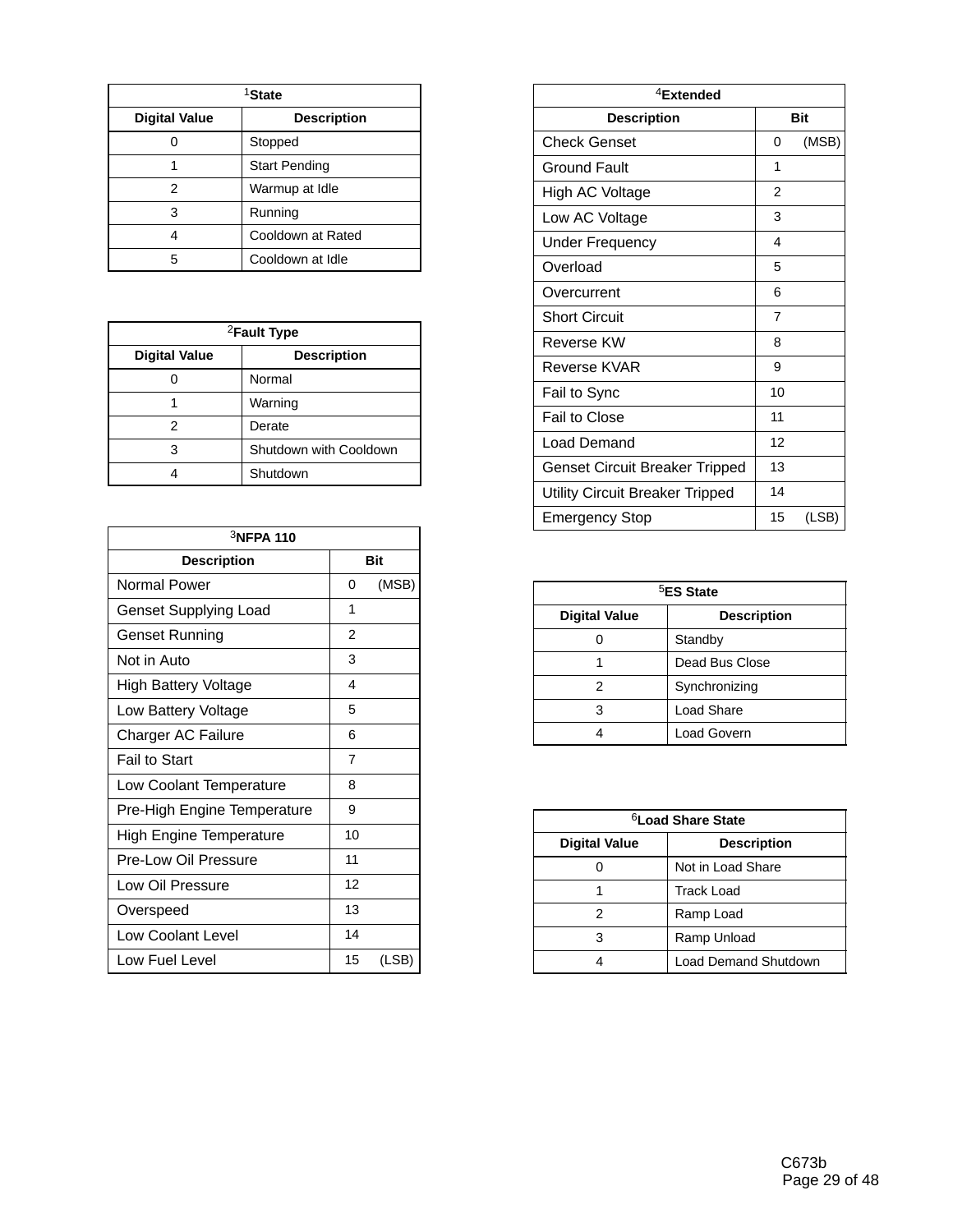| <sup>1</sup> State   |                      |  |
|----------------------|----------------------|--|
| <b>Digital Value</b> | <b>Description</b>   |  |
|                      | Stopped              |  |
|                      | <b>Start Pending</b> |  |
| 2                    | Warmup at Idle       |  |
| 3                    | Running              |  |
|                      | Cooldown at Rated    |  |
| 5                    | Cooldown at Idle     |  |

| <sup>2</sup> Fault Type                    |                        |  |  |
|--------------------------------------------|------------------------|--|--|
| <b>Digital Value</b><br><b>Description</b> |                        |  |  |
|                                            | Normal                 |  |  |
|                                            | Warning                |  |  |
| 2                                          | Derate                 |  |  |
| 3                                          | Shutdown with Cooldown |  |  |
|                                            | Shutdown               |  |  |

| $3$ NFPA 110                 |                          |            |  |
|------------------------------|--------------------------|------------|--|
| <b>Description</b>           |                          | <b>Bit</b> |  |
| <b>Normal Power</b>          | 0                        | (MSB)      |  |
| <b>Genset Supplying Load</b> | 1                        |            |  |
| Genset Running               | 2                        |            |  |
| Not in Auto                  | 3                        |            |  |
| <b>High Battery Voltage</b>  | $\overline{\mathcal{A}}$ |            |  |
| Low Battery Voltage          | 5                        |            |  |
| Charger AC Failure           | 6                        |            |  |
| <b>Fail to Start</b>         | $\overline{7}$           |            |  |
| Low Coolant Temperature      | 8                        |            |  |
| Pre-High Engine Temperature  | 9                        |            |  |
| High Engine Temperature      | 10                       |            |  |
| Pre-Low Oil Pressure         | 11                       |            |  |
| Low Oil Pressure             | 12                       |            |  |
| Overspeed                    | 13                       |            |  |
| Low Coolant Level            | 14                       |            |  |
| Low Fuel Level               | 15                       | (LSB)      |  |

| <sup>4</sup> Extended           |    |            |  |
|---------------------------------|----|------------|--|
| <b>Description</b>              |    | <b>Bit</b> |  |
| Check Genset                    | 0  | (MSB)      |  |
| Ground Fault                    | 1  |            |  |
| High AC Voltage                 | 2  |            |  |
| Low AC Voltage                  | 3  |            |  |
| Under Frequency                 | 4  |            |  |
| Overload                        | 5  |            |  |
| Overcurrent                     | 6  |            |  |
| <b>Short Circuit</b>            | 7  |            |  |
| Reverse KW                      | 8  |            |  |
| Reverse KVAR                    | 9  |            |  |
| Fail to Sync                    | 10 |            |  |
| Fail to Close                   | 11 |            |  |
| Load Demand                     | 12 |            |  |
| Genset Circuit Breaker Tripped  | 13 |            |  |
| Utility Circuit Breaker Tripped | 14 |            |  |
| Emergency Stop                  | 15 | (LSB)      |  |

| <sup>5</sup> ES State |                    |  |  |
|-----------------------|--------------------|--|--|
| <b>Digital Value</b>  | <b>Description</b> |  |  |
|                       | Standby            |  |  |
|                       | Dead Bus Close     |  |  |
|                       | Synchronizing      |  |  |
| 3                     | Load Share         |  |  |
|                       | Load Govern        |  |  |

| <sup>6</sup> Load Share State |                      |  |  |
|-------------------------------|----------------------|--|--|
| <b>Digital Value</b>          | <b>Description</b>   |  |  |
|                               | Not in Load Share    |  |  |
|                               | <b>Track Load</b>    |  |  |
| 2                             | Ramp Load            |  |  |
| 3                             | Ramp Unload          |  |  |
|                               | Load Demand Shutdown |  |  |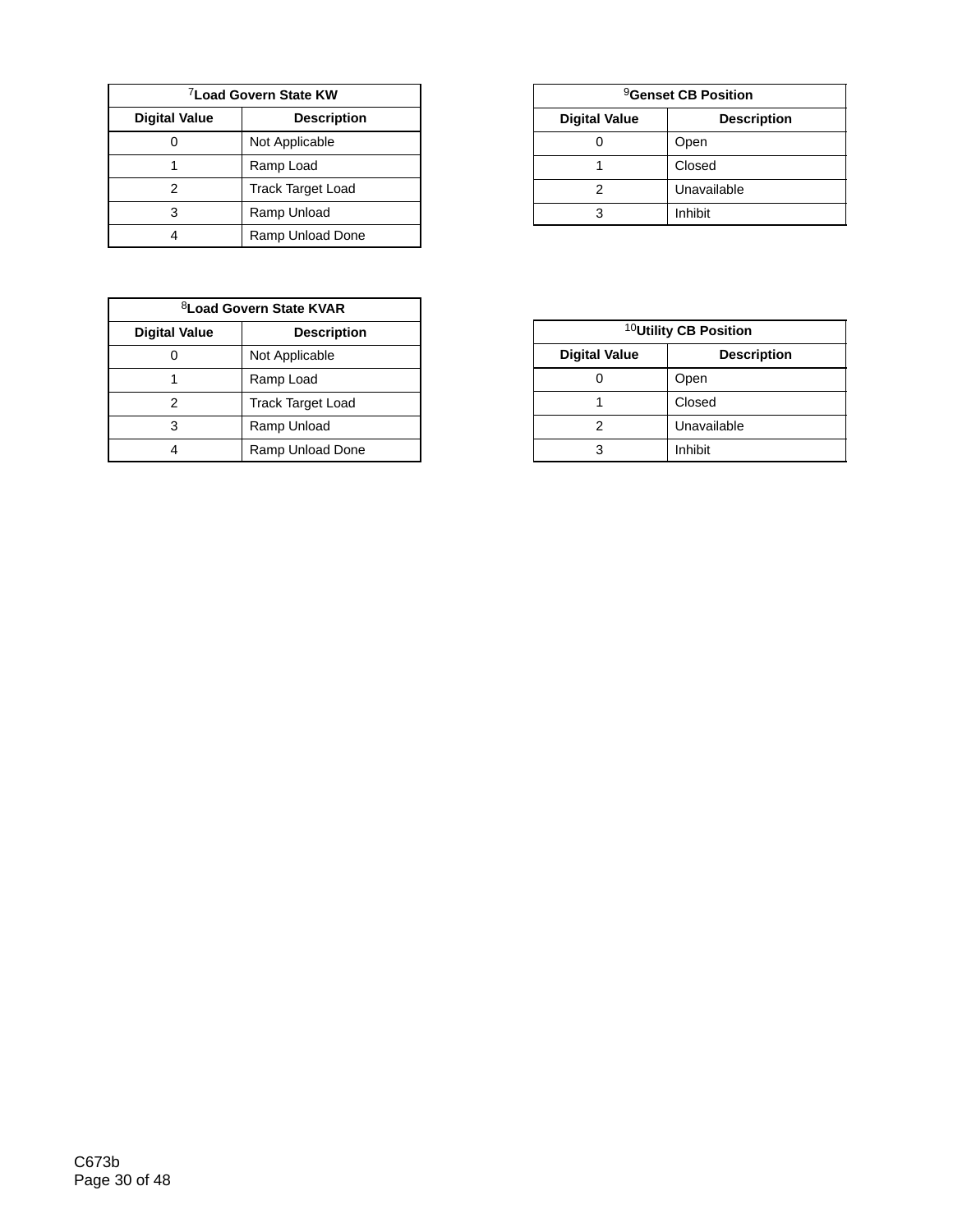| <sup>7</sup> Load Govern State KW |                          |  |  |
|-----------------------------------|--------------------------|--|--|
| <b>Digital Value</b>              | <b>Description</b>       |  |  |
|                                   | Not Applicable           |  |  |
|                                   | Ramp Load                |  |  |
| 2                                 | <b>Track Target Load</b> |  |  |
| з                                 | Ramp Unload              |  |  |
|                                   | Ramp Unload Done         |  |  |

| <sup>8</sup> Load Govern State KVAR |                          |  |  |
|-------------------------------------|--------------------------|--|--|
| <b>Digital Value</b>                | <b>Description</b>       |  |  |
|                                     | Not Applicable           |  |  |
|                                     | Ramp Load                |  |  |
| 2                                   | <b>Track Target Load</b> |  |  |
| 3                                   | Ramp Unload              |  |  |
|                                     | Ramp Unload Done         |  |  |

| <sup>9</sup> Genset CB Position |                    |  |  |  |  |  |  |  |  |  |
|---------------------------------|--------------------|--|--|--|--|--|--|--|--|--|
| <b>Digital Value</b>            | <b>Description</b> |  |  |  |  |  |  |  |  |  |
|                                 | Open               |  |  |  |  |  |  |  |  |  |
|                                 | Closed             |  |  |  |  |  |  |  |  |  |
|                                 | Unavailable        |  |  |  |  |  |  |  |  |  |
|                                 | Inhibit            |  |  |  |  |  |  |  |  |  |

| <sup>10</sup> Utility CB Position |                    |  |  |  |  |  |  |  |  |
|-----------------------------------|--------------------|--|--|--|--|--|--|--|--|
| <b>Digital Value</b>              | <b>Description</b> |  |  |  |  |  |  |  |  |
|                                   | Open               |  |  |  |  |  |  |  |  |
|                                   | Closed             |  |  |  |  |  |  |  |  |
|                                   | Unavailable        |  |  |  |  |  |  |  |  |
|                                   | Inhibit            |  |  |  |  |  |  |  |  |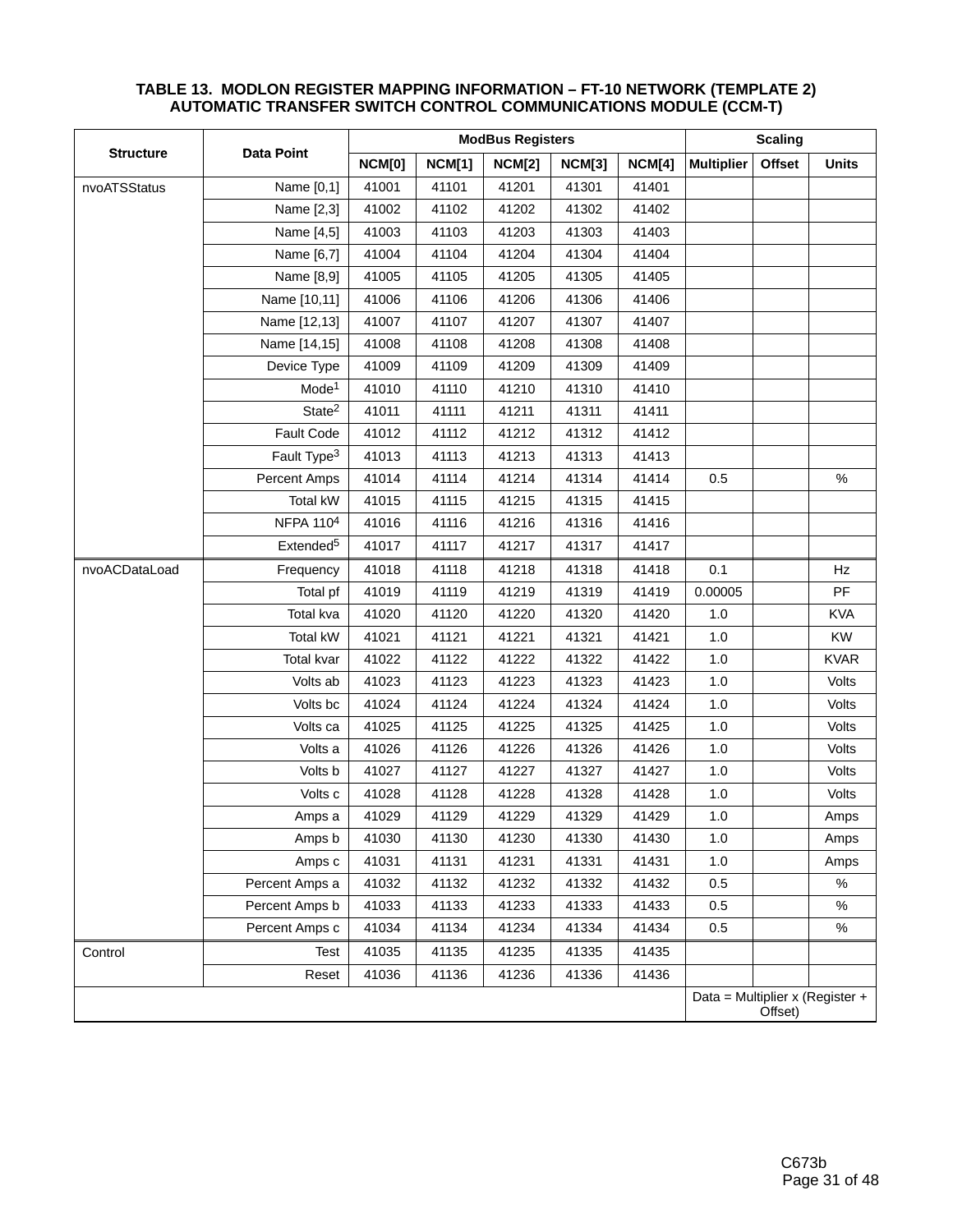|                  |                         |               | <b>ModBus Registers</b> | <b>Scaling</b> |               |        |                   |         |                                 |
|------------------|-------------------------|---------------|-------------------------|----------------|---------------|--------|-------------------|---------|---------------------------------|
| <b>Structure</b> | <b>Data Point</b>       | <b>NCM[0]</b> | <b>NCM[1]</b>           | <b>NCM[2]</b>  | <b>NCM[3]</b> | NCM[4] | <b>Multiplier</b> | Offset  | <b>Units</b>                    |
| nvoATSStatus     | Name [0,1]              | 41001         | 41101                   | 41201          | 41301         | 41401  |                   |         |                                 |
|                  | Name [2,3]              | 41002         | 41102                   | 41202          | 41302         | 41402  |                   |         |                                 |
|                  | Name [4,5]              | 41003         | 41103                   | 41203          | 41303         | 41403  |                   |         |                                 |
|                  | Name [6,7]              | 41004         | 41104                   | 41204          | 41304         | 41404  |                   |         |                                 |
|                  | Name [8,9]              | 41005         | 41105                   | 41205          | 41305         | 41405  |                   |         |                                 |
|                  | Name [10,11]            | 41006         | 41106                   | 41206          | 41306         | 41406  |                   |         |                                 |
|                  | Name [12,13]            | 41007         | 41107                   | 41207          | 41307         | 41407  |                   |         |                                 |
|                  | Name [14,15]            | 41008         | 41108                   | 41208          | 41308         | 41408  |                   |         |                                 |
|                  | Device Type             | 41009         | 41109                   | 41209          | 41309         | 41409  |                   |         |                                 |
|                  | Mode <sup>1</sup>       | 41010         | 41110                   | 41210          | 41310         | 41410  |                   |         |                                 |
|                  | State <sup>2</sup>      | 41011         | 41111                   | 41211          | 41311         | 41411  |                   |         |                                 |
|                  | Fault Code              | 41012         | 41112                   | 41212          | 41312         | 41412  |                   |         |                                 |
|                  | Fault Type <sup>3</sup> | 41013         | 41113                   | 41213          | 41313         | 41413  |                   |         |                                 |
|                  | Percent Amps            | 41014         | 41114                   | 41214          | 41314         | 41414  | 0.5               |         | $\%$                            |
|                  | Total kW                | 41015         | 41115                   | 41215          | 41315         | 41415  |                   |         |                                 |
|                  | NFPA 110 <sup>4</sup>   | 41016         | 41116                   | 41216          | 41316         | 41416  |                   |         |                                 |
|                  | Extended <sup>5</sup>   | 41017         | 41117                   | 41217          | 41317         | 41417  |                   |         |                                 |
| nvoACDataLoad    | Frequency               | 41018         | 41118                   | 41218          | 41318         | 41418  | 0.1               |         | Hz                              |
|                  | Total pf                | 41019         | 41119                   | 41219          | 41319         | 41419  | 0.00005           |         | PF                              |
|                  | Total kva               | 41020         | 41120                   | 41220          | 41320         | 41420  | 1.0               |         | <b>KVA</b>                      |
|                  | Total kW                | 41021         | 41121                   | 41221          | 41321         | 41421  | 1.0               |         | <b>KW</b>                       |
|                  | Total kvar              | 41022         | 41122                   | 41222          | 41322         | 41422  | 1.0               |         | <b>KVAR</b>                     |
|                  | Volts ab                | 41023         | 41123                   | 41223          | 41323         | 41423  | 1.0               |         | Volts                           |
|                  | Volts bc                | 41024         | 41124                   | 41224          | 41324         | 41424  | 1.0               |         | Volts                           |
|                  | Volts ca                | 41025         | 41125                   | 41225          | 41325         | 41425  | 1.0               |         | Volts                           |
|                  | Volts a                 | 41026         | 41126                   | 41226          | 41326         | 41426  | 1.0               |         | Volts                           |
|                  | Volts b                 | 41027         | 41127                   | 41227          | 41327         | 41427  | 1.0               |         | Volts                           |
|                  | Volts c                 | 41028         | 41128                   | 41228          | 41328         | 41428  | 1.0               |         | Volts                           |
|                  | Amps a                  | 41029         | 41129                   | 41229          | 41329         | 41429  | 1.0               |         | Amps                            |
|                  | Amps b                  | 41030         | 41130                   | 41230          | 41330         | 41430  | 1.0               |         | Amps                            |
|                  | Amps c                  | 41031         | 41131                   | 41231          | 41331         | 41431  | 1.0               |         | Amps                            |
|                  | Percent Amps a          | 41032         | 41132                   | 41232          | 41332         | 41432  | 0.5               |         | $\%$                            |
|                  | Percent Amps b          | 41033         | 41133                   | 41233          | 41333         | 41433  | 0.5               |         | $\%$                            |
|                  | Percent Amps c          | 41034         | 41134                   | 41234          | 41334         | 41434  | 0.5               |         | $\%$                            |
| Control          | Test                    | 41035         | 41135                   | 41235          | 41335         | 41435  |                   |         |                                 |
|                  | Reset                   | 41036         | 41136                   | 41236          | 41336         | 41436  |                   |         |                                 |
|                  |                         |               |                         |                |               |        |                   | Offset) | Data = Multiplier x (Register + |

#### **TABLE 13. MODLON REGISTER MAPPING INFORMATION – FT-10 NETWORK (TEMPLATE 2) AUTOMATIC TRANSFER SWITCH CONTROL COMMUNICATIONS MODULE (CCM-T)**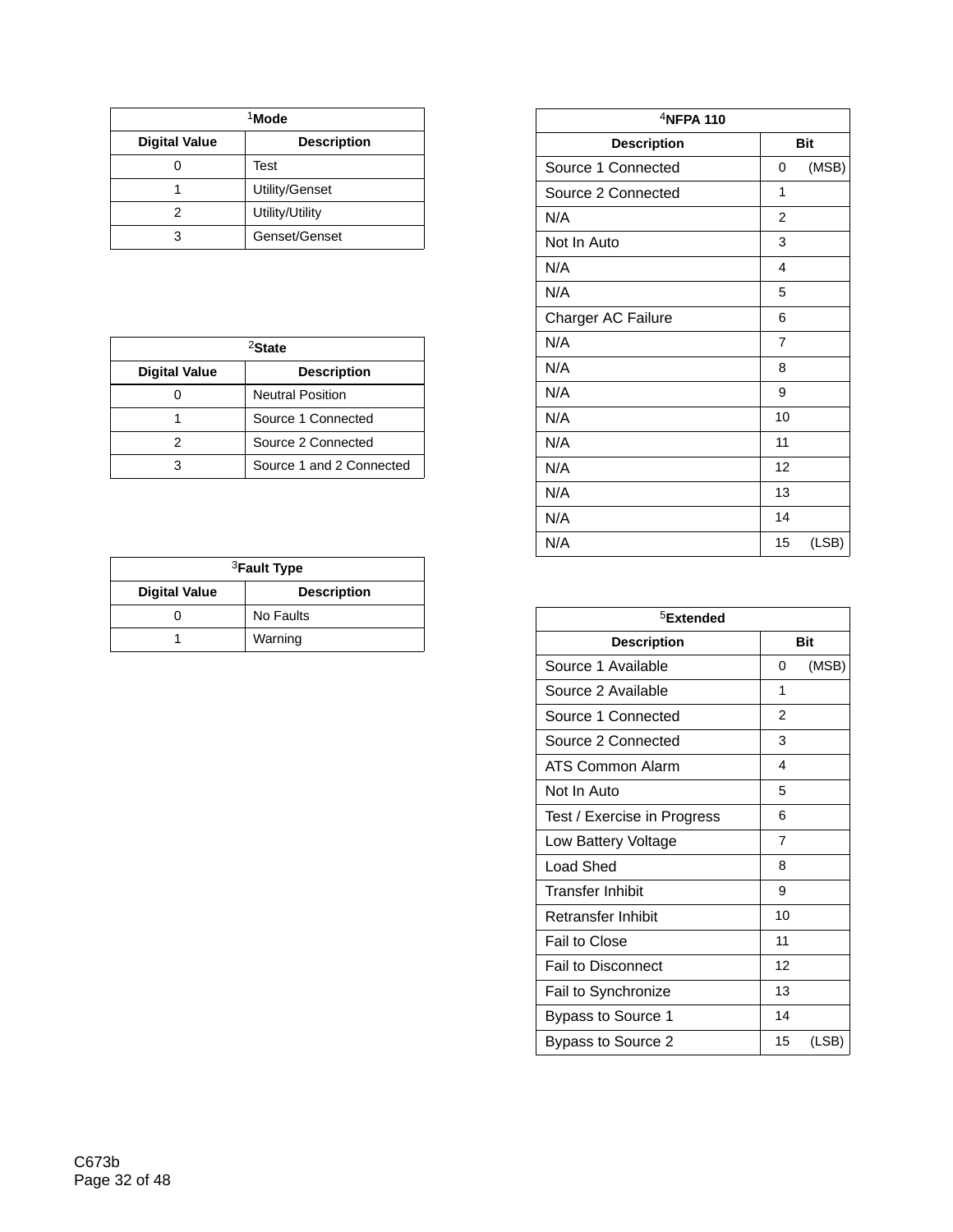| <sup>1</sup> Mode    |                    |  |  |  |  |  |  |  |  |
|----------------------|--------------------|--|--|--|--|--|--|--|--|
| <b>Digital Value</b> | <b>Description</b> |  |  |  |  |  |  |  |  |
|                      | Test               |  |  |  |  |  |  |  |  |
|                      | Utility/Genset     |  |  |  |  |  |  |  |  |
| 2                    | Utility/Utility    |  |  |  |  |  |  |  |  |
|                      | Genset/Genset      |  |  |  |  |  |  |  |  |

| <sup>2</sup> State   |                          |  |  |  |  |  |  |  |  |
|----------------------|--------------------------|--|--|--|--|--|--|--|--|
| <b>Digital Value</b> | <b>Description</b>       |  |  |  |  |  |  |  |  |
|                      | <b>Neutral Position</b>  |  |  |  |  |  |  |  |  |
|                      | Source 1 Connected       |  |  |  |  |  |  |  |  |
|                      | Source 2 Connected       |  |  |  |  |  |  |  |  |
|                      | Source 1 and 2 Connected |  |  |  |  |  |  |  |  |

| <sup>3</sup> Fault Type                    |           |  |  |  |  |  |  |  |  |
|--------------------------------------------|-----------|--|--|--|--|--|--|--|--|
| <b>Digital Value</b><br><b>Description</b> |           |  |  |  |  |  |  |  |  |
|                                            | No Faults |  |  |  |  |  |  |  |  |
|                                            | Warning   |  |  |  |  |  |  |  |  |

| <sup>4</sup> NFPA 110 |                |            |
|-----------------------|----------------|------------|
| <b>Description</b>    |                | <b>Bit</b> |
| Source 1 Connected    | 0              | (MSB)      |
| Source 2 Connected    | 1              |            |
| N/A                   | 2              |            |
| Not In Auto           | 3              |            |
| N/A                   | 4              |            |
| N/A                   | 5              |            |
| Charger AC Failure    | 6              |            |
| N/A                   | $\overline{7}$ |            |
| N/A                   | 8              |            |
| N/A                   | 9              |            |
| N/A                   | 10             |            |
| N/A                   | 11             |            |
| N/A                   | 12             |            |
| N/A                   | 13             |            |
| N/A                   | 14             |            |
| N/A                   | 15             | (LSB)      |

| <sup>5</sup> Extended       |                |            |
|-----------------------------|----------------|------------|
| <b>Description</b>          |                | <b>Bit</b> |
| Source 1 Available          | 0              | (MSB)      |
| Source 2 Available          | 1              |            |
| Source 1 Connected          | $\mathfrak{p}$ |            |
| Source 2 Connected          | 3              |            |
| ATS Common Alarm            | 4              |            |
| Not In Auto                 | 5              |            |
| Test / Exercise in Progress | 6              |            |
| Low Battery Voltage         | 7              |            |
| Load Shed                   | 8              |            |
| <b>Transfer Inhibit</b>     | 9              |            |
| Retransfer Inhibit          | 10             |            |
| Fail to Close               | 11             |            |
| <b>Fail to Disconnect</b>   | 12             |            |
| Fail to Synchronize         | 13             |            |
| Bypass to Source 1          | 14             |            |
| Bypass to Source 2          | 15             | (LSB)      |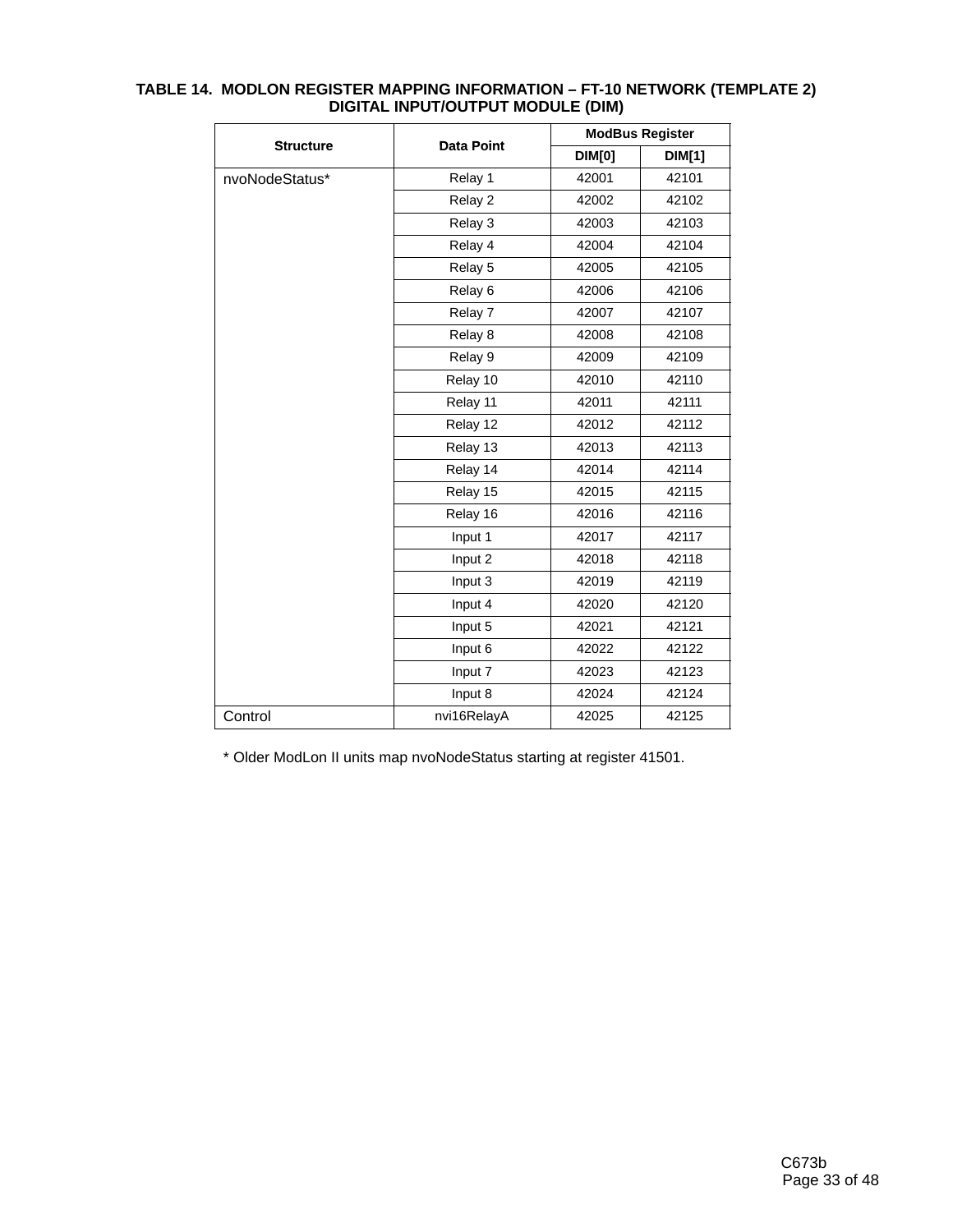|                  |                    |               | <b>ModBus Register</b> |
|------------------|--------------------|---------------|------------------------|
| <b>Structure</b> | <b>Data Point</b>  | <b>DIM[0]</b> | <b>DIM[1]</b>          |
| nvoNodeStatus*   | Relay 1            | 42001         | 42101                  |
|                  | Relay 2            | 42002         | 42102                  |
|                  | Relay 3            | 42003         | 42103                  |
|                  | Relay 4            | 42004         | 42104                  |
|                  | Relay 5            | 42005         | 42105                  |
|                  | Relay <sub>6</sub> | 42006         | 42106                  |
|                  | Relay 7            | 42007         | 42107                  |
|                  | Relay 8            | 42008         | 42108                  |
|                  | Relay 9            | 42009         | 42109                  |
|                  | Relay 10           | 42010         | 42110                  |
|                  | Relay 11           | 42011         | 42111                  |
|                  | Relay 12           | 42012         | 42112                  |
|                  | Relay 13           | 42013         | 42113                  |
|                  | Relay 14           | 42014         | 42114                  |
|                  | Relay 15           | 42015         | 42115                  |
|                  | Relay 16           | 42016         | 42116                  |
|                  | Input 1            | 42017         | 42117                  |
|                  | Input 2            | 42018         | 42118                  |
|                  | Input 3            | 42019         | 42119                  |
|                  | Input 4            | 42020         | 42120                  |
|                  | Input 5            | 42021         | 42121                  |
|                  | Input 6            | 42022         | 42122                  |
|                  | Input 7            | 42023         | 42123                  |
|                  | Input 8            | 42024         | 42124                  |
| Control          | nvi16RelayA        | 42025         | 42125                  |

#### **TABLE 14. MODLON REGISTER MAPPING INFORMATION – FT-10 NETWORK (TEMPLATE 2) DIGITAL INPUT/OUTPUT MODULE (DIM)**

\* Older ModLon II units map nvoNodeStatus starting at register 41501.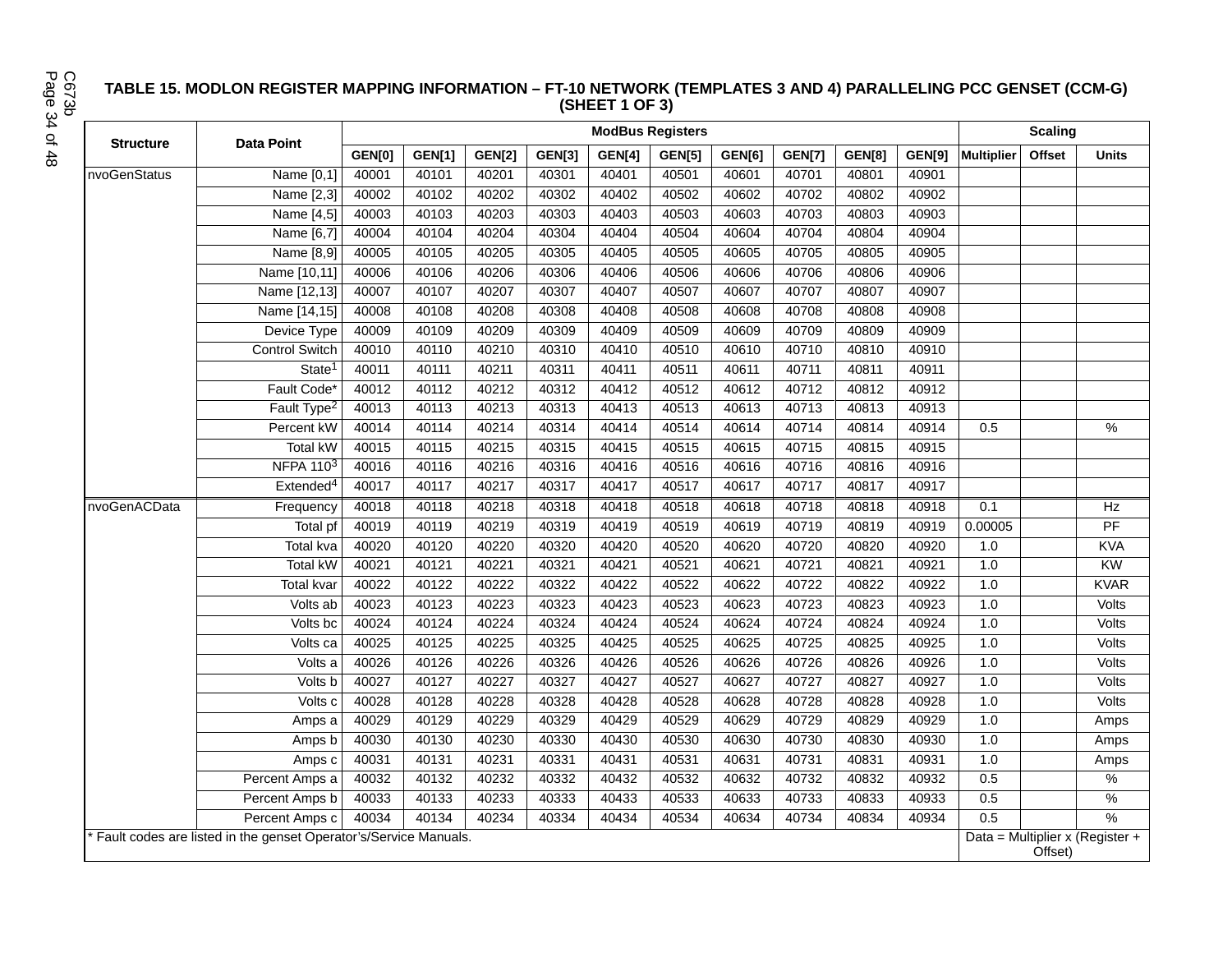#### **TABLE 15. MODLON REGISTER MAPPING INFORMATION – FT-10 NETWORK (TEMPLATES 3 AND 4) PARALLELING PCC GENSET (CCM-G) (SHEET 1 OF 3)**

| <b>Structure</b> | <b>Data Point</b>                                                  |               |               | <b>Scaling</b> |               |               |               |               |               |               |        |                                            |               |               |
|------------------|--------------------------------------------------------------------|---------------|---------------|----------------|---------------|---------------|---------------|---------------|---------------|---------------|--------|--------------------------------------------|---------------|---------------|
|                  |                                                                    | <b>GEN[0]</b> | <b>GEN[1]</b> | <b>GEN[2]</b>  | <b>GEN[3]</b> | <b>GEN[4]</b> | <b>GEN[5]</b> | <b>GEN[6]</b> | <b>GEN[7]</b> | <b>GEN[8]</b> | GEN[9] | <b>Multiplier</b>                          | <b>Offset</b> | <b>Units</b>  |
| nvoGenStatus     | Name [0,1]                                                         | 40001         | 40101         | 40201          | 40301         | 40401         | 40501         | 40601         | 40701         | 40801         | 40901  |                                            |               |               |
|                  | Name [2,3]                                                         | 40002         | 40102         | 40202          | 40302         | 40402         | 40502         | 40602         | 40702         | 40802         | 40902  |                                            |               |               |
|                  | Name [4,5]                                                         | 40003         | 40103         | 40203          | 40303         | 40403         | 40503         | 40603         | 40703         | 40803         | 40903  |                                            |               |               |
|                  | Name [6,7]                                                         | 40004         | 40104         | 40204          | 40304         | 40404         | 40504         | 40604         | 40704         | 40804         | 40904  |                                            |               |               |
|                  | Name [8,9]                                                         | 40005         | 40105         | 40205          | 40305         | 40405         | 40505         | 40605         | 40705         | 40805         | 40905  |                                            |               |               |
|                  | Name [10,11]                                                       | 40006         | 40106         | 40206          | 40306         | 40406         | 40506         | 40606         | 40706         | 40806         | 40906  |                                            |               |               |
|                  | Name [12,13]                                                       | 40007         | 40107         | 40207          | 40307         | 40407         | 40507         | 40607         | 40707         | 40807         | 40907  |                                            |               |               |
|                  | Name [14,15]                                                       | 40008         | 40108         | 40208          | 40308         | 40408         | 40508         | 40608         | 40708         | 40808         | 40908  |                                            |               |               |
|                  | Device Type                                                        | 40009         | 40109         | 40209          | 40309         | 40409         | 40509         | 40609         | 40709         | 40809         | 40909  |                                            |               |               |
|                  | <b>Control Switch</b>                                              | 40010         | 40110         | 40210          | 40310         | 40410         | 40510         | 40610         | 40710         | 40810         | 40910  |                                            |               |               |
|                  | State <sup>1</sup>                                                 | 40011         | 40111         | 40211          | 40311         | 40411         | 40511         | 40611         | 40711         | 40811         | 40911  |                                            |               |               |
|                  | Fault Code*                                                        | 40012         | 40112         | 40212          | 40312         | 40412         | 40512         | 40612         | 40712         | 40812         | 40912  |                                            |               |               |
|                  | Fault Type <sup>2</sup>                                            | 40013         | 40113         | 40213          | 40313         | 40413         | 40513         | 40613         | 40713         | 40813         | 40913  |                                            |               |               |
|                  | Percent kW                                                         | 40014         | 40114         | 40214          | 40314         | 40414         | 40514         | 40614         | 40714         | 40814         | 40914  | 0.5                                        |               | $\frac{0}{0}$ |
|                  | Total kW                                                           | 40015         | 40115         | 40215          | 40315         | 40415         | 40515         | 40615         | 40715         | 40815         | 40915  |                                            |               |               |
|                  | <b>NFPA 1103</b>                                                   | 40016         | 40116         | 40216          | 40316         | 40416         | 40516         | 40616         | 40716         | 40816         | 40916  |                                            |               |               |
|                  | Extended <sup>4</sup>                                              | 40017         | 40117         | 40217          | 40317         | 40417         | 40517         | 40617         | 40717         | 40817         | 40917  |                                            |               |               |
| nvoGenACData     | Frequency                                                          | 40018         | 40118         | 40218          | 40318         | 40418         | 40518         | 40618         | 40718         | 40818         | 40918  | 0.1                                        |               | Hz            |
|                  | Total pf                                                           | 40019         | 40119         | 40219          | 40319         | 40419         | 40519         | 40619         | 40719         | 40819         | 40919  | 0.00005                                    |               | PF            |
|                  | <b>Total kva</b>                                                   | 40020         | 40120         | 40220          | 40320         | 40420         | 40520         | 40620         | 40720         | 40820         | 40920  | 1.0                                        |               | <b>KVA</b>    |
|                  | <b>Total kW</b>                                                    | 40021         | 40121         | 40221          | 40321         | 40421         | 40521         | 40621         | 40721         | 40821         | 40921  | 1.0                                        |               | KW            |
|                  | <b>Total kvar</b>                                                  | 40022         | 40122         | 40222          | 40322         | 40422         | 40522         | 40622         | 40722         | 40822         | 40922  | 1.0                                        |               | <b>KVAR</b>   |
|                  | Volts ab                                                           | 40023         | 40123         | 40223          | 40323         | 40423         | 40523         | 40623         | 40723         | 40823         | 40923  | 1.0                                        |               | Volts         |
|                  | Volts bc                                                           | 40024         | 40124         | 40224          | 40324         | 40424         | 40524         | 40624         | 40724         | 40824         | 40924  | 1.0                                        |               | Volts         |
|                  | Volts ca                                                           | 40025         | 40125         | 40225          | 40325         | 40425         | 40525         | 40625         | 40725         | 40825         | 40925  | 1.0                                        |               | Volts         |
|                  | Volts a                                                            | 40026         | 40126         | 40226          | 40326         | 40426         | 40526         | 40626         | 40726         | 40826         | 40926  | 1.0                                        |               | Volts         |
|                  | Volts b                                                            | 40027         | 40127         | 40227          | 40327         | 40427         | 40527         | 40627         | 40727         | 40827         | 40927  | 1.0                                        |               | Volts         |
|                  | Volts c                                                            | 40028         | 40128         | 40228          | 40328         | 40428         | 40528         | 40628         | 40728         | 40828         | 40928  | 1.0                                        |               | Volts         |
|                  | Amps a                                                             | 40029         | 40129         | 40229          | 40329         | 40429         | 40529         | 40629         | 40729         | 40829         | 40929  | 1.0                                        |               | Amps          |
|                  | Amps b                                                             | 40030         | 40130         | 40230          | 40330         | 40430         | 40530         | 40630         | 40730         | 40830         | 40930  | 1.0                                        |               | Amps          |
|                  | Amps c                                                             | 40031         | 40131         | 40231          | 40331         | 40431         | 40531         | 40631         | 40731         | 40831         | 40931  | 1.0                                        |               | Amps          |
|                  | Percent Amps a                                                     | 40032         | 40132         | 40232          | 40332         | 40432         | 40532         | 40632         | 40732         | 40832         | 40932  | 0.5                                        |               | $\%$          |
|                  | Percent Amps b                                                     | 40033         | 40133         | 40233          | 40333         | 40433         | 40533         | 40633         | 40733         | 40833         | 40933  | 0.5                                        |               | $\frac{1}{2}$ |
|                  | Percent Amps c                                                     | 40034         | 40134         | 40234          | 40334         | 40434         | 40534         | 40634         | 40734         | 40834         | 40934  | 0.5                                        |               | $\frac{1}{2}$ |
|                  | * Fault codes are listed in the genset Operator's/Service Manuals. |               |               |                |               |               |               |               |               |               |        | Data = Multiplier x (Register +<br>Offset) |               |               |

Page 34 of 48 C673b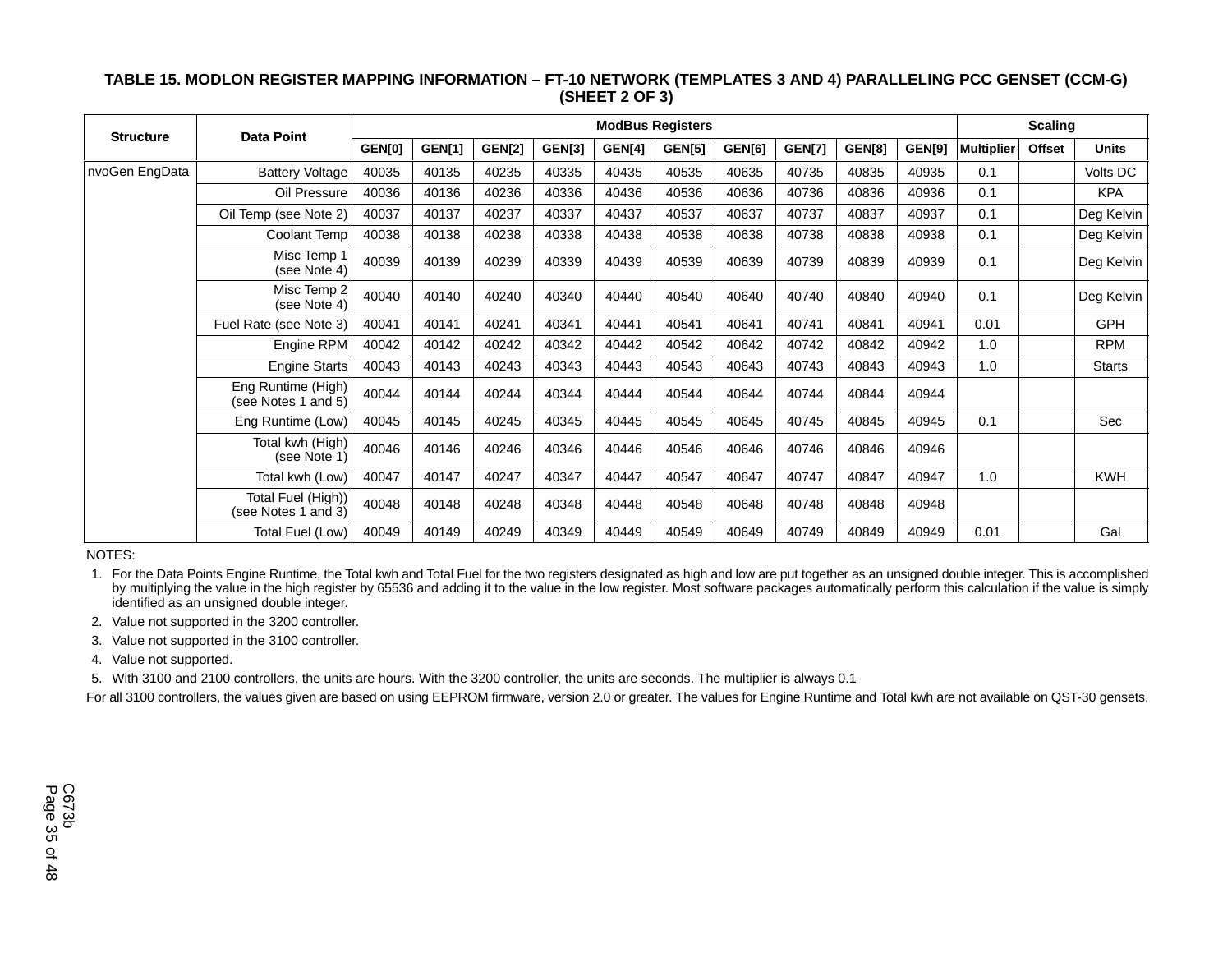### **TABLE 15. MODLON REGISTER MAPPING INFORMATION – FT-10 NETWORK (TEMPLATES 3 AND 4) PARALLELING PCC GENSET (CCM-G) (SHEET 2 OF 3)**

| <b>Structure</b> | <b>Data Point</b>                         |        |               |               |               | <b>ModBus Registers</b> |               |               |               |        |               | <b>Scaling</b>    |        |               |
|------------------|-------------------------------------------|--------|---------------|---------------|---------------|-------------------------|---------------|---------------|---------------|--------|---------------|-------------------|--------|---------------|
|                  |                                           | GEN[0] | <b>GEN[1]</b> | <b>GEN[2]</b> | <b>GEN[3]</b> | GEN[4]                  | <b>GEN[5]</b> | <b>GEN[6]</b> | <b>GEN[7]</b> | GEN[8] | <b>GEN[9]</b> | <b>Multiplier</b> | Offset | <b>Units</b>  |
| nvoGen EngData   | <b>Battery Voltage</b>                    | 40035  | 40135         | 40235         | 40335         | 40435                   | 40535         | 40635         | 40735         | 40835  | 40935         | 0.1               |        | Volts DC      |
|                  | Oil Pressure                              | 40036  | 40136         | 40236         | 40336         | 40436                   | 40536         | 40636         | 40736         | 40836  | 40936         | 0.1               |        | <b>KPA</b>    |
|                  | Oil Temp (see Note 2)                     | 40037  | 40137         | 40237         | 40337         | 40437                   | 40537         | 40637         | 40737         | 40837  | 40937         | 0.1               |        | Deg Kelvin    |
|                  | Coolant Temp                              | 40038  | 40138         | 40238         | 40338         | 40438                   | 40538         | 40638         | 40738         | 40838  | 40938         | 0.1               |        | Deg Kelvin    |
|                  | Misc Temp 1<br>(see Note 4)               | 40039  | 40139         | 40239         | 40339         | 40439                   | 40539         | 40639         | 40739         | 40839  | 40939         | 0.1               |        | Deg Kelvin    |
|                  | Misc Temp 2<br>(see Note 4)               | 40040  | 40140         | 40240         | 40340         | 40440                   | 40540         | 40640         | 40740         | 40840  | 40940         | 0.1               |        | Deg Kelvin    |
|                  | Fuel Rate (see Note 3)                    | 40041  | 40141         | 40241         | 40341         | 40441                   | 40541         | 40641         | 40741         | 40841  | 40941         | 0.01              |        | <b>GPH</b>    |
|                  | Engine RPM                                | 40042  | 40142         | 40242         | 40342         | 40442                   | 40542         | 40642         | 40742         | 40842  | 40942         | 1.0               |        | <b>RPM</b>    |
|                  | <b>Engine Starts</b>                      | 40043  | 40143         | 40243         | 40343         | 40443                   | 40543         | 40643         | 40743         | 40843  | 40943         | 1.0               |        | <b>Starts</b> |
|                  | Eng Runtime (High)<br>(see Notes 1 and 5) | 40044  | 40144         | 40244         | 40344         | 40444                   | 40544         | 40644         | 40744         | 40844  | 40944         |                   |        |               |
|                  | Eng Runtime (Low)                         | 40045  | 40145         | 40245         | 40345         | 40445                   | 40545         | 40645         | 40745         | 40845  | 40945         | 0.1               |        | Sec           |
|                  | Total kwh (High)<br>(see Note 1)          | 40046  | 40146         | 40246         | 40346         | 40446                   | 40546         | 40646         | 40746         | 40846  | 40946         |                   |        |               |
|                  | Total kwh (Low)                           | 40047  | 40147         | 40247         | 40347         | 40447                   | 40547         | 40647         | 40747         | 40847  | 40947         | 1.0               |        | <b>KWH</b>    |
|                  | Total Fuel (High))<br>(see Notes 1 and 3) | 40048  | 40148         | 40248         | 40348         | 40448                   | 40548         | 40648         | 40748         | 40848  | 40948         |                   |        |               |
|                  | Total Fuel (Low)                          | 40049  | 40149         | 40249         | 40349         | 40449                   | 40549         | 40649         | 40749         | 40849  | 40949         | 0.01              |        | Gal           |

NOTES:

 1. For the Data Points Engine Runtime, the Total kwh and Total Fuel for the two registers designated as high and low are put together as an unsigned double integer. This is accomplished by multiplying the value in the high register by 65536 and adding it to the value in the low register. Most software packages automatically perform this calculation if the value is simply identified as an unsigned double integer.

2. Value not supported in the 3200 controller.

3. Value not supported in the 3100 controller.

4. Value not supported.

5. With 3100 and 2100 controllers, the units are hours. With the 3200 controller, the units are seconds. The multiplier is always 0.1

For all 3100 controllers, the values given are based on using EEPROM firmware, version 2.0 or greater. The values for Engine Runtime and Total kwh are not available on QST-30 gensets.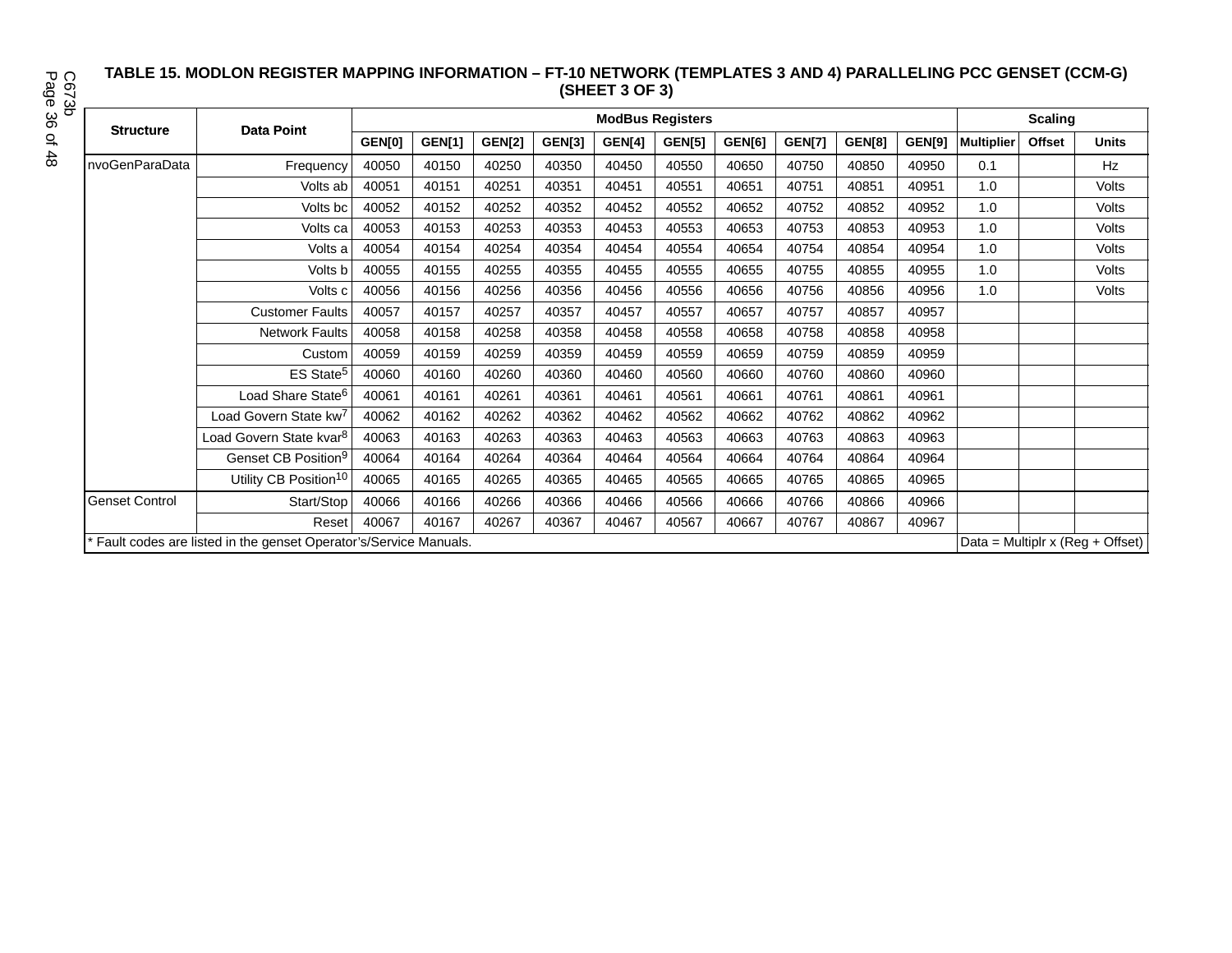#### **TABLE 15. MODLON REGISTER MAPPING INFORMATION – FT-10 NETWORK (TEMPLATES 3 AND 4) PARALLELING PCC GENSET (CCM-G) (SHEET 3 OF 3)**

Page 36 of 48 C673b

|                       |                                                                  |        |               | <b>Scaling</b> |               |        |               |        |               |        |        |                   |        |                                      |
|-----------------------|------------------------------------------------------------------|--------|---------------|----------------|---------------|--------|---------------|--------|---------------|--------|--------|-------------------|--------|--------------------------------------|
| <b>Structure</b>      | <b>Data Point</b>                                                | GEN[0] | <b>GEN[1]</b> | <b>GEN[2]</b>  | <b>GEN[3]</b> | GEN[4] | <b>GEN[5]</b> | GEN[6] | <b>GEN[7]</b> | GEN[8] | GEN[9] | <b>Multiplier</b> | Offset | <b>Units</b>                         |
| nvoGenParaData        | Frequency                                                        | 40050  | 40150         | 40250          | 40350         | 40450  | 40550         | 40650  | 40750         | 40850  | 40950  | 0.1               |        | Hz                                   |
|                       | Volts ab                                                         | 40051  | 40151         | 40251          | 40351         | 40451  | 40551         | 40651  | 40751         | 40851  | 40951  | 1.0               |        | Volts                                |
|                       | Volts bc                                                         | 40052  | 40152         | 40252          | 40352         | 40452  | 40552         | 40652  | 40752         | 40852  | 40952  | 1.0               |        | Volts                                |
|                       | Volts ca                                                         | 40053  | 40153         | 40253          | 40353         | 40453  | 40553         | 40653  | 40753         | 40853  | 40953  | 1.0               |        | Volts                                |
|                       | Volts a                                                          | 40054  | 40154         | 40254          | 40354         | 40454  | 40554         | 40654  | 40754         | 40854  | 40954  | 1.0               |        | Volts                                |
|                       | Volts b                                                          | 40055  | 40155         | 40255          | 40355         | 40455  | 40555         | 40655  | 40755         | 40855  | 40955  | 1.0               |        | Volts                                |
|                       | Volts c                                                          | 40056  | 40156         | 40256          | 40356         | 40456  | 40556         | 40656  | 40756         | 40856  | 40956  | 1.0               |        | Volts                                |
|                       | <b>Customer Faults</b>                                           | 40057  | 40157         | 40257          | 40357         | 40457  | 40557         | 40657  | 40757         | 40857  | 40957  |                   |        |                                      |
|                       | <b>Network Faults</b>                                            | 40058  | 40158         | 40258          | 40358         | 40458  | 40558         | 40658  | 40758         | 40858  | 40958  |                   |        |                                      |
|                       | Custom                                                           | 40059  | 40159         | 40259          | 40359         | 40459  | 40559         | 40659  | 40759         | 40859  | 40959  |                   |        |                                      |
|                       | ES State <sup>5</sup>                                            | 40060  | 40160         | 40260          | 40360         | 40460  | 40560         | 40660  | 40760         | 40860  | 40960  |                   |        |                                      |
|                       | Load Share State <sup>6</sup>                                    | 40061  | 40161         | 40261          | 40361         | 40461  | 40561         | 40661  | 40761         | 40861  | 40961  |                   |        |                                      |
|                       | Load Govern State kw <sup>7</sup>                                | 40062  | 40162         | 40262          | 40362         | 40462  | 40562         | 40662  | 40762         | 40862  | 40962  |                   |        |                                      |
|                       | Load Govern State kvar <sup>8</sup>                              | 40063  | 40163         | 40263          | 40363         | 40463  | 40563         | 40663  | 40763         | 40863  | 40963  |                   |        |                                      |
|                       | Genset CB Position <sup>9</sup>                                  | 40064  | 40164         | 40264          | 40364         | 40464  | 40564         | 40664  | 40764         | 40864  | 40964  |                   |        |                                      |
|                       | Utility CB Position <sup>10</sup>                                | 40065  | 40165         | 40265          | 40365         | 40465  | 40565         | 40665  | 40765         | 40865  | 40965  |                   |        |                                      |
| <b>Genset Control</b> | Start/Stop                                                       | 40066  | 40166         | 40266          | 40366         | 40466  | 40566         | 40666  | 40766         | 40866  | 40966  |                   |        |                                      |
|                       | Reset                                                            | 40067  | 40167         | 40267          | 40367         | 40467  | 40567         | 40667  | 40767         | 40867  | 40967  |                   |        |                                      |
|                       | Fault codes are listed in the genset Operator's/Service Manuals. |        |               |                |               |        |               |        |               |        |        |                   |        | Data = Multiplr x ( $Reg + Offset$ ) |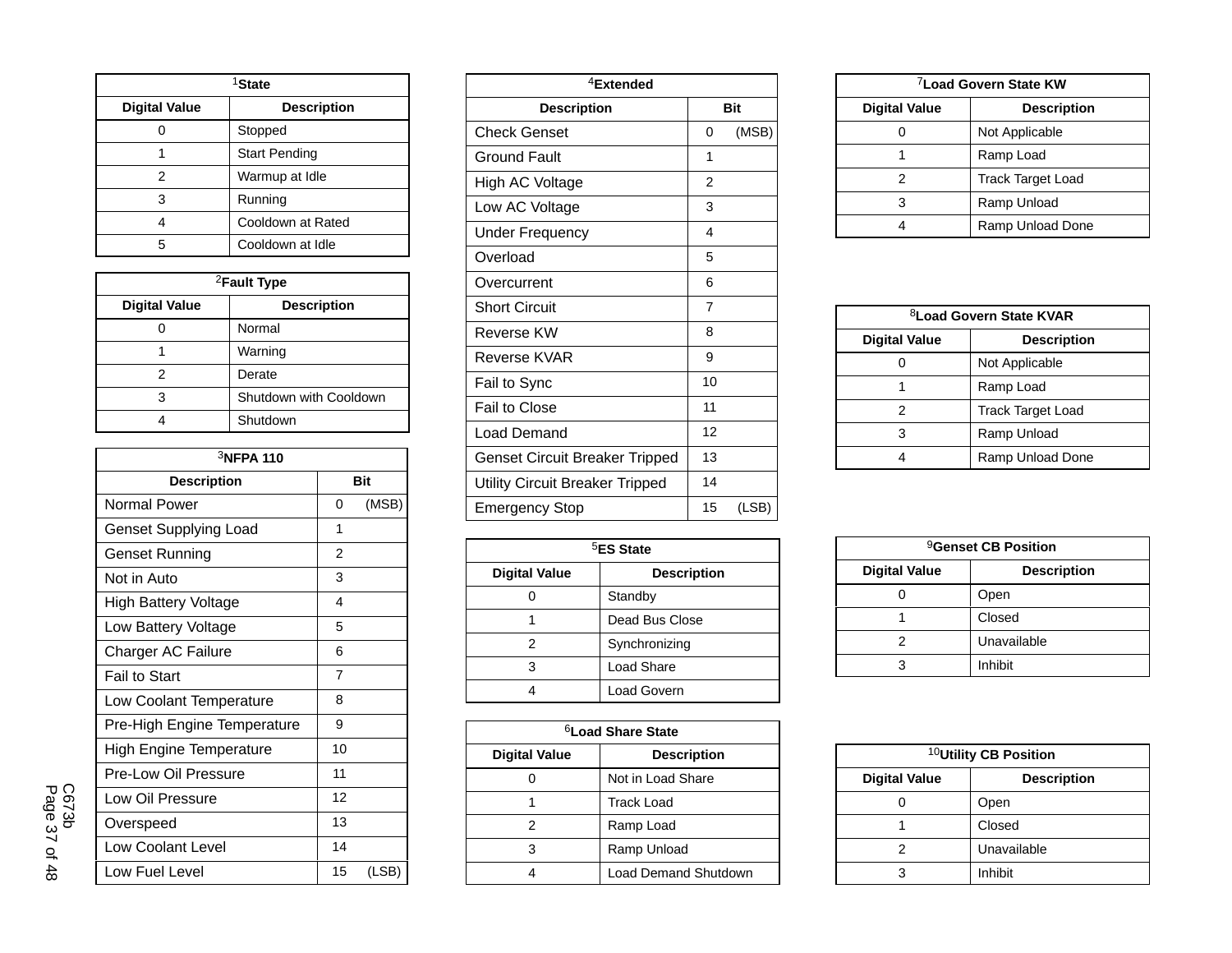| <sup>1</sup> State   |                      |  |  |  |  |  |  |
|----------------------|----------------------|--|--|--|--|--|--|
| <b>Digital Value</b> | <b>Description</b>   |  |  |  |  |  |  |
|                      | Stopped              |  |  |  |  |  |  |
|                      | <b>Start Pending</b> |  |  |  |  |  |  |
| 2                    | Warmup at Idle       |  |  |  |  |  |  |
| 3                    | Running              |  |  |  |  |  |  |
|                      | Cooldown at Rated    |  |  |  |  |  |  |
| 5                    | Cooldown at Idle     |  |  |  |  |  |  |

| <sup>2</sup> Fault Type |                        |  |  |  |  |  |
|-------------------------|------------------------|--|--|--|--|--|
| <b>Digital Value</b>    | <b>Description</b>     |  |  |  |  |  |
|                         | Normal                 |  |  |  |  |  |
|                         | Warning                |  |  |  |  |  |
| 2                       | Derate                 |  |  |  |  |  |
| 3                       | Shutdown with Cooldown |  |  |  |  |  |
|                         | Shutdown               |  |  |  |  |  |

| 3NFPA 110                      |                |       |  |  |  |  |  |  |
|--------------------------------|----------------|-------|--|--|--|--|--|--|
| <b>Description</b>             |                | Bit   |  |  |  |  |  |  |
| Normal Power                   | 0              | (MSB) |  |  |  |  |  |  |
| <b>Genset Supplying Load</b>   | 1              |       |  |  |  |  |  |  |
| Genset Running                 | $\mathfrak{p}$ |       |  |  |  |  |  |  |
| Not in Auto                    | 3              |       |  |  |  |  |  |  |
| High Battery Voltage           | 4              |       |  |  |  |  |  |  |
| Low Battery Voltage            | 5              |       |  |  |  |  |  |  |
| Charger AC Failure             | 6              |       |  |  |  |  |  |  |
| <b>Fail to Start</b>           | 7              |       |  |  |  |  |  |  |
| Low Coolant Temperature        | 8              |       |  |  |  |  |  |  |
| Pre-High Engine Temperature    | 9              |       |  |  |  |  |  |  |
| <b>High Engine Temperature</b> | 10             |       |  |  |  |  |  |  |
| Pre-Low Oil Pressure           | 11             |       |  |  |  |  |  |  |
| Low Oil Pressure               | 12             |       |  |  |  |  |  |  |
| Overspeed                      | 13             |       |  |  |  |  |  |  |
| <b>Low Coolant Level</b>       | 14             |       |  |  |  |  |  |  |
| Low Fuel Level                 | 15             | (LSB) |  |  |  |  |  |  |

| <sup>4</sup> Extended                 |                |            |  |  |  |  |  |
|---------------------------------------|----------------|------------|--|--|--|--|--|
| <b>Description</b>                    |                | <b>Bit</b> |  |  |  |  |  |
| <b>Check Genset</b>                   | 0              | (MSB)      |  |  |  |  |  |
| Ground Fault                          | 1              |            |  |  |  |  |  |
| High AC Voltage                       | $\overline{2}$ |            |  |  |  |  |  |
| Low AC Voltage                        | 3              |            |  |  |  |  |  |
| Under Frequency                       | 4              |            |  |  |  |  |  |
| Overload                              | 5              |            |  |  |  |  |  |
| Overcurrent                           | 6              |            |  |  |  |  |  |
| <b>Short Circuit</b>                  | 7              |            |  |  |  |  |  |
| Reverse KW                            | 8              |            |  |  |  |  |  |
| Reverse KVAR                          | 9              |            |  |  |  |  |  |
| Fail to Sync                          | 10             |            |  |  |  |  |  |
| Fail to Close                         | 11             |            |  |  |  |  |  |
| Load Demand                           | 12             |            |  |  |  |  |  |
| <b>Genset Circuit Breaker Tripped</b> | 13             |            |  |  |  |  |  |
| Utility Circuit Breaker Tripped       | 14             |            |  |  |  |  |  |
| Emergency Stop                        | 15             | (LSB)      |  |  |  |  |  |

| <sup>5</sup> ES State |                    |  |  |  |  |  |
|-----------------------|--------------------|--|--|--|--|--|
| <b>Digital Value</b>  | <b>Description</b> |  |  |  |  |  |
|                       | Standby            |  |  |  |  |  |
|                       | Dead Bus Close     |  |  |  |  |  |
| 2                     | Synchronizing      |  |  |  |  |  |
| 3                     | Load Share         |  |  |  |  |  |
|                       | Load Govern        |  |  |  |  |  |

| <sup>6</sup> Load Share State |                             |  |  |  |  |  |  |
|-------------------------------|-----------------------------|--|--|--|--|--|--|
| <b>Digital Value</b>          | <b>Description</b>          |  |  |  |  |  |  |
|                               | Not in Load Share           |  |  |  |  |  |  |
|                               | <b>Track Load</b>           |  |  |  |  |  |  |
| 2                             | Ramp Load                   |  |  |  |  |  |  |
| 3                             | Ramp Unload                 |  |  |  |  |  |  |
|                               | <b>Load Demand Shutdown</b> |  |  |  |  |  |  |

| <sup>7</sup> Load Govern State KW |                          |  |  |  |  |  |
|-----------------------------------|--------------------------|--|--|--|--|--|
| <b>Digital Value</b>              | <b>Description</b>       |  |  |  |  |  |
|                                   | Not Applicable           |  |  |  |  |  |
|                                   | Ramp Load                |  |  |  |  |  |
|                                   | <b>Track Target Load</b> |  |  |  |  |  |
|                                   | Ramp Unload              |  |  |  |  |  |
|                                   | Ramp Unload Done         |  |  |  |  |  |

| <sup>8</sup> Load Govern State KVAR |                          |  |  |  |  |  |
|-------------------------------------|--------------------------|--|--|--|--|--|
| <b>Digital Value</b>                | <b>Description</b>       |  |  |  |  |  |
|                                     | Not Applicable           |  |  |  |  |  |
|                                     | Ramp Load                |  |  |  |  |  |
| 2                                   | <b>Track Target Load</b> |  |  |  |  |  |
|                                     | Ramp Unload              |  |  |  |  |  |
|                                     | Ramp Unload Done         |  |  |  |  |  |

| <sup>9</sup> Genset CB Position |                    |  |  |  |  |  |
|---------------------------------|--------------------|--|--|--|--|--|
| <b>Digital Value</b>            | <b>Description</b> |  |  |  |  |  |
|                                 | Open               |  |  |  |  |  |
|                                 | Closed             |  |  |  |  |  |
|                                 | Unavailable        |  |  |  |  |  |
|                                 | Inhibit            |  |  |  |  |  |

| <sup>10</sup> Utility CB Position          |             |  |  |  |  |  |  |
|--------------------------------------------|-------------|--|--|--|--|--|--|
| <b>Digital Value</b><br><b>Description</b> |             |  |  |  |  |  |  |
|                                            | Open        |  |  |  |  |  |  |
|                                            | Closed      |  |  |  |  |  |  |
|                                            | Unavailable |  |  |  |  |  |  |
|                                            | Inhibit     |  |  |  |  |  |  |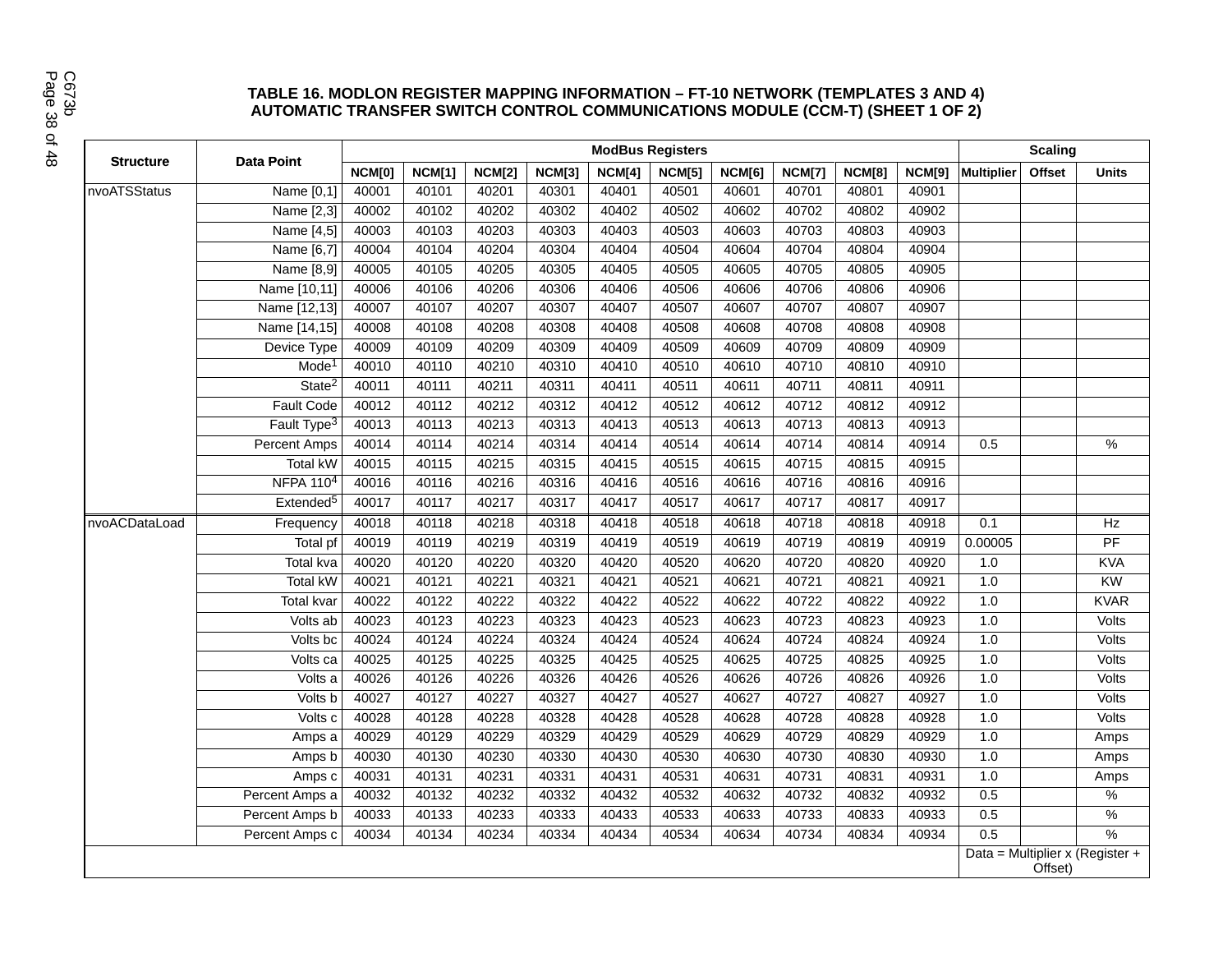#### **TABLE 16. MODLON REGISTER MAPPING INFORMATION – FT-10 NETWORK (TEMPLATES 3 AND 4) AUTOMATIC TRANSFER SWITCH CONTROL COMMUNICATIONS MODULE (CCM-T) (SHEET 1 OF 2)**

|                  |                         |        |               |               |               |        | <b>ModBus Registers</b> |        |               |               |               | <b>Scaling</b>    |         |                                 |
|------------------|-------------------------|--------|---------------|---------------|---------------|--------|-------------------------|--------|---------------|---------------|---------------|-------------------|---------|---------------------------------|
| <b>Structure</b> | <b>Data Point</b>       | NCM[0] | <b>NCM[1]</b> | <b>NCM[2]</b> | <b>NCM[3]</b> | NCM[4] | <b>NCM[5]</b>           | NCM[6] | <b>NCM[7]</b> | <b>NCM[8]</b> | <b>NCM[9]</b> | <b>Multiplier</b> | Offset  | <b>Units</b>                    |
| nvoATSStatus     | Name [0,1]              | 40001  | 40101         | 40201         | 40301         | 40401  | 40501                   | 40601  | 40701         | 40801         | 40901         |                   |         |                                 |
|                  | Name [2,3]              | 40002  | 40102         | 40202         | 40302         | 40402  | 40502                   | 40602  | 40702         | 40802         | 40902         |                   |         |                                 |
|                  | Name [4,5]              | 40003  | 40103         | 40203         | 40303         | 40403  | 40503                   | 40603  | 40703         | 40803         | 40903         |                   |         |                                 |
|                  | Name [6,7]              | 40004  | 40104         | 40204         | 40304         | 40404  | 40504                   | 40604  | 40704         | 40804         | 40904         |                   |         |                                 |
|                  | Name [8,9]              | 40005  | 40105         | 40205         | 40305         | 40405  | 40505                   | 40605  | 40705         | 40805         | 40905         |                   |         |                                 |
|                  | Name [10,11]            | 40006  | 40106         | 40206         | 40306         | 40406  | 40506                   | 40606  | 40706         | 40806         | 40906         |                   |         |                                 |
|                  | Name [12,13]            | 40007  | 40107         | 40207         | 40307         | 40407  | 40507                   | 40607  | 40707         | 40807         | 40907         |                   |         |                                 |
|                  | Name [14,15]            | 40008  | 40108         | 40208         | 40308         | 40408  | 40508                   | 40608  | 40708         | 40808         | 40908         |                   |         |                                 |
|                  | Device Type             | 40009  | 40109         | 40209         | 40309         | 40409  | 40509                   | 40609  | 40709         | 40809         | 40909         |                   |         |                                 |
|                  | Mode <sup>1</sup>       | 40010  | 40110         | 40210         | 40310         | 40410  | 40510                   | 40610  | 40710         | 40810         | 40910         |                   |         |                                 |
|                  | State <sup>2</sup>      | 40011  | 40111         | 40211         | 40311         | 40411  | 40511                   | 40611  | 40711         | 40811         | 40911         |                   |         |                                 |
|                  | <b>Fault Code</b>       | 40012  | 40112         | 40212         | 40312         | 40412  | 40512                   | 40612  | 40712         | 40812         | 40912         |                   |         |                                 |
|                  | Fault Type <sup>3</sup> | 40013  | 40113         | 40213         | 40313         | 40413  | 40513                   | 40613  | 40713         | 40813         | 40913         |                   |         |                                 |
|                  | Percent Amps            | 40014  | 40114         | 40214         | 40314         | 40414  | 40514                   | 40614  | 40714         | 40814         | 40914         | 0.5               |         | %                               |
|                  | <b>Total kW</b>         | 40015  | 40115         | 40215         | 40315         | 40415  | 40515                   | 40615  | 40715         | 40815         | 40915         |                   |         |                                 |
|                  | <b>NFPA 1104</b>        | 40016  | 40116         | 40216         | 40316         | 40416  | 40516                   | 40616  | 40716         | 40816         | 40916         |                   |         |                                 |
|                  | Extended <sup>5</sup>   | 40017  | 40117         | 40217         | 40317         | 40417  | 40517                   | 40617  | 40717         | 40817         | 40917         |                   |         |                                 |
| nvoACDataLoad    | Frequency               | 40018  | 40118         | 40218         | 40318         | 40418  | 40518                   | 40618  | 40718         | 40818         | 40918         | 0.1               |         | Hz                              |
|                  | <b>Total pf</b>         | 40019  | 40119         | 40219         | 40319         | 40419  | 40519                   | 40619  | 40719         | 40819         | 40919         | 0.00005           |         | PF                              |
|                  | <b>Total kva</b>        | 40020  | 40120         | 40220         | 40320         | 40420  | 40520                   | 40620  | 40720         | 40820         | 40920         | 1.0               |         | <b>KVA</b>                      |
|                  | Total kW                | 40021  | 40121         | 40221         | 40321         | 40421  | 40521                   | 40621  | 40721         | 40821         | 40921         | 1.0               |         | KW                              |
|                  | <b>Total kvar</b>       | 40022  | 40122         | 40222         | 40322         | 40422  | 40522                   | 40622  | 40722         | 40822         | 40922         | 1.0               |         | <b>KVAR</b>                     |
|                  | Volts ab                | 40023  | 40123         | 40223         | 40323         | 40423  | 40523                   | 40623  | 40723         | 40823         | 40923         | 1.0               |         | Volts                           |
|                  | Volts bc                | 40024  | 40124         | 40224         | 40324         | 40424  | 40524                   | 40624  | 40724         | 40824         | 40924         | 1.0               |         | Volts                           |
|                  | Volts ca                | 40025  | 40125         | 40225         | 40325         | 40425  | 40525                   | 40625  | 40725         | 40825         | 40925         | 1.0               |         | Volts                           |
|                  | Volts a                 | 40026  | 40126         | 40226         | 40326         | 40426  | 40526                   | 40626  | 40726         | 40826         | 40926         | 1.0               |         | Volts                           |
|                  | Volts b                 | 40027  | 40127         | 40227         | 40327         | 40427  | 40527                   | 40627  | 40727         | 40827         | 40927         | 1.0               |         | Volts                           |
|                  | Volts <sub>c</sub>      | 40028  | 40128         | 40228         | 40328         | 40428  | 40528                   | 40628  | 40728         | 40828         | 40928         | 1.0               |         | Volts                           |
|                  | Amps a                  | 40029  | 40129         | 40229         | 40329         | 40429  | 40529                   | 40629  | 40729         | 40829         | 40929         | 1.0               |         | Amps                            |
|                  | Amps b                  | 40030  | 40130         | 40230         | 40330         | 40430  | 40530                   | 40630  | 40730         | 40830         | 40930         | 1.0               |         | Amps                            |
|                  | Amps c                  | 40031  | 40131         | 40231         | 40331         | 40431  | 40531                   | 40631  | 40731         | 40831         | 40931         | 1.0               |         | Amps                            |
|                  | Percent Amps a          | 40032  | 40132         | 40232         | 40332         | 40432  | 40532                   | 40632  | 40732         | 40832         | 40932         | 0.5               |         | %                               |
|                  | Percent Amps b          | 40033  | 40133         | 40233         | 40333         | 40433  | 40533                   | 40633  | 40733         | 40833         | 40933         | 0.5               |         | $\frac{1}{2}$                   |
|                  | Percent Amps c          | 40034  | 40134         | 40234         | 40334         | 40434  | 40534                   | 40634  | 40734         | 40834         | 40934         | 0.5               |         | %                               |
|                  |                         |        |               |               |               |        |                         |        |               |               |               |                   | Offset) | Data = Multiplier x (Register + |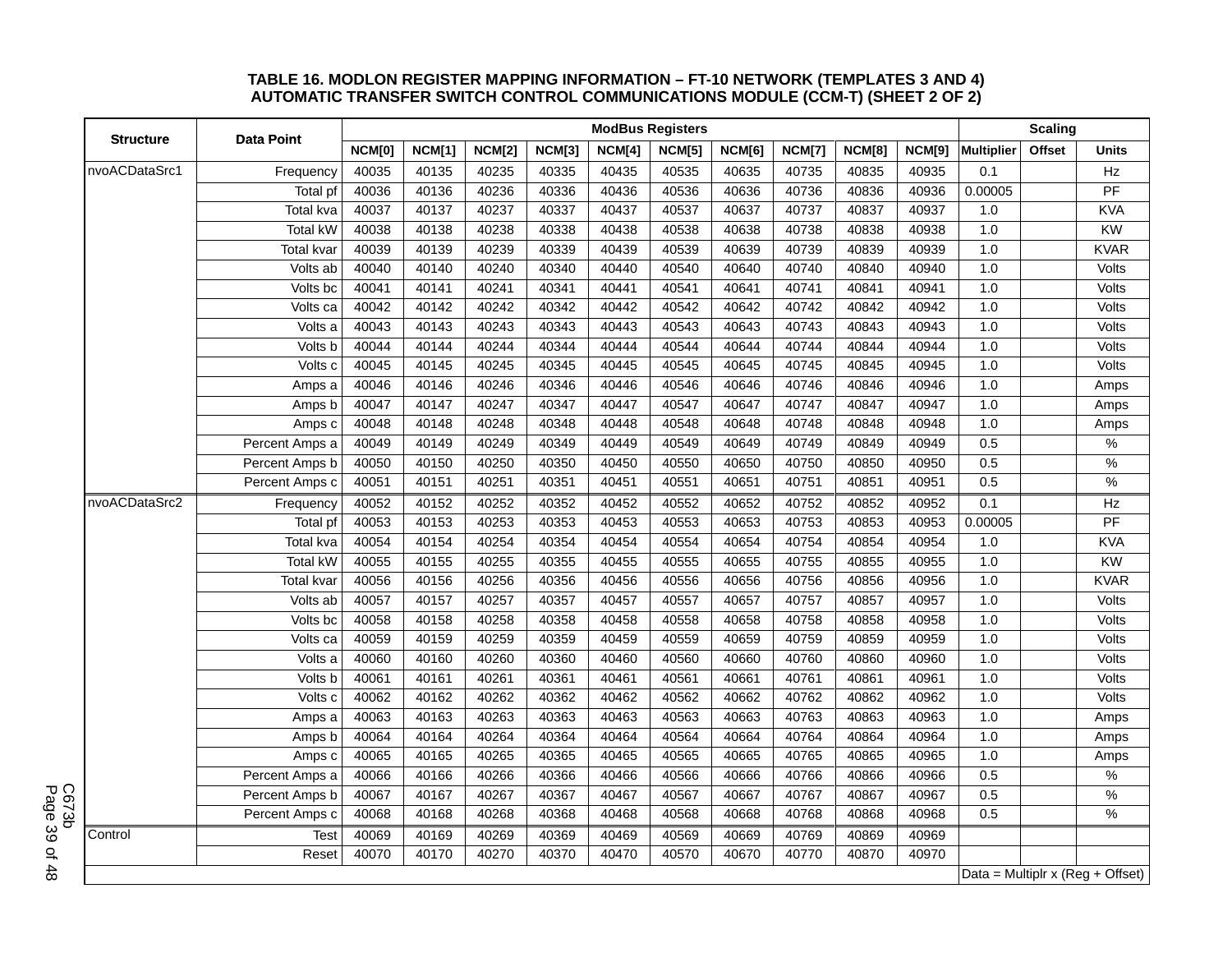#### **TABLE 16. MODLON REGISTER MAPPING INFORMATION – FT-10 NETWORK (TEMPLATES 3 AND 4) AUTOMATIC TRANSFER SWITCH CONTROL COMMUNICATIONS MODULE (CCM-T) (SHEET 2 OF 2)**

|                  |                        |               |               |               |               | <b>ModBus Registers</b> |               |               |               |               |               | <b>Scaling</b>    |        |                                  |
|------------------|------------------------|---------------|---------------|---------------|---------------|-------------------------|---------------|---------------|---------------|---------------|---------------|-------------------|--------|----------------------------------|
| <b>Structure</b> | <b>Data Point</b>      | <b>NCM[0]</b> | <b>NCM[1]</b> | <b>NCM[2]</b> | <b>NCM[3]</b> | NCM[4]                  | <b>NCM[5]</b> | <b>NCM[6]</b> | <b>NCM[7]</b> | <b>NCM[8]</b> | <b>NCM[9]</b> | <b>Multiplier</b> | Offset | <b>Units</b>                     |
| nvoACDataSrc1    | Frequency              | 40035         | 40135         | 40235         | 40335         | 40435                   | 40535         | 40635         | 40735         | 40835         | 40935         | 0.1               |        | Hz                               |
|                  | Total pf               | 40036         | 40136         | 40236         | 40336         | 40436                   | 40536         | 40636         | 40736         | 40836         | 40936         | 0.00005           |        | $\overline{PF}$                  |
|                  | Total kva              | 40037         | 40137         | 40237         | 40337         | 40437                   | 40537         | 40637         | 40737         | 40837         | 40937         | 1.0               |        | <b>KVA</b>                       |
|                  | <b>Total kW</b>        | 40038         | 40138         | 40238         | 40338         | 40438                   | 40538         | 40638         | 40738         | 40838         | 40938         | 1.0               |        | KW                               |
|                  | <b>Total kvar</b>      | 40039         | 40139         | 40239         | 40339         | 40439                   | 40539         | 40639         | 40739         | 40839         | 40939         | 1.0               |        | <b>KVAR</b>                      |
|                  | Volts ab               | 40040         | 40140         | 40240         | 40340         | 40440                   | 40540         | 40640         | 40740         | 40840         | 40940         | 1.0               |        | Volts                            |
|                  | Volts bc               | 40041         | 40141         | 40241         | 40341         | 40441                   | 40541         | 40641         | 40741         | 40841         | 40941         | 1.0               |        | Volts                            |
|                  | Volts ca               | 40042         | 40142         | 40242         | 40342         | 40442                   | 40542         | 40642         | 40742         | 40842         | 40942         | 1.0               |        | Volts                            |
|                  | Volts a                | 40043         | 40143         | 40243         | 40343         | 40443                   | 40543         | 40643         | 40743         | 40843         | 40943         | 1.0               |        | Volts                            |
|                  | Volts b                | 40044         | 40144         | 40244         | 40344         | 40444                   | 40544         | 40644         | 40744         | 40844         | 40944         | 1.0               |        | Volts                            |
|                  | Volts c                | 40045         | 40145         | 40245         | 40345         | 40445                   | 40545         | 40645         | 40745         | 40845         | 40945         | 1.0               |        | Volts                            |
|                  | Amps a                 | 40046         | 40146         | 40246         | 40346         | 40446                   | 40546         | 40646         | 40746         | 40846         | 40946         | 1.0               |        | Amps                             |
|                  | Amps b                 | 40047         | 40147         | 40247         | 40347         | 40447                   | 40547         | 40647         | 40747         | 40847         | 40947         | 1.0               |        | Amps                             |
|                  | Amps c                 | 40048         | 40148         | 40248         | 40348         | 40448                   | 40548         | 40648         | 40748         | 40848         | 40948         | 1.0               |        | Amps                             |
|                  | Percent Amps a         | 40049         | 40149         | 40249         | 40349         | 40449                   | 40549         | 40649         | 40749         | 40849         | 40949         | 0.5               |        | $\%$                             |
|                  | Percent Amps b         | 40050         | 40150         | 40250         | 40350         | 40450                   | 40550         | 40650         | 40750         | 40850         | 40950         | 0.5               |        | $\frac{1}{2}$                    |
|                  | Percent Amps c         | 40051         | 40151         | 40251         | 40351         | 40451                   | 40551         | 40651         | 40751         | 40851         | 40951         | 0.5               |        | %                                |
| nvoACDataSrc2    | Frequency              | 40052         | 40152         | 40252         | 40352         | 40452                   | 40552         | 40652         | 40752         | 40852         | 40952         | 0.1               |        | Hz                               |
|                  | Total pf               | 40053         | 40153         | 40253         | 40353         | 40453                   | 40553         | 40653         | 40753         | 40853         | 40953         | 0.00005           |        | PF                               |
|                  | Total kva              | 40054         | 40154         | 40254         | 40354         | 40454                   | 40554         | 40654         | 40754         | 40854         | 40954         | 1.0               |        | <b>KVA</b>                       |
|                  | <b>Total kW</b>        | 40055         | 40155         | 40255         | 40355         | 40455                   | 40555         | 40655         | 40755         | 40855         | 40955         | 1.0               |        | KW                               |
|                  | Total kvar             | 40056         | 40156         | 40256         | 40356         | 40456                   | 40556         | 40656         | 40756         | 40856         | 40956         | 1.0               |        | <b>KVAR</b>                      |
|                  | Volts ab               | 40057         | 40157         | 40257         | 40357         | 40457                   | 40557         | 40657         | 40757         | 40857         | 40957         | 1.0               |        | Volts                            |
|                  | $\overline{Vol}$ ts bc | 40058         | 40158         | 40258         | 40358         | 40458                   | 40558         | 40658         | 40758         | 40858         | 40958         | 1.0               |        | Volts                            |
|                  | Volts ca               | 40059         | 40159         | 40259         | 40359         | 40459                   | 40559         | 40659         | 40759         | 40859         | 40959         | 1.0               |        | Volts                            |
|                  | Volts a                | 40060         | 40160         | 40260         | 40360         | 40460                   | 40560         | 40660         | 40760         | 40860         | 40960         | 1.0               |        | Volts                            |
|                  | Volts b                | 40061         | 40161         | 40261         | 40361         | 40461                   | 40561         | 40661         | 40761         | 40861         | 40961         | 1.0               |        | Volts                            |
|                  | Volts c                | 40062         | 40162         | 40262         | 40362         | 40462                   | 40562         | 40662         | 40762         | 40862         | 40962         | 1.0               |        | Volts                            |
|                  | Amps a                 | 40063         | 40163         | 40263         | 40363         | 40463                   | 40563         | 40663         | 40763         | 40863         | 40963         | 1.0               |        | Amps                             |
|                  | Amps b                 | 40064         | 40164         | 40264         | 40364         | 40464                   | 40564         | 40664         | 40764         | 40864         | 40964         | 1.0               |        | Amps                             |
|                  | Amps c                 | 40065         | 40165         | 40265         | 40365         | 40465                   | 40565         | 40665         | 40765         | 40865         | 40965         | 1.0               |        | Amps                             |
|                  | Percent Amps a         | 40066         | 40166         | 40266         | 40366         | 40466                   | 40566         | 40666         | 40766         | 40866         | 40966         | 0.5               |        | $\%$                             |
|                  | Percent Amps b         | 40067         | 40167         | 40267         | 40367         | 40467                   | 40567         | 40667         | 40767         | 40867         | 40967         | 0.5               |        | $\%$                             |
|                  | Percent Amps c         | 40068         | 40168         | 40268         | 40368         | 40468                   | 40568         | 40668         | 40768         | 40868         | 40968         | 0.5               |        | %                                |
| Control          | <b>Test</b>            | 40069         | 40169         | 40269         | 40369         | 40469                   | 40569         | 40669         | 40769         | 40869         | 40969         |                   |        |                                  |
|                  | Reset                  | 40070         | 40170         | 40270         | 40370         | 40470                   | 40570         | 40670         | 40770         | 40870         | 40970         |                   |        |                                  |
|                  |                        |               |               |               |               |                         |               |               |               |               |               |                   |        | Data = Multiplr x (Reg + Offset) |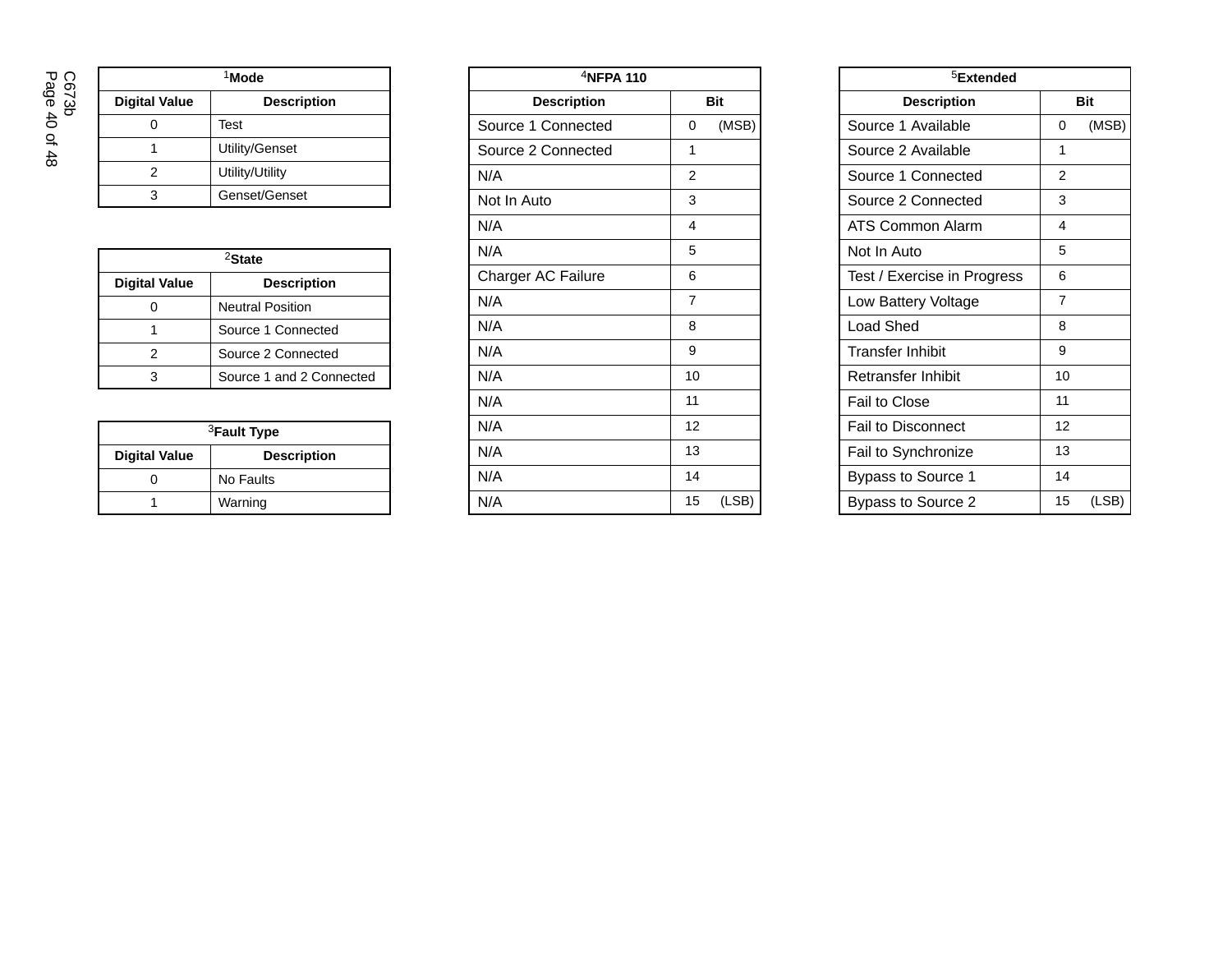Page 40 of 48 C673b

| <sup>1</sup> Mode    |                    |  |  |  |  |  |
|----------------------|--------------------|--|--|--|--|--|
| <b>Digital Value</b> | <b>Description</b> |  |  |  |  |  |
|                      | Test               |  |  |  |  |  |
|                      | Utility/Genset     |  |  |  |  |  |
| 2                    | Utility/Utility    |  |  |  |  |  |
|                      | Genset/Genset      |  |  |  |  |  |

| <sup>2</sup> State   |                          |  |  |  |  |
|----------------------|--------------------------|--|--|--|--|
| <b>Digital Value</b> | <b>Description</b>       |  |  |  |  |
|                      | <b>Neutral Position</b>  |  |  |  |  |
|                      | Source 1 Connected       |  |  |  |  |
| 2                    | Source 2 Connected       |  |  |  |  |
|                      | Source 1 and 2 Connected |  |  |  |  |

| <sup>3</sup> Fault Type |                    |  |  |  |  |
|-------------------------|--------------------|--|--|--|--|
| <b>Digital Value</b>    | <b>Description</b> |  |  |  |  |
|                         | No Faults          |  |  |  |  |
|                         | Warning            |  |  |  |  |

| $4$ NFPA 110       |                |            |  |  |  |  |
|--------------------|----------------|------------|--|--|--|--|
| <b>Description</b> |                | <b>Bit</b> |  |  |  |  |
| Source 1 Connected | 0              | (MSB)      |  |  |  |  |
| Source 2 Connected | 1              |            |  |  |  |  |
| N/A                | $\overline{2}$ |            |  |  |  |  |
| Not In Auto        | 3              |            |  |  |  |  |
| N/A                | 4              |            |  |  |  |  |
| N/A                | 5              |            |  |  |  |  |
| Charger AC Failure | 6              |            |  |  |  |  |
| N/A                | 7              |            |  |  |  |  |
| N/A                | 8              |            |  |  |  |  |
| N/A                | 9              |            |  |  |  |  |
| N/A                | 10             |            |  |  |  |  |
| N/A                | 11             |            |  |  |  |  |
| N/A                | 12             |            |  |  |  |  |
| N/A                | 13             |            |  |  |  |  |
| N/A                | 14             |            |  |  |  |  |
| N/A                | 15             | (LSB)      |  |  |  |  |

| <sup>5</sup> Extended            |                   |       |  |  |  |  |  |
|----------------------------------|-------------------|-------|--|--|--|--|--|
| <b>Bit</b><br><b>Description</b> |                   |       |  |  |  |  |  |
| Source 1 Available               | (MSB)<br>$\Omega$ |       |  |  |  |  |  |
| Source 2 Available               | 1                 |       |  |  |  |  |  |
| Source 1 Connected               | 2                 |       |  |  |  |  |  |
| Source 2 Connected               | 3                 |       |  |  |  |  |  |
| ATS Common Alarm                 | 4                 |       |  |  |  |  |  |
| Not In Auto                      | 5                 |       |  |  |  |  |  |
| Test / Exercise in Progress      | 6                 |       |  |  |  |  |  |
| Low Battery Voltage              | 7                 |       |  |  |  |  |  |
| <b>Load Shed</b>                 | 8                 |       |  |  |  |  |  |
| <b>Transfer Inhibit</b>          | 9                 |       |  |  |  |  |  |
| Retransfer Inhibit               | 10                |       |  |  |  |  |  |
| Fail to Close                    | 11                |       |  |  |  |  |  |
| <b>Fail to Disconnect</b>        | 12                |       |  |  |  |  |  |
| Fail to Synchronize              | 13                |       |  |  |  |  |  |
| <b>Bypass to Source 1</b>        | 14                |       |  |  |  |  |  |
| Bypass to Source 2               | 15                | (LSB) |  |  |  |  |  |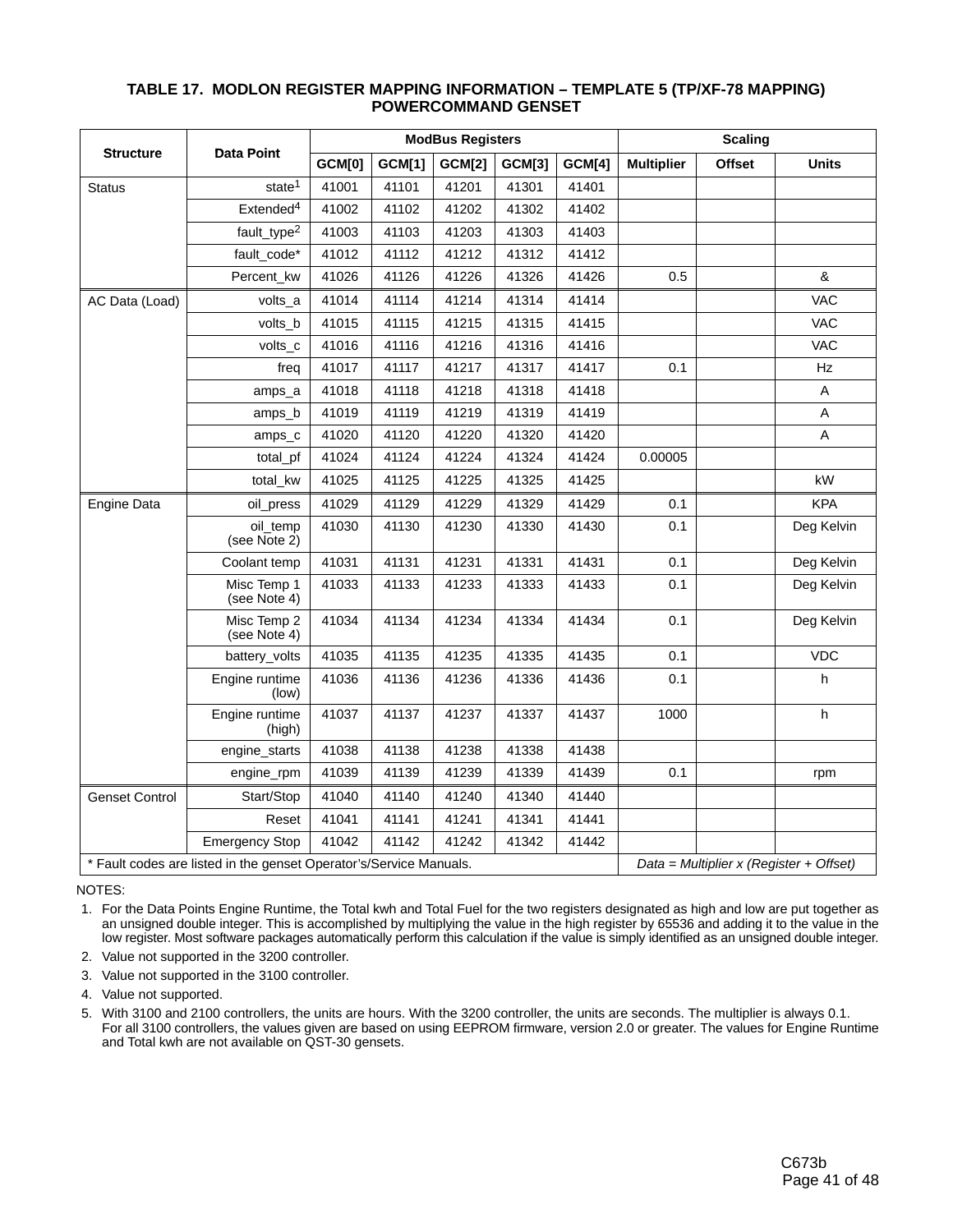|                                                                                                                 |                             | <b>ModBus Registers</b> |               |               |               |               | <b>Scaling</b>    |               |              |
|-----------------------------------------------------------------------------------------------------------------|-----------------------------|-------------------------|---------------|---------------|---------------|---------------|-------------------|---------------|--------------|
| <b>Structure</b>                                                                                                | <b>Data Point</b>           | <b>GCM[0]</b>           | <b>GCM[1]</b> | <b>GCM[2]</b> | <b>GCM[3]</b> | <b>GCM[4]</b> | <b>Multiplier</b> | <b>Offset</b> | <b>Units</b> |
| Status                                                                                                          | state <sup>1</sup>          | 41001                   | 41101         | 41201         | 41301         | 41401         |                   |               |              |
|                                                                                                                 | Extended <sup>4</sup>       | 41002                   | 41102         | 41202         | 41302         | 41402         |                   |               |              |
|                                                                                                                 | fault_type <sup>2</sup>     | 41003                   | 41103         | 41203         | 41303         | 41403         |                   |               |              |
|                                                                                                                 | fault_code*                 | 41012                   | 41112         | 41212         | 41312         | 41412         |                   |               |              |
|                                                                                                                 | Percent kw                  | 41026                   | 41126         | 41226         | 41326         | 41426         | 0.5               |               | &            |
| AC Data (Load)                                                                                                  | volts_a                     | 41014                   | 41114         | 41214         | 41314         | 41414         |                   |               | <b>VAC</b>   |
|                                                                                                                 | volts_b                     | 41015                   | 41115         | 41215         | 41315         | 41415         |                   |               | <b>VAC</b>   |
|                                                                                                                 | volts_c                     | 41016                   | 41116         | 41216         | 41316         | 41416         |                   |               | <b>VAC</b>   |
|                                                                                                                 | freq                        | 41017                   | 41117         | 41217         | 41317         | 41417         | 0.1               |               | Hz           |
|                                                                                                                 | amps_a                      | 41018                   | 41118         | 41218         | 41318         | 41418         |                   |               | Α            |
|                                                                                                                 | amps b                      | 41019                   | 41119         | 41219         | 41319         | 41419         |                   |               | Α            |
|                                                                                                                 | amps_c                      | 41020                   | 41120         | 41220         | 41320         | 41420         |                   |               | A            |
|                                                                                                                 | total_pf                    | 41024                   | 41124         | 41224         | 41324         | 41424         | 0.00005           |               |              |
|                                                                                                                 | total_kw                    | 41025                   | 41125         | 41225         | 41325         | 41425         |                   |               | kW           |
| Engine Data                                                                                                     | oil press                   | 41029                   | 41129         | 41229         | 41329         | 41429         | 0.1               |               | <b>KPA</b>   |
|                                                                                                                 | oil_temp<br>(see Note 2)    | 41030                   | 41130         | 41230         | 41330         | 41430         | 0.1               |               | Deg Kelvin   |
|                                                                                                                 | Coolant temp                | 41031                   | 41131         | 41231         | 41331         | 41431         | 0.1               |               | Deg Kelvin   |
|                                                                                                                 | Misc Temp 1<br>(see Note 4) | 41033                   | 41133         | 41233         | 41333         | 41433         | 0.1               |               | Deg Kelvin   |
|                                                                                                                 | Misc Temp 2<br>(see Note 4) | 41034                   | 41134         | 41234         | 41334         | 41434         | 0.1               |               | Deg Kelvin   |
|                                                                                                                 | battery_volts               | 41035                   | 41135         | 41235         | 41335         | 41435         | 0.1               |               | <b>VDC</b>   |
|                                                                                                                 | Engine runtime<br>(low)     | 41036                   | 41136         | 41236         | 41336         | 41436         | 0.1               |               | h.           |
|                                                                                                                 | Engine runtime<br>(high)    | 41037                   | 41137         | 41237         | 41337         | 41437         | 1000              |               | $\sf h$      |
|                                                                                                                 | engine_starts               | 41038                   | 41138         | 41238         | 41338         | 41438         |                   |               |              |
|                                                                                                                 | engine_rpm                  | 41039                   | 41139         | 41239         | 41339         | 41439         | 0.1               |               | rpm          |
| <b>Genset Control</b>                                                                                           | Start/Stop                  | 41040                   | 41140         | 41240         | 41340         | 41440         |                   |               |              |
|                                                                                                                 | Reset                       | 41041                   | 41141         | 41241         | 41341         | 41441         |                   |               |              |
|                                                                                                                 | <b>Emergency Stop</b>       | 41042                   | 41142         | 41242         | 41342         | 41442         |                   |               |              |
| * Fault codes are listed in the genset Operator's/Service Manuals.<br>Data = Multiplier $x$ (Register + Offset) |                             |                         |               |               |               |               |                   |               |              |

### **TABLE 17. MODLON REGISTER MAPPING INFORMATION – TEMPLATE 5 (TP/XF-78 MAPPING) POWERCOMMAND GENSET**

#### NOTES:

 1. For the Data Points Engine Runtime, the Total kwh and Total Fuel for the two registers designated as high and low are put together as an unsigned double integer. This is accomplished by multiplying the value in the high register by 65536 and adding it to the value in the low register. Most software packages automatically perform this calculation if the value is simply identified as an unsigned double integer.

2. Value not supported in the 3200 controller.

- 3. Value not supported in the 3100 controller.
- 4. Value not supported.

 5. With 3100 and 2100 controllers, the units are hours. With the 3200 controller, the units are seconds. The multiplier is always 0.1. For all 3100 controllers, the values given are based on using EEPROM firmware, version 2.0 or greater. The values for Engine Runtime and Total kwh are not available on QST-30 gensets.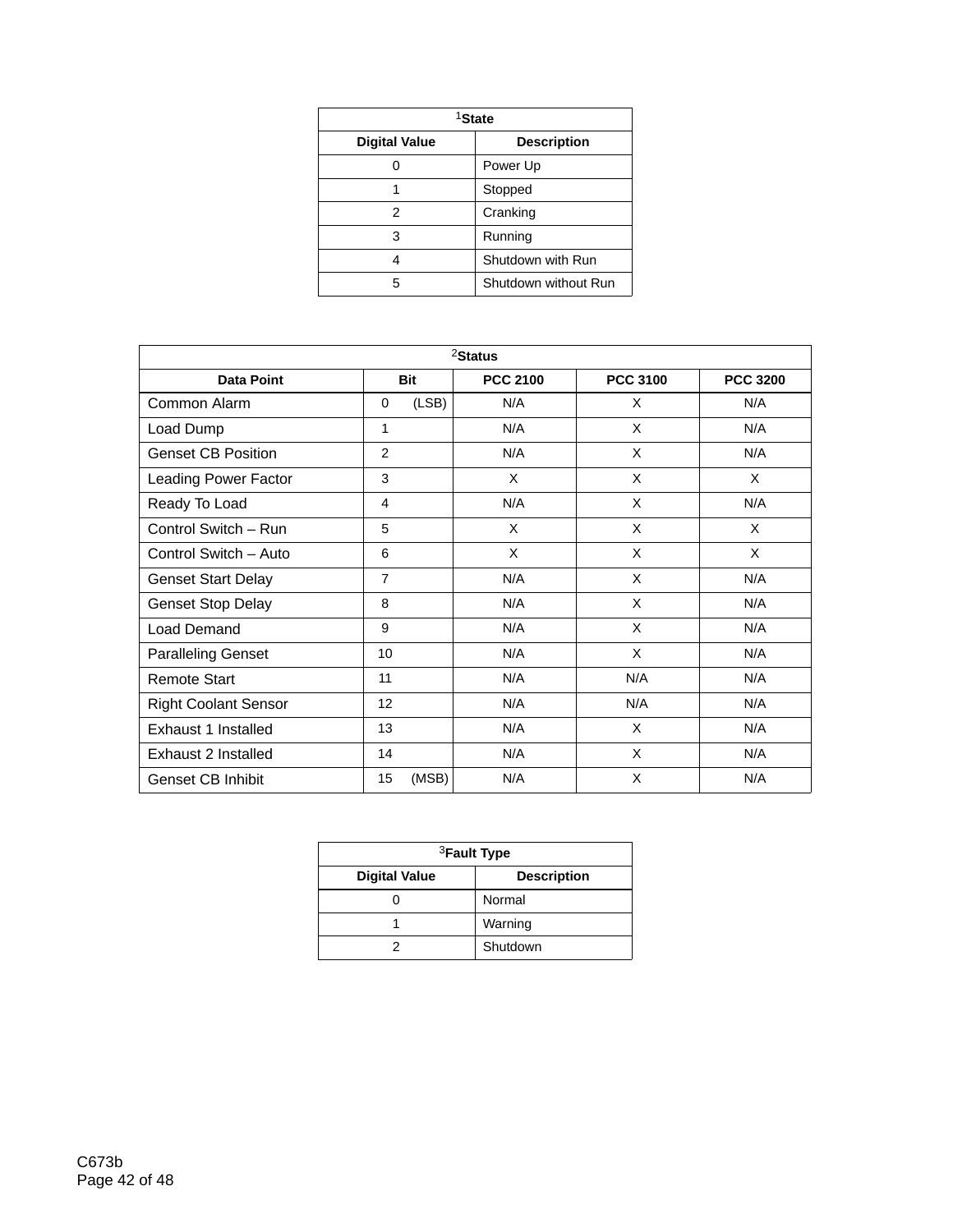| <sup>1</sup> State   |                      |  |  |  |  |
|----------------------|----------------------|--|--|--|--|
| <b>Digital Value</b> | <b>Description</b>   |  |  |  |  |
|                      | Power Up             |  |  |  |  |
|                      | Stopped              |  |  |  |  |
| 2                    | Cranking             |  |  |  |  |
| 3                    | Running              |  |  |  |  |
|                      | Shutdown with Run    |  |  |  |  |
| 5                    | Shutdown without Run |  |  |  |  |

| $2$ Status                  |                |                 |                 |                 |  |  |  |
|-----------------------------|----------------|-----------------|-----------------|-----------------|--|--|--|
| <b>Data Point</b>           | <b>Bit</b>     | <b>PCC 2100</b> | <b>PCC 3100</b> | <b>PCC 3200</b> |  |  |  |
| Common Alarm                | (LSB)<br>0     | N/A             | X               | N/A             |  |  |  |
| Load Dump                   | 1              | N/A             | X               | N/A             |  |  |  |
| <b>Genset CB Position</b>   | 2              | N/A             | X               | N/A             |  |  |  |
| <b>Leading Power Factor</b> | 3              | $\times$        | X               | $\times$        |  |  |  |
| Ready To Load               | 4              | N/A             | X               | N/A             |  |  |  |
| Control Switch - Run        | 5              | X               | X               | X               |  |  |  |
| Control Switch - Auto       | 6              | X               | X               | X               |  |  |  |
| <b>Genset Start Delay</b>   | $\overline{7}$ | N/A             | X               | N/A             |  |  |  |
| <b>Genset Stop Delay</b>    | 8              | N/A             | X               | N/A             |  |  |  |
| Load Demand                 | 9              | N/A             | X               | N/A             |  |  |  |
| <b>Paralleling Genset</b>   | 10             | N/A             | X               | N/A             |  |  |  |
| <b>Remote Start</b>         | 11             | N/A             | N/A             | N/A             |  |  |  |
| <b>Right Coolant Sensor</b> | 12             | N/A             | N/A             | N/A             |  |  |  |
| Exhaust 1 Installed         | 13             | N/A             | X               | N/A             |  |  |  |
| Exhaust 2 Installed         | 14             | N/A             | X               | N/A             |  |  |  |
| Genset CB Inhibit           | 15<br>(MSB)    | N/A             | X               | N/A             |  |  |  |

| <sup>3</sup> Fault Type |                    |  |  |  |  |
|-------------------------|--------------------|--|--|--|--|
| <b>Digital Value</b>    | <b>Description</b> |  |  |  |  |
|                         | Normal             |  |  |  |  |
|                         | Warning            |  |  |  |  |
|                         | Shutdown           |  |  |  |  |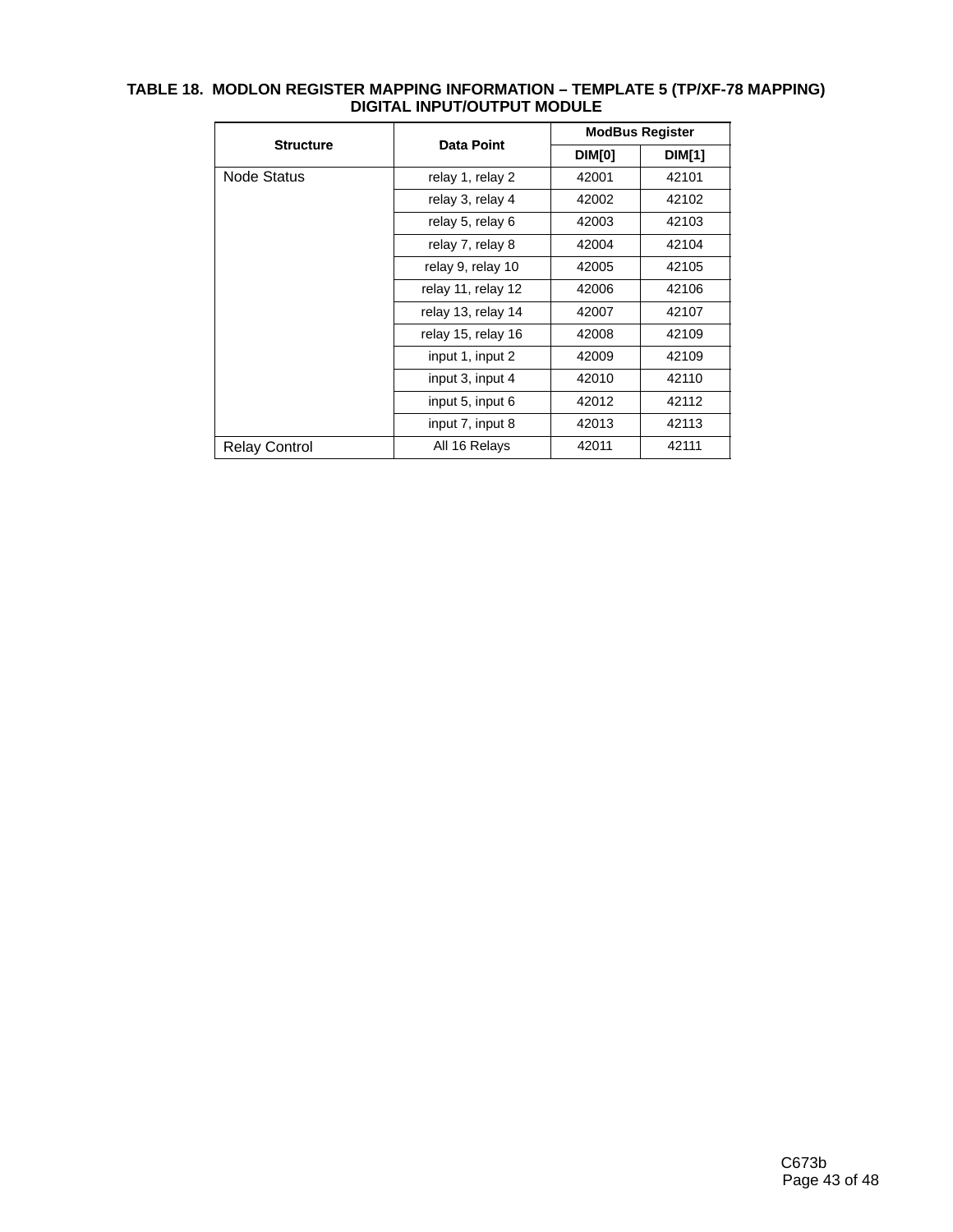| <b>Structure</b>     |                    |        | <b>ModBus Register</b> |  |  |  |
|----------------------|--------------------|--------|------------------------|--|--|--|
|                      | Data Point         | DIM[0] | <b>DIM[1]</b>          |  |  |  |
| Node Status          | relay 1, relay 2   | 42001  | 42101                  |  |  |  |
|                      | relay 3, relay 4   | 42002  | 42102                  |  |  |  |
|                      | relay 5, relay 6   | 42003  | 42103                  |  |  |  |
|                      | relay 7, relay 8   | 42004  | 42104                  |  |  |  |
|                      | relay 9, relay 10  | 42005  | 42105                  |  |  |  |
|                      | relay 11, relay 12 | 42006  | 42106                  |  |  |  |
|                      | relay 13, relay 14 | 42007  | 42107                  |  |  |  |
|                      | relay 15, relay 16 | 42008  | 42109                  |  |  |  |
|                      | input 1, input 2   | 42009  | 42109                  |  |  |  |
|                      | input 3, input 4   | 42010  | 42110                  |  |  |  |
|                      | input 5, input 6   | 42012  | 42112                  |  |  |  |
|                      | input 7, input 8   | 42013  | 42113                  |  |  |  |
| <b>Relay Control</b> | All 16 Relays      | 42011  | 42111                  |  |  |  |

#### **TABLE 18. MODLON REGISTER MAPPING INFORMATION – TEMPLATE 5 (TP/XF-78 MAPPING) DIGITAL INPUT/OUTPUT MODULE**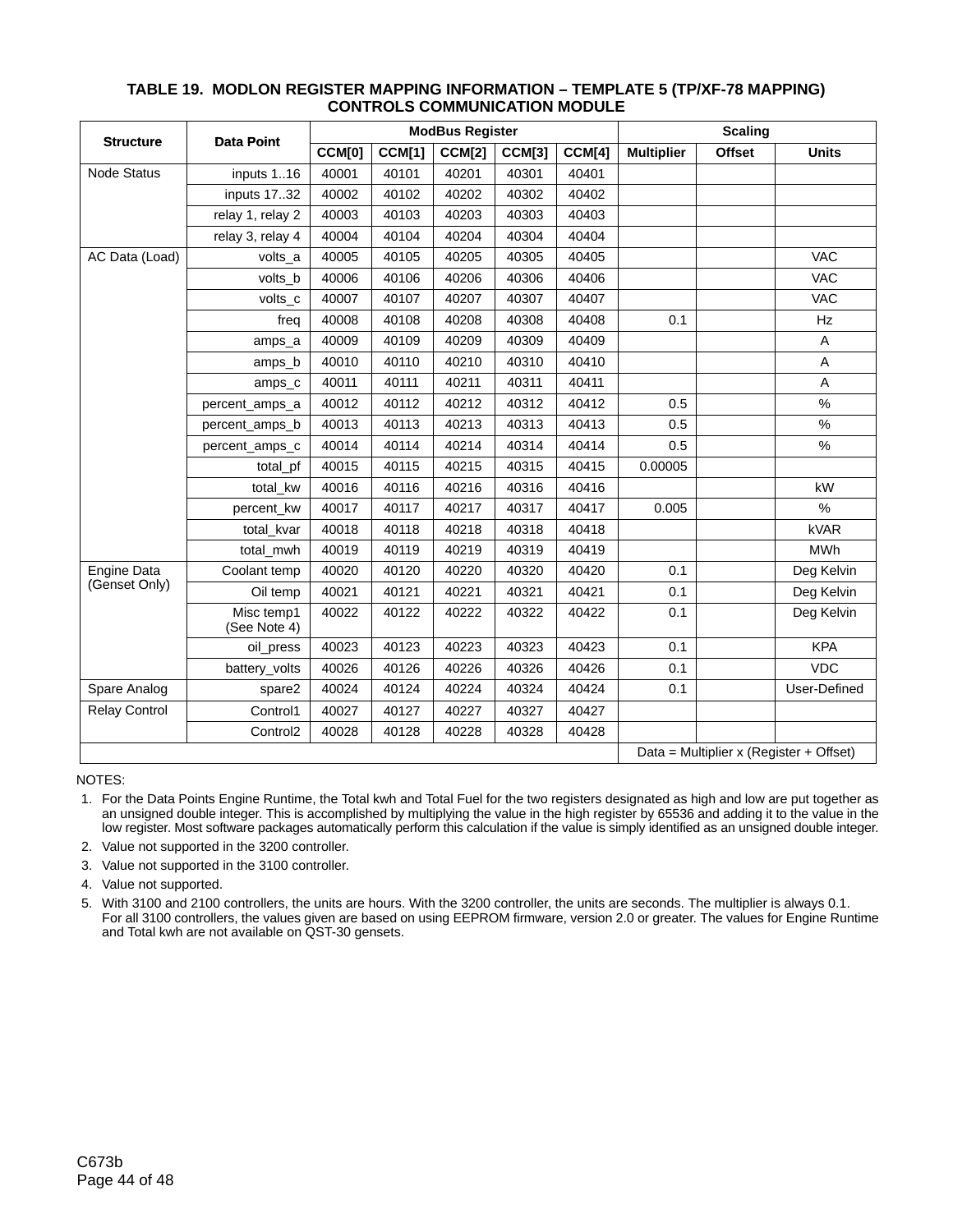| <b>Structure</b>     | <b>Data Point</b>          | <b>ModBus Register</b> |               |               | <b>Scaling</b> |        |                   |               |                                         |
|----------------------|----------------------------|------------------------|---------------|---------------|----------------|--------|-------------------|---------------|-----------------------------------------|
|                      |                            | CCM[0]                 | <b>CCM[1]</b> | <b>CCM[2]</b> | <b>CCM[3]</b>  | CCM[4] | <b>Multiplier</b> | <b>Offset</b> | <b>Units</b>                            |
| <b>Node Status</b>   | inputs 116                 | 40001                  | 40101         | 40201         | 40301          | 40401  |                   |               |                                         |
|                      | inputs 17.32               | 40002                  | 40102         | 40202         | 40302          | 40402  |                   |               |                                         |
|                      | relay 1, relay 2           | 40003                  | 40103         | 40203         | 40303          | 40403  |                   |               |                                         |
|                      | relay 3, relay 4           | 40004                  | 40104         | 40204         | 40304          | 40404  |                   |               |                                         |
| AC Data (Load)       | volts a                    | 40005                  | 40105         | 40205         | 40305          | 40405  |                   |               | <b>VAC</b>                              |
|                      | volts_b                    | 40006                  | 40106         | 40206         | 40306          | 40406  |                   |               | <b>VAC</b>                              |
|                      | volts_c                    | 40007                  | 40107         | 40207         | 40307          | 40407  |                   |               | <b>VAC</b>                              |
|                      | freq                       | 40008                  | 40108         | 40208         | 40308          | 40408  | 0.1               |               | Hz                                      |
|                      | amps_a                     | 40009                  | 40109         | 40209         | 40309          | 40409  |                   |               | Α                                       |
|                      | amps_b                     | 40010                  | 40110         | 40210         | 40310          | 40410  |                   |               | Α                                       |
|                      | amps_c                     | 40011                  | 40111         | 40211         | 40311          | 40411  |                   |               | A                                       |
|                      | percent amps a             | 40012                  | 40112         | 40212         | 40312          | 40412  | 0.5               |               | $\%$                                    |
|                      | percent amps b             | 40013                  | 40113         | 40213         | 40313          | 40413  | 0.5               |               | $\%$                                    |
|                      | percent_amps_c             | 40014                  | 40114         | 40214         | 40314          | 40414  | 0.5               |               | $\%$                                    |
|                      | total_pf                   | 40015                  | 40115         | 40215         | 40315          | 40415  | 0.00005           |               |                                         |
|                      | total_kw                   | 40016                  | 40116         | 40216         | 40316          | 40416  |                   |               | kW                                      |
|                      | percent_kw                 | 40017                  | 40117         | 40217         | 40317          | 40417  | 0.005             |               | $\%$                                    |
|                      | total kvar                 | 40018                  | 40118         | 40218         | 40318          | 40418  |                   |               | kVAR                                    |
|                      | total_mwh                  | 40019                  | 40119         | 40219         | 40319          | 40419  |                   |               | <b>MWh</b>                              |
| <b>Engine Data</b>   | Coolant temp               | 40020                  | 40120         | 40220         | 40320          | 40420  | 0.1               |               | Deg Kelvin                              |
| (Genset Only)        | Oil temp                   | 40021                  | 40121         | 40221         | 40321          | 40421  | 0.1               |               | Deg Kelvin                              |
|                      | Misc temp1<br>(See Note 4) | 40022                  | 40122         | 40222         | 40322          | 40422  | 0.1               |               | Deg Kelvin                              |
|                      | oil_press                  | 40023                  | 40123         | 40223         | 40323          | 40423  | 0.1               |               | <b>KPA</b>                              |
|                      | battery_volts              | 40026                  | 40126         | 40226         | 40326          | 40426  | 0.1               |               | <b>VDC</b>                              |
| Spare Analog         | spare2                     | 40024                  | 40124         | 40224         | 40324          | 40424  | 0.1               |               | User-Defined                            |
| <b>Relay Control</b> | Control1                   | 40027                  | 40127         | 40227         | 40327          | 40427  |                   |               |                                         |
|                      | Control <sub>2</sub>       | 40028                  | 40128         | 40228         | 40328          | 40428  |                   |               |                                         |
|                      |                            |                        |               |               |                |        |                   |               | Data = Multiplier x (Register + Offset) |

#### **TABLE 19. MODLON REGISTER MAPPING INFORMATION – TEMPLATE 5 (TP/XF-78 MAPPING) CONTROLS COMMUNICATION MODULE**

NOTES:

 1. For the Data Points Engine Runtime, the Total kwh and Total Fuel for the two registers designated as high and low are put together as an unsigned double integer. This is accomplished by multiplying the value in the high register by 65536 and adding it to the value in the low register. Most software packages automatically perform this calculation if the value is simply identified as an unsigned double integer.

2. Value not supported in the 3200 controller.

3. Value not supported in the 3100 controller.

4. Value not supported.

 5. With 3100 and 2100 controllers, the units are hours. With the 3200 controller, the units are seconds. The multiplier is always 0.1. For all 3100 controllers, the values given are based on using EEPROM firmware, version 2.0 or greater. The values for Engine Runtime and Total kwh are not available on QST-30 gensets.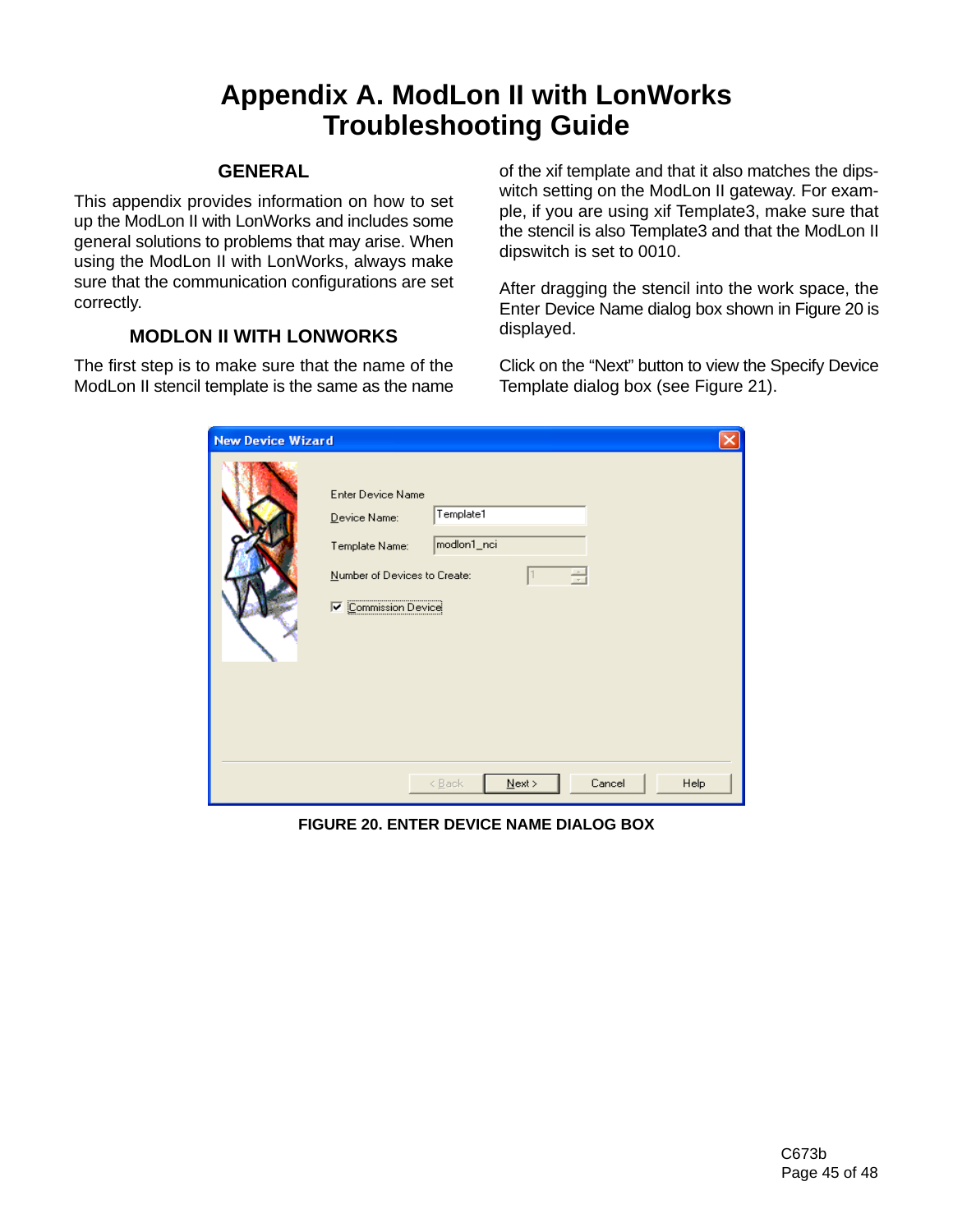# **Appendix A. ModLon II with LonWorks Troubleshooting Guide**

## **GENERAL**

This appendix provides information on how to set up the ModLon II with LonWorks and includes some general solutions to problems that may arise. When using the ModLon II with LonWorks, always make sure that the communication configurations are set correctly.

# **MODLON II WITH LONWORKS**

The first step is to make sure that the name of the ModLon II stencil template is the same as the name of the xif template and that it also matches the dipswitch setting on the ModLon II gateway. For example, if you are using xif Template3, make sure that the stencil is also Template3 and that the ModLon II dipswitch is set to 0010.

After dragging the stencil into the work space, the Enter Device Name dialog box shown in Figure 20 is displayed.

Click on the "Next" button to view the Specify Device Template dialog box (see Figure 21).

| <b>New Device Wizard</b> |                                                                                                                                                           |
|--------------------------|-----------------------------------------------------------------------------------------------------------------------------------------------------------|
|                          | <b>Enter Device Name</b><br>Template1<br>Device Name:<br>modlon1_nci<br>Template Name:<br>를<br>Number of Devices to Create:<br><b>V</b> Commission Device |
|                          | Cancel<br>$N$ ext ><br>Help<br>< Back                                                                                                                     |

**FIGURE 20. ENTER DEVICE NAME DIALOG BOX**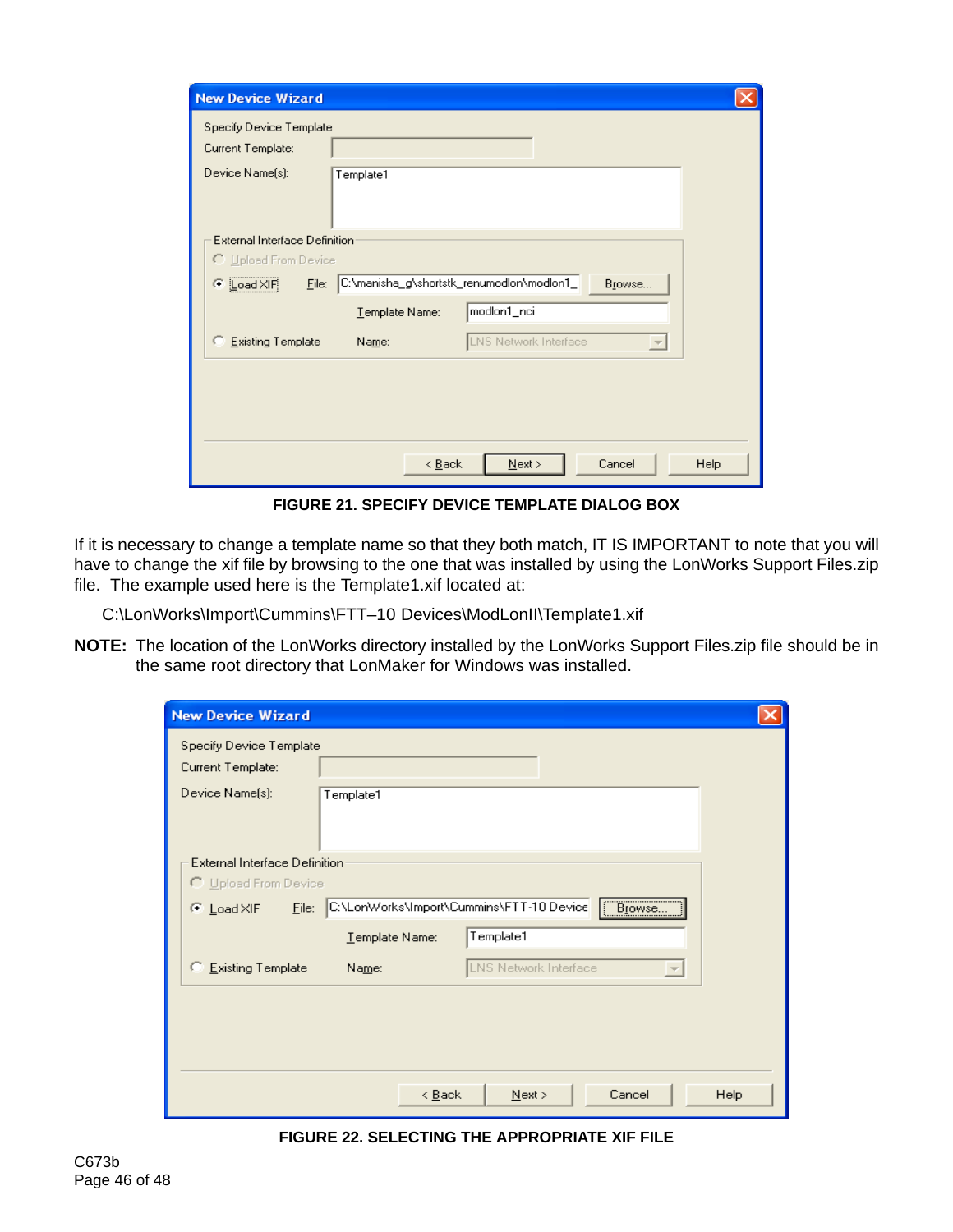| <b>New Device Wizard</b>             |                                                            |      |
|--------------------------------------|------------------------------------------------------------|------|
| Specify Device Template              |                                                            |      |
| Current Template:                    |                                                            |      |
| Device Name[s]:                      | Template1                                                  |      |
| <b>External Interface Definition</b> |                                                            |      |
| ○ Upload From Device                 |                                                            |      |
| C Load XIF<br>Eile:                  | C:\manisha_g\shortstk_renumodlon\modlon1_<br>Browse        |      |
|                                      | modlon1_nci<br>Template Name:                              |      |
| C Existing Template                  | LNS Network Interface<br>Name:<br>$\overline{\phantom{m}}$ |      |
|                                      |                                                            |      |
|                                      | $\leq$ Back<br>Cancel<br>Next                              | Help |

**FIGURE 21. SPECIFY DEVICE TEMPLATE DIALOG BOX**

If it is necessary to change a template name so that they both match, IT IS IMPORTANT to note that you will have to change the xif file by browsing to the one that was installed by using the LonWorks Support Files.zip file. The example used here is the Template1.xif located at:

C:\LonWorks\Import\Cummins\FTT–10 Devices\ModLonII\Template1.xif

**NOTE:** The location of the LonWorks directory installed by the LonWorks Support Files.zip file should be in the same root directory that LonMaker for Windows was installed.

| <b>New Device Wizard</b>                                                 |      |  |  |
|--------------------------------------------------------------------------|------|--|--|
| Specify Device Template<br>Current Template:                             |      |  |  |
| Device Name(s):<br>Template1                                             |      |  |  |
| <b>External Interface Definition</b>                                     |      |  |  |
| C Upload From Device                                                     |      |  |  |
| Browse<br>C:\LonWorks\Import\Cummins\FTT-10 Device<br>© Load×IF<br>Eile: |      |  |  |
| Template1<br>Template Name:                                              |      |  |  |
| LNS Network Interface<br>Existing Template<br>Name:                      |      |  |  |
|                                                                          |      |  |  |
| $\leq$ Back<br>$N$ ext ><br>Cancel                                       | Help |  |  |

**FIGURE 22. SELECTING THE APPROPRIATE XIF FILE**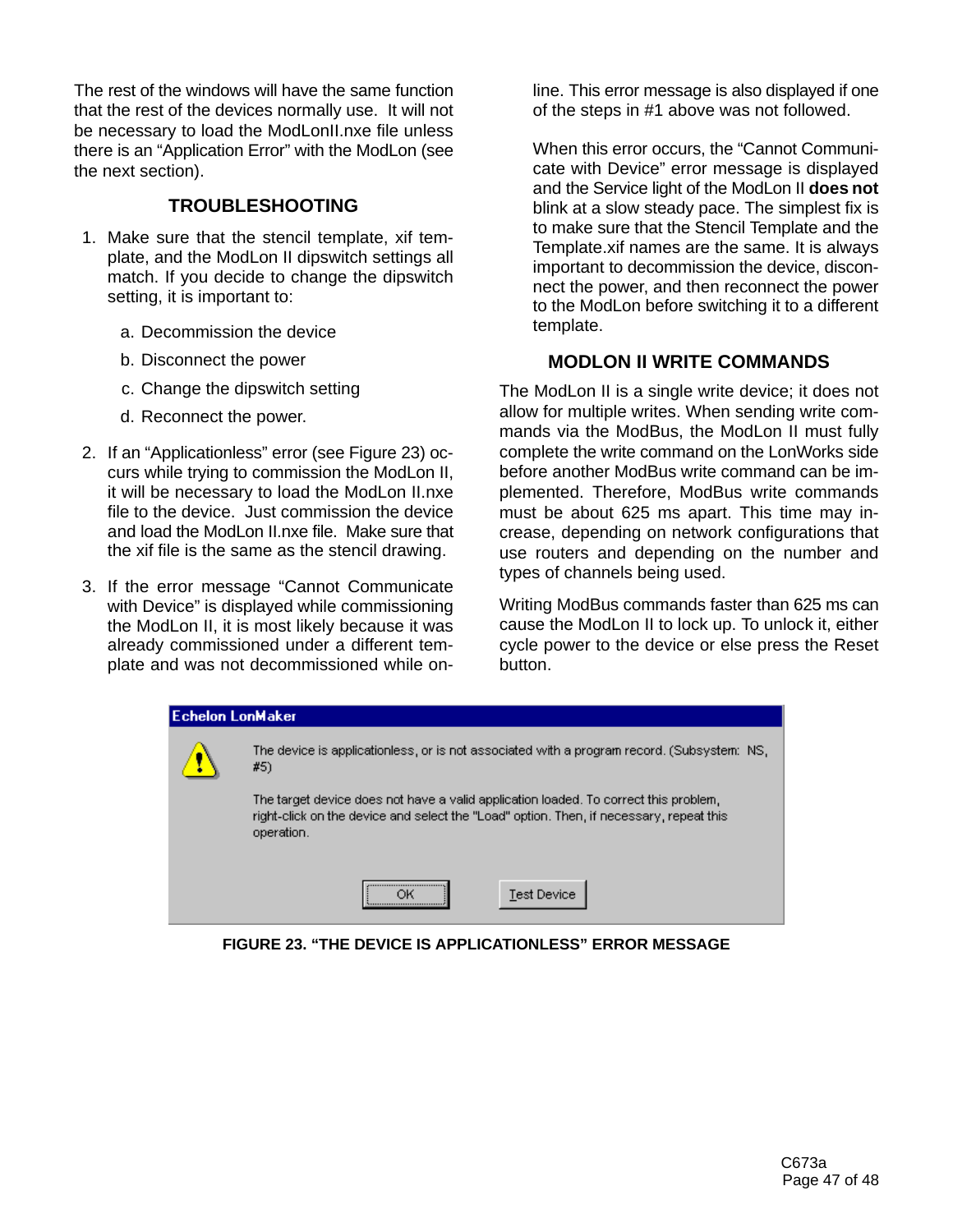The rest of the windows will have the same function that the rest of the devices normally use. It will not be necessary to load the ModLonII.nxe file unless there is an "Application Error" with the ModLon (see the next section).

## **TROUBLESHOOTING**

- 1. Make sure that the stencil template, xif template, and the ModLon II dipswitch settings all match. If you decide to change the dipswitch setting, it is important to:
	- a. Decommission the device
	- b. Disconnect the power
	- c. Change the dipswitch setting
	- d. Reconnect the power.
- 2. If an "Applicationless" error (see Figure 23) occurs while trying to commission the ModLon II, it will be necessary to load the ModLon II.nxe file to the device. Just commission the device and load the ModLon II nxe file. Make sure that the xif file is the same as the stencil drawing.
- 3. If the error message "Cannot Communicate with Device" is displayed while commissioning the ModLon II, it is most likely because it was already commissioned under a different template and was not decommissioned while on-

line. This error message is also displayed if one of the steps in #1 above was not followed.

When this error occurs, the "Cannot Communicate with Device" error message is displayed and the Service light of the ModLon II **does not** blink at a slow steady pace. The simplest fix is to make sure that the Stencil Template and the Template.xif names are the same. It is always important to decommission the device, disconnect the power, and then reconnect the power to the ModLon before switching it to a different template.

## **MODLON II WRITE COMMANDS**

The ModLon II is a single write device; it does not allow for multiple writes. When sending write commands via the ModBus, the ModLon II must fully complete the write command on the LonWorks side before another ModBus write command can be implemented. Therefore, ModBus write commands must be about 625 ms apart. This time may increase, depending on network configurations that use routers and depending on the number and types of channels being used.

Writing ModBus commands faster than 625 ms can cause the ModLon II to lock up. To unlock it, either cycle power to the device or else press the Reset button.

| Echelon LonMaker |                                                                                                                                                                                               |  |  |  |
|------------------|-----------------------------------------------------------------------------------------------------------------------------------------------------------------------------------------------|--|--|--|
|                  | The device is applicationless, or is not associated with a program record. (Subsystem: NS,<br>#5)                                                                                             |  |  |  |
|                  | The target device does not have a valid application loaded. To correct this problem,<br>right-click on the device and select the "Load" option. Then, if necessary, repeat this<br>operation. |  |  |  |
|                  | <b>Test Device</b>                                                                                                                                                                            |  |  |  |

**FIGURE 23. "THE DEVICE IS APPLICATIONLESS" ERROR MESSAGE**